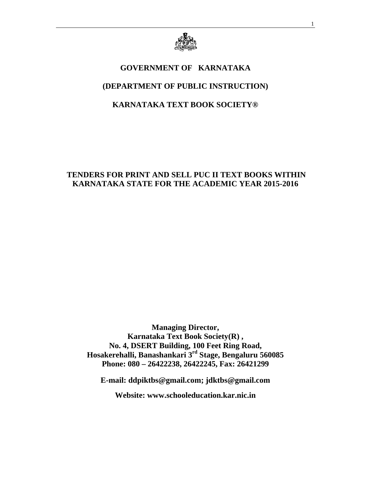

### **GOVERNMENT OF KARNATAKA**

### **(DEPARTMENT OF PUBLIC INSTRUCTION)**

### **KARNATAKA TEXT BOOK SOCIETY®**

### **TENDERS FOR PRINT AND SELL PUC II TEXT BOOKS WITHIN KARNATAKA STATE FOR THE ACADEMIC YEAR 2015-2016**

**Managing Director, Karnataka Text Book Society(R) , No. 4, DSERT Building, 100 Feet Ring Road, Hosakerehalli, Banashankari 3rd Stage, Bengaluru 560085 Phone: 080 – 26422238, 26422245, Fax: 26421299** 

**E-mail: ddpiktbs@gmail.com; jdktbs@gmail.com** 

**Website: www.schooleducation.kar.nic.in**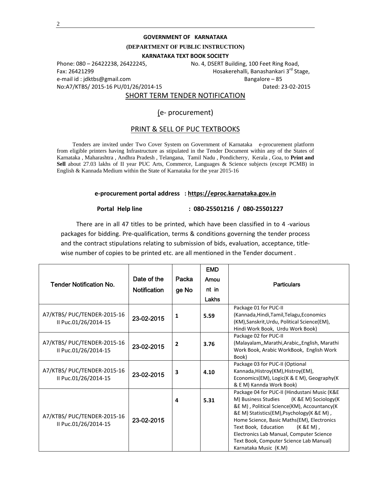#### **GOVERNMENT OF KARNATAKA**

#### **(DEPARTMENT OF PUBLIC INSTRUCTION)**

**KARNATAKA TEXT BOOK SOCIETY**

e‐mail id : jdktbs@gmail.com Bangalore – 85 No:A7/KTBS/ 2015‐16 PU/01/26/2014‐15 Dated: 23‐02‐2015

Phone: 080 – 26422238, 26422245, No. 4, DSERT Building, 100 Feet Ring Road, Fax: 26421299 Hosakerehalli, Banashankari 3rd Stage,

#### SHORT TERM TENDER NOTIFICATION

#### (e‐ procurement)

#### PRINT & SELL OF PUC TEXTBOOKS

 Tenders are invited under Two Cover System on Government of Karnataka e-procurement platform from eligible printers having Infrastructure as stipulated in the Tender Document within any of the States of Karnataka , Maharashtra , Andhra Pradesh , Telangana, Tamil Nadu , Pondicherry, Kerala , Goa, to **Print and Sell** about 27.03 lakhs of II year PUC Arts, Commerce, Languages & Science subjects (except PCMB) in English & Kannada Medium within the State of Karnataka for the year 2015-16

#### **e‐procurement portal address : https://eproc.karnataka.gov.in**

#### **Portal Help line : 080‐25501216 / 080‐25501227**

There are in all 47 titles to be printed, which have been classified in to 4 -various packages for bidding. Pre‐qualification, terms & conditions governing the tender process and the contract stipulations relating to submission of bids, evaluation, acceptance, titlewise number of copies to be printed etc. are all mentioned in the Tender document .

| <b>Tender Notification No.</b>                      | Date of the<br><b>Notification</b> | Packa<br>ge No | <b>EMD</b><br>Amou<br>nt in | <b>Particulars</b>                                                                                                                                                                                                                                                                                                                                                                             |  |  |
|-----------------------------------------------------|------------------------------------|----------------|-----------------------------|------------------------------------------------------------------------------------------------------------------------------------------------------------------------------------------------------------------------------------------------------------------------------------------------------------------------------------------------------------------------------------------------|--|--|
|                                                     |                                    |                | Lakhs                       |                                                                                                                                                                                                                                                                                                                                                                                                |  |  |
| A7/KTBS/ PUC/TENDER-2015-16<br>Il Puc.01/26/2014-15 | 23-02-2015                         | 1              | 5.59                        | Package 01 for PUC-II<br>(Kannada, Hindi, Tamil, Telagu, Economics<br>(KM), Sanskrit, Urdu, Political Science (EM),<br>Hindi Work Book, Urdu Work Book)                                                                                                                                                                                                                                        |  |  |
| A7/KTBS/ PUC/TENDER-2015-16<br>Il Puc.01/26/2014-15 | 23-02-2015                         | 2              | 3.76                        | Package 02 for PUC-II<br>(Malayalam,, Marathi, Arabic,, English, Marathi<br>Work Book, Arabic WorkBook, English Work<br>Book)                                                                                                                                                                                                                                                                  |  |  |
| A7/KTBS/ PUC/TENDER-2015-16<br>Il Puc.01/26/2014-15 | 23-02-2015                         | 3              | 4.10                        | Package 03 for PUC-II (Optional<br>Kannada, Histroy(KM), Histroy(EM),<br>Economics(EM), Logic(K & E M), Geography(K<br>& E M) Kannda Work Book)                                                                                                                                                                                                                                                |  |  |
| A7/KTBS/ PUC/TENDER-2015-16<br>Il Puc.01/26/2014-15 | 23-02-2015                         | 4              | 5.31                        | Package 04 for PUC-II (Hindustani Music (K&E<br>(K &E M) Sociology(K<br>M) Business Studies<br>&E M), Political Science(KM), Accountancy(K<br>&E M) Statistics(EM), Psychology(K &E M),<br>Home Science, Basic Maths(EM), Electronics<br>Text Book, Education<br>$(K & E M)$ .<br>Electronics Lab Manual, Computer Science<br>Text Book, Computer Science Lab Manual)<br>Karnataka Music (K.M) |  |  |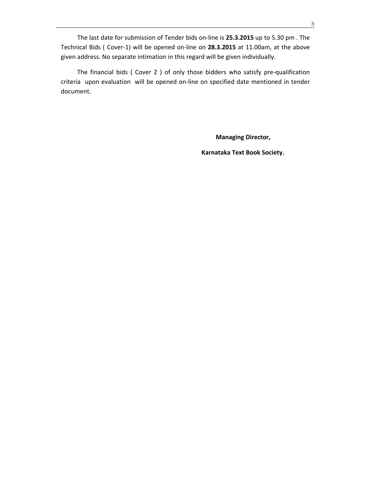The last date for submission of Tender bids on‐line is **25.3.2015** up to 5.30 pm . The Technical Bids ( Cover‐1) will be opened on‐line on **28.3.2015** at 11.00am, at the above given address. No separate intimation in this regard will be given individually.

The financial bids ( Cover 2 ) of only those bidders who satisfy pre‐qualification criteria upon evaluation will be opened on‐line on specified date mentioned in tender document.

**Managing Director,**

 **Karnataka Text Book Society.**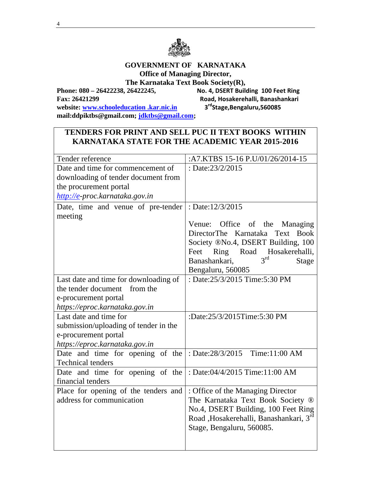

#### **GOVERNMENT OF KARNATAKA Office of Managing Director, The Karnataka Text Book Society(R),**

**Phone: 080 – 26422238, 26422245, No. 4, DSERT Building 100 Feet Ring Fax: 26421299**<br> **Road, Hosakerehalli, Banashankari**<br> **Road, Hosakerehalli, Banashankari**<br> **Road, Hosakerehalli, Banashankari**<br> **3**<sup>rd</sup>Stage, Bengaluru, 560085 website: www.schooleducation .kar.nic.in **mail:ddpiktbs@gmail.com; jdktbs@gmail.com;** 

### **TENDERS FOR PRINT AND SELL PUC II TEXT BOOKS WITHIN KARNATAKA STATE FOR THE ACADEMIC YEAR 2015-2016**

| Tender reference                      | :A7.KTBS 15-16 P.U/01/26/2014-15          |
|---------------------------------------|-------------------------------------------|
| Date and time for commencement of     | : Date: $23/2/2015$                       |
| downloading of tender document from   |                                           |
| the procurement portal                |                                           |
| http://e-proc.karnataka.gov.in        |                                           |
| Date, time and venue of pre-tender    | : Date:12/3/2015                          |
| meeting                               |                                           |
|                                       | Office of the Managing<br>Venue:          |
|                                       | DirectorThe Karnataka Text Book           |
|                                       | Society ®No.4, DSERT Building, 100        |
|                                       | Feet<br>Ring Road Hosakerehalli,          |
|                                       | 3 <sup>rd</sup><br>Banashankari,<br>Stage |
|                                       | Bengaluru, 560085                         |
| Last date and time for downloading of | : Date:25/3/2015 Time:5:30 PM             |
| the tender document from the          |                                           |
| e-procurement portal                  |                                           |
| https://eproc.karnataka.gov.in        |                                           |
| Last date and time for                | :Date:25/3/2015Time:5:30 PM               |
| submission/uploading of tender in the |                                           |
| e-procurement portal                  |                                           |
| https://eproc.karnataka.gov.in        |                                           |
| Date and time for opening of the      | : Date:28/3/2015 Time:11:00 AM            |
| <b>Technical tenders</b>              |                                           |
| Date and time for opening of the      | : Date:04/4/2015 Time:11:00 AM            |
| financial tenders                     |                                           |
| Place for opening of the tenders and  | : Office of the Managing Director         |
| address for communication             | The Karnataka Text Book Society ®         |
|                                       | No.4, DSERT Building, 100 Feet Ring       |
|                                       | Road ,Hosakerehalli, Banashankari, 3rd    |
|                                       | Stage, Bengaluru, 560085.                 |
|                                       |                                           |
|                                       |                                           |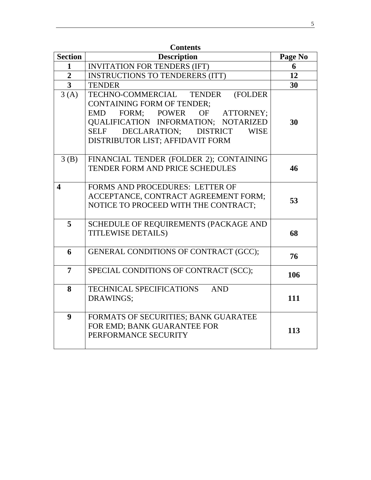|                  | <b>Contents</b>                                                                                                                                                                                                                         |         |
|------------------|-----------------------------------------------------------------------------------------------------------------------------------------------------------------------------------------------------------------------------------------|---------|
| <b>Section</b>   | <b>Description</b>                                                                                                                                                                                                                      | Page No |
| 1                | <b>INVITATION FOR TENDERS (IFT)</b>                                                                                                                                                                                                     | 6       |
| $\overline{2}$   | <b>INSTRUCTIONS TO TENDERERS (ITT)</b>                                                                                                                                                                                                  | 12      |
| $\mathbf{3}$     | <b>TENDER</b>                                                                                                                                                                                                                           | 30      |
| 3(A)             | TECHNO-COMMERCIAL TENDER<br>(FOLDER<br>CONTAINING FORM OF TENDER;<br>FORM; POWER OF ATTORNEY;<br>EMD<br>QUALIFICATION INFORMATION; NOTARIZED<br>DECLARATION; DISTRICT<br><b>WISE</b><br><b>SELF</b><br>DISTRIBUTOR LIST; AFFIDAVIT FORM | 30      |
| 3(B)             | FINANCIAL TENDER (FOLDER 2); CONTAINING<br>TENDER FORM AND PRICE SCHEDULES                                                                                                                                                              | 46      |
| $\boldsymbol{4}$ | FORMS AND PROCEDURES: LETTER OF<br>ACCEPTANCE, CONTRACT AGREEMENT FORM;<br>NOTICE TO PROCEED WITH THE CONTRACT;                                                                                                                         | 53      |
| 5                | SCHEDULE OF REQUIREMENTS (PACKAGE AND<br><b>TITLEWISE DETAILS)</b>                                                                                                                                                                      | 68      |
|                  |                                                                                                                                                                                                                                         |         |

| $\boldsymbol{\varDelta}$ | FORMS AND PROCEDURES: LETTER OF<br>ACCEPTANCE, CONTRACT AGREEMENT FORM;<br>NOTICE TO PROCEED WITH THE CONTRACT; | 53  |
|--------------------------|-----------------------------------------------------------------------------------------------------------------|-----|
| 5                        | SCHEDULE OF REQUIREMENTS (PACKAGE AND<br><b>TITLEWISE DETAILS)</b>                                              | 68  |
| 6                        | <b>GENERAL CONDITIONS OF CONTRACT (GCC);</b>                                                                    | 76  |
| 7                        | SPECIAL CONDITIONS OF CONTRACT (SCC);                                                                           | 106 |
| 8                        | <b>TECHNICAL SPECIFICATIONS</b><br><b>AND</b><br>DRAWINGS;                                                      | 111 |
| 9                        | FORMATS OF SECURITIES; BANK GUARATEE<br>FOR EMD; BANK GUARANTEE FOR<br>PERFORMANCE SECURITY                     | 113 |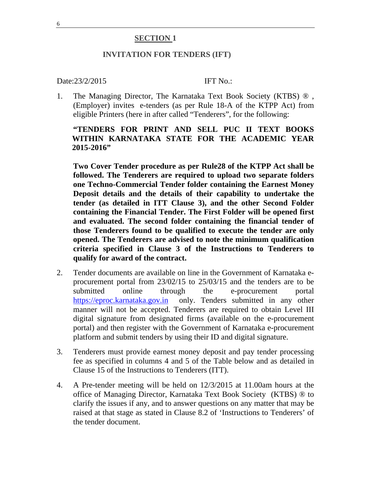#### **SECTION 1**

#### **INVITATION FOR TENDERS (IFT)**

#### Date:23/2/2015 **IFT No.:**

1. The Managing Director, The Karnataka Text Book Society (KTBS) ® , (Employer) invites e-tenders (as per Rule 18-A of the KTPP Act) from eligible Printers (here in after called "Tenderers", for the following:

### **"TENDERS FOR PRINT AND SELL PUC II TEXT BOOKS WITHIN KARNATAKA STATE FOR THE ACADEMIC YEAR 2015-2016"**

**Two Cover Tender procedure as per Rule28 of the KTPP Act shall be followed. The Tenderers are required to upload two separate folders one Techno-Commercial Tender folder containing the Earnest Money Deposit details and the details of their capability to undertake the tender (as detailed in ITT Clause 3), and the other Second Folder containing the Financial Tender. The First Folder will be opened first and evaluated. The second folder containing the financial tender of those Tenderers found to be qualified to execute the tender are only opened. The Tenderers are advised to note the minimum qualification criteria specified in Clause 3 of the Instructions to Tenderers to qualify for award of the contract.** 

- 2. Tender documents are available on line in the Government of Karnataka eprocurement portal from 23/02/15 to 25/03/15 and the tenders are to be submitted online through the e-procurement portal https://eproc.karnataka.gov.in only. Tenders submitted in any other manner will not be accepted. Tenderers are required to obtain Level III digital signature from designated firms (available on the e-procurement portal) and then register with the Government of Karnataka e-procurement platform and submit tenders by using their ID and digital signature.
- 3. Tenderers must provide earnest money deposit and pay tender processing fee as specified in columns 4 and 5 of the Table below and as detailed in Clause 15 of the Instructions to Tenderers (ITT).
- 4. A Pre-tender meeting will be held on 12/3/2015 at 11.00am hours at the office of Managing Director, Karnataka Text Book Society (KTBS) ® to clarify the issues if any, and to answer questions on any matter that may be raised at that stage as stated in Clause 8.2 of 'Instructions to Tenderers' of the tender document.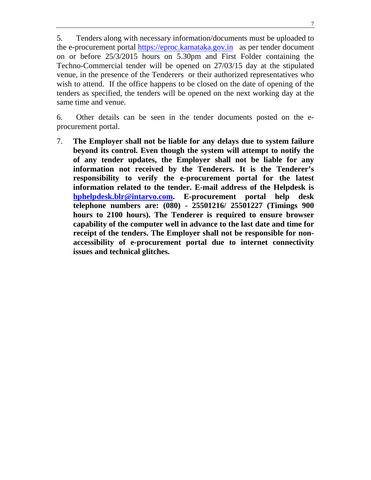5. Tenders along with necessary information/documents must be uploaded to the e-procurement portal https://eproc.karnataka.gov.in as per tender document on or before 25/3/2015 hours on 5.30pm and First Folder containing the Techno-Commercial tender will be opened on 27/03/15 day at the stipulated venue, in the presence of the Tenderers or their authorized representatives who wish to attend. If the office happens to be closed on the date of opening of the tenders as specified, the tenders will be opened on the next working day at the same time and venue.

6. Other details can be seen in the tender documents posted on the eprocurement portal.

7. **The Employer shall not be liable for any delays due to system failure beyond its control. Even though the system will attempt to notify the of any tender updates, the Employer shall not be liable for any information not received by the Tenderers. It is the Tenderer's responsibility to verify the e-procurement portal for the latest information related to the tender. E-mail address of the Helpdesk is hphelpdesk.blr@intarvo.com. E-procurement portal help desk telephone numbers are: (080) - 25501216/ 25501227 (Timings 900 hours to 2100 hours). The Tenderer is required to ensure browser capability of the computer well in advance to the last date and time for receipt of the tenders. The Employer shall not be responsible for nonaccessibility of e-procurement portal due to internet connectivity issues and technical glitches.**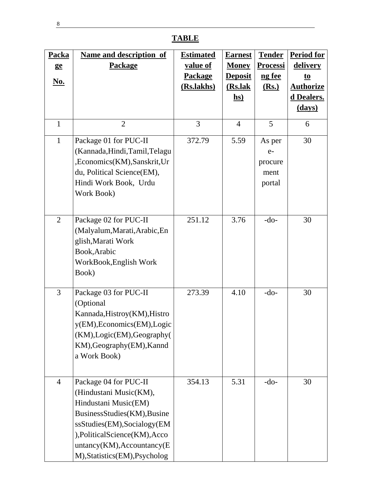## **TABLE**

| Packa                       | Name and description of                                                                                                                                                                                                                 | <b>Estimated</b> | <b>Earnest</b>              | <b>Tender</b>                               | <b>Period for</b> |
|-----------------------------|-----------------------------------------------------------------------------------------------------------------------------------------------------------------------------------------------------------------------------------------|------------------|-----------------------------|---------------------------------------------|-------------------|
| ge                          | <b>Package</b>                                                                                                                                                                                                                          | value of         | <b>Money</b>                | <b>Processi</b>                             | delivery          |
| $\underline{\mathbf{No}}$ . |                                                                                                                                                                                                                                         | <b>Package</b>   | <b>Deposit</b>              | ng fee                                      | to                |
|                             |                                                                                                                                                                                                                                         | (Rs.lakhs)       | (Rs.lak                     | (Rs.)                                       | <b>Authorize</b>  |
|                             |                                                                                                                                                                                                                                         |                  | $\underline{\mathbf{h}}$ s) |                                             | d Dealers.        |
|                             |                                                                                                                                                                                                                                         |                  |                             |                                             | <u>(days)</u>     |
| $\mathbf{1}$                | $\overline{2}$                                                                                                                                                                                                                          | 3                | $\overline{4}$              | 5                                           | 6                 |
| $\mathbf{1}$                | Package 01 for PUC-II<br>(Kannada, Hindi, Tamil, Telagu<br>,Economics(KM),Sanskrit,Ur<br>du, Political Science(EM),<br>Hindi Work Book, Urdu<br>Work Book)                                                                              | 372.79           | 5.59                        | As per<br>$e-$<br>procure<br>ment<br>portal | 30                |
| $\overline{2}$              | Package 02 for PUC-II<br>(Malyalum, Marati, Arabic, En<br>glish, Marati Work<br>Book, Arabic<br>WorkBook, English Work<br>Book)                                                                                                         | 251.12           | 3.76                        | $-do-$                                      | 30                |
| 3                           | Package 03 for PUC-II<br>(Optional<br>Kannada, Histroy (KM), Histro<br>y(EM), Economics(EM), Logic<br>(KM), Logic(EM), Geography(<br>KM), Geography (EM), Kannd<br>a Work Book)                                                         | 273.39           | 4.10                        | $-do-$                                      | 30                |
| $\overline{4}$              | Package 04 for PUC-II<br>(Hindustani Music(KM),<br>Hindustani Music(EM)<br>BusinessStudies(KM), Busine<br>ssStudies(EM), Socialogy(EM<br>),PoliticalScience(KM),Acco<br>$untancy(KM)$ , Accountancy(E<br>M), Statistics (EM), Psycholog | 354.13           | 5.31                        | $-do-$                                      | 30                |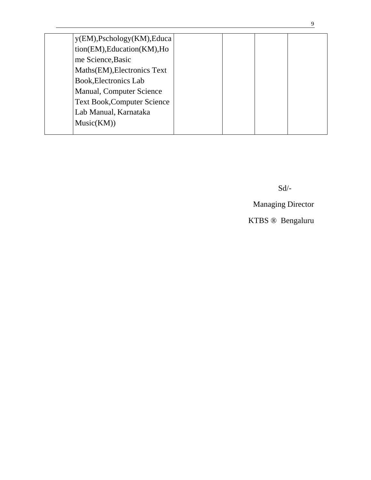| y(EM), Pschology(KM), Educa        |  |  |
|------------------------------------|--|--|
| tion(EM), Education(KM), Ho        |  |  |
| me Science, Basic                  |  |  |
| Maths(EM), Electronics Text        |  |  |
| Book, Electronics Lab              |  |  |
| Manual, Computer Science           |  |  |
| <b>Text Book, Computer Science</b> |  |  |
| Lab Manual, Karnataka              |  |  |
| Music(KM))                         |  |  |
|                                    |  |  |

Sd/-

Managing Director

KTBS ® Bengaluru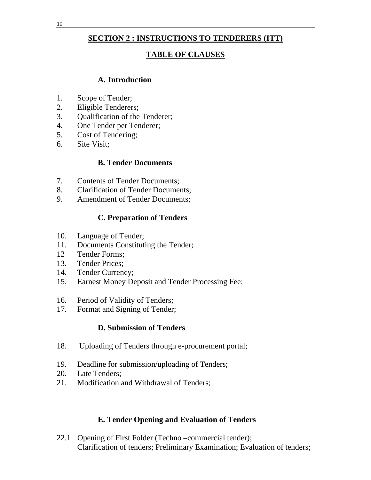## **SECTION 2 : INSTRUCTIONS TO TENDERERS (ITT)**

## **TABLE OF CLAUSES**

### **A. Introduction**

- 1. Scope of Tender;
- 2. Eligible Tenderers;
- 3. Qualification of the Tenderer;
- 4. One Tender per Tenderer;
- 5. Cost of Tendering;
- 6. Site Visit;

### **B. Tender Documents**

- 7. Contents of Tender Documents;
- 8. Clarification of Tender Documents;
- 9. Amendment of Tender Documents;

## **C. Preparation of Tenders**

- 10. Language of Tender;
- 11. Documents Constituting the Tender;
- 12 Tender Forms;
- 13. Tender Prices;
- 14. Tender Currency;
- 15. Earnest Money Deposit and Tender Processing Fee;
- 16. Period of Validity of Tenders;
- 17. Format and Signing of Tender;

### **D. Submission of Tenders**

- 18. Uploading of Tenders through e-procurement portal;
- 19. Deadline for submission/uploading of Tenders;
- 20. Late Tenders;
- 21. Modification and Withdrawal of Tenders;

### **E. Tender Opening and Evaluation of Tenders**

22.1 Opening of First Folder (Techno –commercial tender); Clarification of tenders; Preliminary Examination; Evaluation of tenders;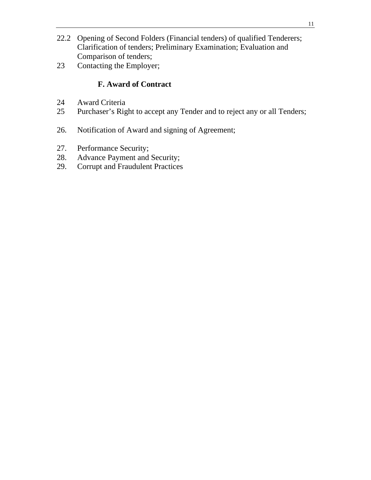- 22.2 Opening of Second Folders (Financial tenders) of qualified Tenderers; Clarification of tenders; Preliminary Examination; Evaluation and Comparison of tenders;
- 23 Contacting the Employer;

### **F. Award of Contract**

- 24 Award Criteria
- 25 Purchaser's Right to accept any Tender and to reject any or all Tenders;
- 26. Notification of Award and signing of Agreement;
- 27. Performance Security;
- 28. Advance Payment and Security;
- 29. Corrupt and Fraudulent Practices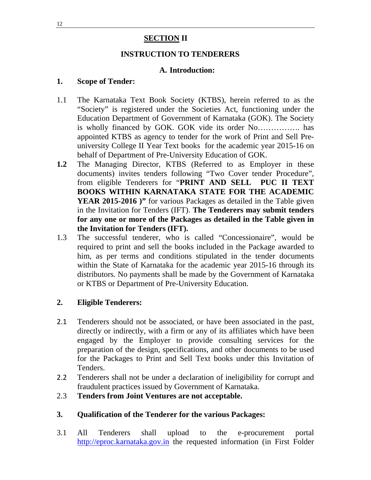### **SECTION II**

#### **INSTRUCTION TO TENDERERS**

### **A. Introduction:**

#### **1. Scope of Tender:**

- 1.1 The Karnataka Text Book Society (KTBS), herein referred to as the "Society" is registered under the Societies Act, functioning under the Education Department of Government of Karnataka (GOK). The Society is wholly financed by GOK. GOK vide its order No……………. has appointed KTBS as agency to tender for the work of Print and Sell Preuniversity College II Year Text books for the academic year 2015-16 on behalf of Department of Pre-University Education of GOK.
- **1.2** The Managing Director, KTBS (Referred to as Employer in these documents) invites tenders following "Two Cover tender Procedure", from eligible Tenderers for "**PRINT AND SELL PUC II TEXT BOOKS WITHIN KARNATAKA STATE FOR THE ACADEMIC**  YEAR 2015-2016 )" for various Packages as detailed in the Table given in the Invitation for Tenders (IFT). **The Tenderers may submit tenders for any one or more of the Packages as detailed in the Table given in the Invitation for Tenders (IFT).**
- 1.3 The successful tenderer, who is called "Concessionaire", would be required to print and sell the books included in the Package awarded to him, as per terms and conditions stipulated in the tender documents within the State of Karnataka for the academic year 2015-16 through its distributors. No payments shall be made by the Government of Karnataka or KTBS or Department of Pre-University Education.

### **2. Eligible Tenderers:**

- 2.1 Tenderers should not be associated, or have been associated in the past, directly or indirectly, with a firm or any of its affiliates which have been engaged by the Employer to provide consulting services for the preparation of the design, specifications, and other documents to be used for the Packages to Print and Sell Text books under this Invitation of Tenders.
- 2.2 Tenderers shall not be under a declaration of ineligibility for corrupt and fraudulent practices issued by Government of Karnataka.
- 2.3 **Tenders from Joint Ventures are not acceptable.**

### **3. Qualification of the Tenderer for the various Packages:**

3.1 All Tenderers shall upload to the e-procurement portal http://eproc.karnataka.gov.in the requested information (in First Folder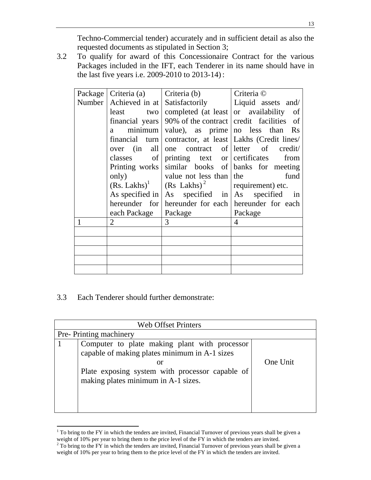Techno-Commercial tender) accurately and in sufficient detail as also the requested documents as stipulated in Section 3;

3.2 To qualify for award of this Concessionaire Contract for the various Packages included in the IFT, each Tenderer in its name should have in the last five years i.e. 2009-2010 to 2013-14):

| Package   Criteria (a)   Criteria (b) |                                                         | Criteria ©                                                                                                      |
|---------------------------------------|---------------------------------------------------------|-----------------------------------------------------------------------------------------------------------------|
|                                       |                                                         | Number   Achieved in at   Satisfactorily   Liquid assets and/                                                   |
|                                       |                                                         | least two completed (at least or availability of                                                                |
|                                       |                                                         | financial years   90% of the contract   credit facilities of                                                    |
| a.                                    |                                                         | minimum   value), as prime $ no$ less than Rs                                                                   |
|                                       |                                                         | financial turn   contractor, at least   Lakhs (Credit lines/                                                    |
|                                       |                                                         | over (in all one contract of letter of credit/                                                                  |
|                                       |                                                         | classes of printing text or certificates from                                                                   |
|                                       |                                                         | Printing works similar books of banks for meeting                                                               |
| only)                                 | $\vert$ value not less than $\vert$ the                 | fund                                                                                                            |
|                                       | $(Rs. Lakhs)^{1}$ $(Rs. Lakhs)^{2}$   requirement) etc. |                                                                                                                 |
|                                       |                                                         | As specified in $\begin{vmatrix} As \end{vmatrix}$ specified in $\begin{vmatrix} As \end{vmatrix}$ specified in |
|                                       |                                                         | hereunder for hereunder for each hereunder for each                                                             |
| each Package   Package                |                                                         | Package                                                                                                         |
| 2                                     | 3                                                       | $\boldsymbol{\vartriangle}$                                                                                     |
|                                       |                                                         |                                                                                                                 |
|                                       |                                                         |                                                                                                                 |
|                                       |                                                         |                                                                                                                 |
|                                       |                                                         |                                                                                                                 |
|                                       |                                                         |                                                                                                                 |

3.3 Each Tenderer should further demonstrate:

| <b>Web Offset Printers</b>                                                                                                                                                                     |          |  |  |  |
|------------------------------------------------------------------------------------------------------------------------------------------------------------------------------------------------|----------|--|--|--|
| Pre-Printing machinery                                                                                                                                                                         |          |  |  |  |
| Computer to plate making plant with processor<br>capable of making plates minimum in A-1 sizes<br>or<br>Plate exposing system with processor capable of<br>making plates minimum in A-1 sizes. | One Unit |  |  |  |
|                                                                                                                                                                                                |          |  |  |  |

 $1$  To bring to the FY in which the tenders are invited, Financial Turnover of previous years shall be given a weight of 10% per year to bring them to the price level of the FY in which the tenders are invited.<br><sup>2</sup> To bring to the FY in which the tenders are invited, Financial Turnover of previous years shall be given a

weight of 10% per year to bring them to the price level of the FY in which the tenders are invited.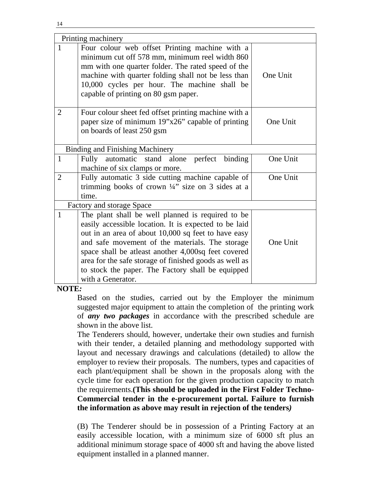| ٠<br>۰ |  |
|--------|--|
|--------|--|

|                                        | Printing machinery                                                                                                                                                                                                                                                                                                                                                                                              |          |  |  |  |
|----------------------------------------|-----------------------------------------------------------------------------------------------------------------------------------------------------------------------------------------------------------------------------------------------------------------------------------------------------------------------------------------------------------------------------------------------------------------|----------|--|--|--|
| 1                                      | Four colour web offset Printing machine with a<br>minimum cut off 578 mm, minimum reel width 860<br>mm with one quarter folder. The rated speed of the<br>machine with quarter folding shall not be less than<br>10,000 cycles per hour. The machine shall be<br>capable of printing on 80 gsm paper.                                                                                                           | One Unit |  |  |  |
| $\overline{2}$                         | Four colour sheet fed offset printing machine with a<br>paper size of minimum 19"x26" capable of printing<br>on boards of least 250 gsm                                                                                                                                                                                                                                                                         | One Unit |  |  |  |
| <b>Binding and Finishing Machinery</b> |                                                                                                                                                                                                                                                                                                                                                                                                                 |          |  |  |  |
| $\mathbf{1}$                           | Fully automatic stand alone perfect binding<br>machine of six clamps or more.                                                                                                                                                                                                                                                                                                                                   | One Unit |  |  |  |
| $\overline{2}$                         | Fully automatic 3 side cutting machine capable of<br>trimming books of crown $\frac{1}{4}$ " size on 3 sides at a<br>time.                                                                                                                                                                                                                                                                                      | One Unit |  |  |  |
|                                        | Factory and storage Space                                                                                                                                                                                                                                                                                                                                                                                       |          |  |  |  |
| $\mathbf{1}$                           | The plant shall be well planned is required to be<br>easily accessible location. It is expected to be laid<br>out in an area of about 10,000 sq feet to have easy<br>and safe movement of the materials. The storage<br>space shall be atleast another 4,000sq feet covered<br>area for the safe storage of finished goods as well as<br>to stock the paper. The Factory shall be equipped<br>with a Generator. | One Unit |  |  |  |

#### **NOTE***:*

Based on the studies, carried out by the Employer the minimum suggested major equipment to attain the completion of the printing work of *any two packages* in accordance with the prescribed schedule are shown in the above list.

The Tenderers should, however, undertake their own studies and furnish with their tender, a detailed planning and methodology supported with layout and necessary drawings and calculations (detailed) to allow the employer to review their proposals. The numbers, types and capacities of each plant/equipment shall be shown in the proposals along with the cycle time for each operation for the given production capacity to match the requirements.**(This should be uploaded in the First Folder Techno-Commercial tender in the e-procurement portal. Failure to furnish the information as above may result in rejection of the tenders***)* 

(B) The Tenderer should be in possession of a Printing Factory at an easily accessible location, with a minimum size of 6000 sft plus an additional minimum storage space of 4000 sft and having the above listed equipment installed in a planned manner.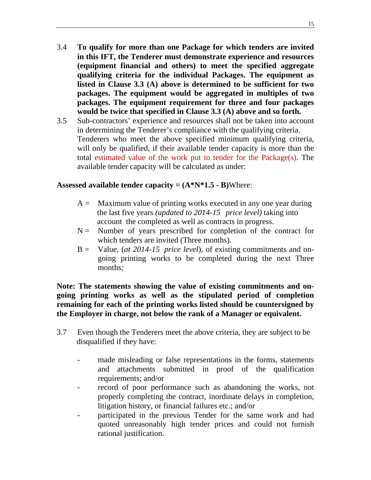- 3.4 **To qualify for more than one Package for which tenders are invited in this IFT, the Tenderer must demonstrate experience and resources (equipment financial and others) to meet the specified aggregate qualifying criteria for the individual Packages. The equipment as listed in Clause 3.3 (A) above is determined to be sufficient for two packages. The equipment would be aggregated in multiples of two packages. The equipment requirement for three and four packages would be twice that specified in Clause 3.3 (A) above and so forth.**
- 3.5 Sub-contractors' experience and resources shall not be taken into account in determining the Tenderer's compliance with the qualifying criteria. Tenderers who meet the above specified minimum qualifying criteria, will only be qualified, if their available tender capacity is more than the total estimated value of the work put to tender for the Package(s). The available tender capacity will be calculated as under:

#### **Assessed available tender capacity = (A\*N\*1.5 - B)**Where:

- $A =$  Maximum value of printing works executed in any one year during the last five years *(updated to 2014-15 price level)* taking into account the completed as well as contracts in progress.
- $N =$  Number of years prescribed for completion of the contract for which tenders are invited (Three months).
- B = Value, (*at 2014-15 price level*), of existing commitments and ongoing printing works to be completed during the next Three months*;*

### **Note: The statements showing the value of existing commitments and ongoing printing works as well as the stipulated period of completion remaining for each of the printing works listed should be countersigned by the Employer in charge, not below the rank of a Manager or equivalent.**

- 3.7 Even though the Tenderers meet the above criteria, they are subject to be disqualified if they have:
	- made misleading or false representations in the forms, statements and attachments submitted in proof of the qualification requirements; and/or
	- record of poor performance such as abandoning the works, not properly completing the contract, inordinate delays in completion, litigation history, or financial failures etc.; and/or
	- participated in the previous Tender for the same work and had quoted unreasonably high tender prices and could not furnish rational justification.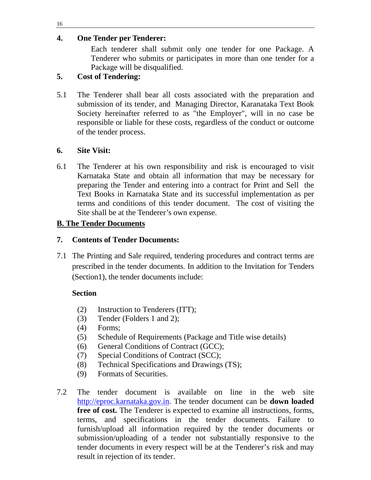### **4. One Tender per Tenderer:**

Each tenderer shall submit only one tender for one Package. A Tenderer who submits or participates in more than one tender for a Package will be disqualified.

### **5. Cost of Tendering:**

5.1 The Tenderer shall bear all costs associated with the preparation and submission of its tender, and Managing Director, Karanataka Text Book Society hereinafter referred to as "the Employer", will in no case be responsible or liable for these costs, regardless of the conduct or outcome of the tender process.

### **6. Site Visit:**

6.1 The Tenderer at his own responsibility and risk is encouraged to visit Karnataka State and obtain all information that may be necessary for preparing the Tender and entering into a contract for Print and Sell the Text Books in Karnataka State and its successful implementation as per terms and conditions of this tender document. The cost of visiting the Site shall be at the Tenderer's own expense.

### **B. The Tender Documents**

### **7. Contents of Tender Documents:**

7.1 The Printing and Sale required, tendering procedures and contract terms are prescribed in the tender documents. In addition to the Invitation for Tenders (Section1), the tender documents include:

### **Section**

- (2) Instruction to Tenderers (ITT);
- (3) Tender (Folders 1 and 2);
- (4) Forms;
- (5) Schedule of Requirements (Package and Title wise details)
- (6) General Conditions of Contract (GCC);
- (7) Special Conditions of Contract (SCC);
- (8) Technical Specifications and Drawings (TS);
- (9) Formats of Securities.
- 7.2 The tender document is available on line in the web site http://eproc.karnataka.gov.in. The tender document can be **down loaded free of cost.** The Tenderer is expected to examine all instructions, forms, terms, and specifications in the tender documents. Failure to furnish/upload all information required by the tender documents or submission/uploading of a tender not substantially responsive to the tender documents in every respect will be at the Tenderer's risk and may result in rejection of its tender.

16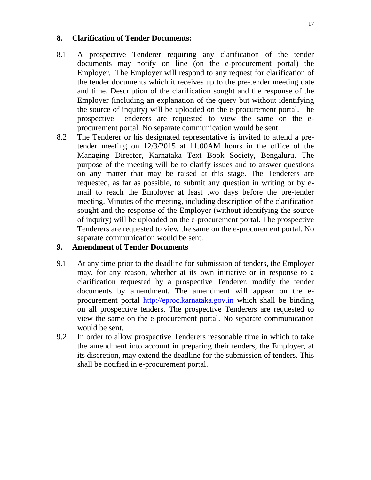#### **8. Clarification of Tender Documents:**

- 8.1 A prospective Tenderer requiring any clarification of the tender documents may notify on line (on the e-procurement portal) the Employer. The Employer will respond to any request for clarification of the tender documents which it receives up to the pre-tender meeting date and time. Description of the clarification sought and the response of the Employer (including an explanation of the query but without identifying the source of inquiry) will be uploaded on the e-procurement portal. The prospective Tenderers are requested to view the same on the eprocurement portal. No separate communication would be sent.
- 8.2 The Tenderer or his designated representative is invited to attend a pretender meeting on 12/3/2015 at 11.00AM hours in the office of the Managing Director, Karnataka Text Book Society, Bengaluru. The purpose of the meeting will be to clarify issues and to answer questions on any matter that may be raised at this stage. The Tenderers are requested, as far as possible, to submit any question in writing or by email to reach the Employer at least two days before the pre-tender meeting. Minutes of the meeting, including description of the clarification sought and the response of the Employer (without identifying the source of inquiry) will be uploaded on the e-procurement portal. The prospective Tenderers are requested to view the same on the e-procurement portal. No separate communication would be sent.

### **9. Amendment of Tender Documents**

- 9.1 At any time prior to the deadline for submission of tenders, the Employer may, for any reason, whether at its own initiative or in response to a clarification requested by a prospective Tenderer, modify the tender documents by amendment. The amendment will appear on the eprocurement portal http://eproc.karnataka.gov.in which shall be binding on all prospective tenders. The prospective Tenderers are requested to view the same on the e-procurement portal. No separate communication would be sent.
- 9.2 In order to allow prospective Tenderers reasonable time in which to take the amendment into account in preparing their tenders, the Employer, at its discretion, may extend the deadline for the submission of tenders. This shall be notified in e-procurement portal.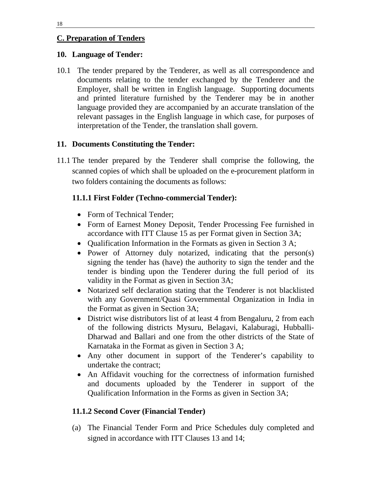### **C. Preparation of Tenders**

### **10. Language of Tender:**

10.1 The tender prepared by the Tenderer, as well as all correspondence and documents relating to the tender exchanged by the Tenderer and the Employer, shall be written in English language. Supporting documents and printed literature furnished by the Tenderer may be in another language provided they are accompanied by an accurate translation of the relevant passages in the English language in which case, for purposes of interpretation of the Tender, the translation shall govern.

### **11. Documents Constituting the Tender:**

11.1 The tender prepared by the Tenderer shall comprise the following, the scanned copies of which shall be uploaded on the e-procurement platform in two folders containing the documents as follows:

### **11.1.1 First Folder (Techno-commercial Tender):**

- Form of Technical Tender;
- Form of Earnest Money Deposit, Tender Processing Fee furnished in accordance with ITT Clause 15 as per Format given in Section 3A;
- Qualification Information in the Formats as given in Section 3 A;
- Power of Attorney duly notarized, indicating that the person(s) signing the tender has (have) the authority to sign the tender and the tender is binding upon the Tenderer during the full period of its validity in the Format as given in Section 3A;
- Notarized self declaration stating that the Tenderer is not blacklisted with any Government/Quasi Governmental Organization in India in the Format as given in Section 3A;
- District wise distributors list of at least 4 from Bengaluru, 2 from each of the following districts Mysuru, Belagavi, Kalaburagi, Hubballi-Dharwad and Ballari and one from the other districts of the State of Karnataka in the Format as given in Section 3 A;
- Any other document in support of the Tenderer's capability to undertake the contract;
- An Affidavit vouching for the correctness of information furnished and documents uploaded by the Tenderer in support of the Qualification Information in the Forms as given in Section 3A;

### **11.1.2 Second Cover (Financial Tender)**

 (a) The Financial Tender Form and Price Schedules duly completed and signed in accordance with ITT Clauses 13 and 14;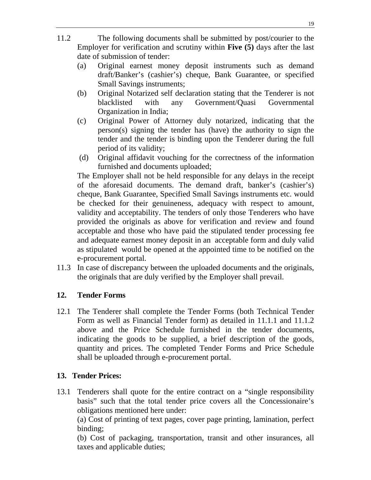- 11.2 The following documents shall be submitted by post/courier to the Employer for verification and scrutiny within **Five (5)** days after the last date of submission of tender:
	- (a) Original earnest money deposit instruments such as demand draft/Banker's (cashier's) cheque, Bank Guarantee, or specified Small Savings instruments;
	- (b) Original Notarized self declaration stating that the Tenderer is not blacklisted with any Government/Quasi Governmental Organization in India;
	- (c) Original Power of Attorney duly notarized, indicating that the person(s) signing the tender has (have) the authority to sign the tender and the tender is binding upon the Tenderer during the full period of its validity;
	- (d) Original affidavit vouching for the correctness of the information furnished and documents uploaded;

The Employer shall not be held responsible for any delays in the receipt of the aforesaid documents. The demand draft, banker's (cashier's) cheque, Bank Guarantee, Specified Small Savings instruments etc. would be checked for their genuineness, adequacy with respect to amount, validity and acceptability. The tenders of only those Tenderers who have provided the originals as above for verification and review and found acceptable and those who have paid the stipulated tender processing fee and adequate earnest money deposit in an acceptable form and duly valid as stipulated would be opened at the appointed time to be notified on the e-procurement portal.

11.3 In case of discrepancy between the uploaded documents and the originals, the originals that are duly verified by the Employer shall prevail.

### **12. Tender Forms**

12.1 The Tenderer shall complete the Tender Forms (both Technical Tender Form as well as Financial Tender form) as detailed in 11.1.1 and 11.1.2 above and the Price Schedule furnished in the tender documents, indicating the goods to be supplied, a brief description of the goods, quantity and prices. The completed Tender Forms and Price Schedule shall be uploaded through e-procurement portal.

### **13. Tender Prices:**

13.1 Tenderers shall quote for the entire contract on a "single responsibility basis" such that the total tender price covers all the Concessionaire's obligations mentioned here under:

 (a) Cost of printing of text pages, cover page printing, lamination, perfect binding;

 (b) Cost of packaging, transportation, transit and other insurances, all taxes and applicable duties;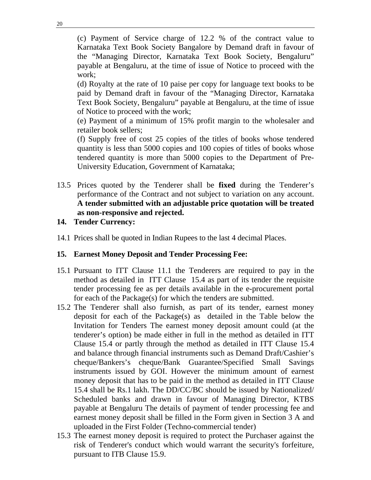(c) Payment of Service charge of 12.2 % of the contract value to Karnataka Text Book Society Bangalore by Demand draft in favour of the "Managing Director, Karnataka Text Book Society, Bengaluru" payable at Bengaluru, at the time of issue of Notice to proceed with the work;

 (d) Royalty at the rate of 10 paise per copy for language text books to be paid by Demand draft in favour of the "Managing Director, Karnataka Text Book Society, Bengaluru" payable at Bengaluru, at the time of issue of Notice to proceed with the work;

 (e) Payment of a minimum of 15% profit margin to the wholesaler and retailer book sellers;

 (f) Supply free of cost 25 copies of the titles of books whose tendered quantity is less than 5000 copies and 100 copies of titles of books whose tendered quantity is more than 5000 copies to the Department of Pre-University Education, Government of Karnataka;

13.5 Prices quoted by the Tenderer shall be **fixed** during the Tenderer's performance of the Contract and not subject to variation on any account. **A tender submitted with an adjustable price quotation will be treated as non-responsive and rejected.** 

#### **14. Tender Currency:**

14.1 Prices shall be quoted in Indian Rupees to the last 4 decimal Places.

#### **15. Earnest Money Deposit and Tender Processing Fee:**

- 15.1 Pursuant to ITT Clause 11.1 the Tenderers are required to pay in the method as detailed in ITT Clause 15.4 as part of its tender the requisite tender processing fee as per details available in the e-procurement portal for each of the Package(s) for which the tenders are submitted.
- 15.2 The Tenderer shall also furnish, as part of its tender, earnest money deposit for each of the Package(s) as detailed in the Table below the Invitation for Tenders The earnest money deposit amount could (at the tenderer's option) be made either in full in the method as detailed in ITT Clause 15.4 or partly through the method as detailed in ITT Clause 15.4 and balance through financial instruments such as Demand Draft/Cashier's cheque/Bankers's cheque/Bank Guarantee/Specified Small Savings instruments issued by GOI. However the minimum amount of earnest money deposit that has to be paid in the method as detailed in ITT Clause 15.4 shall be Rs.1 lakh. The DD/CC/BC should be issued by Nationalized/ Scheduled banks and drawn in favour of Managing Director, KTBS payable at Bengaluru The details of payment of tender processing fee and earnest money deposit shall be filled in the Form given in Section 3 A and uploaded in the First Folder (Techno-commercial tender)
- 15.3 The earnest money deposit is required to protect the Purchaser against the risk of Tenderer's conduct which would warrant the security's forfeiture, pursuant to ITB Clause 15.9.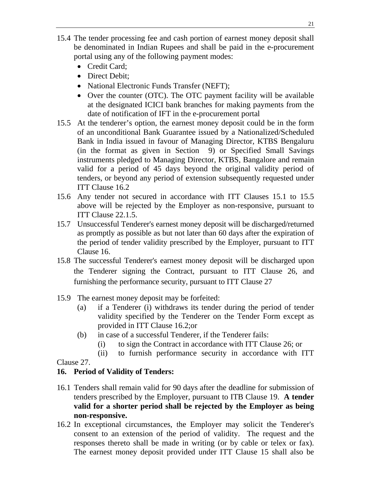- 15.4 The tender processing fee and cash portion of earnest money deposit shall be denominated in Indian Rupees and shall be paid in the e-procurement portal using any of the following payment modes:
	- Credit Card:
	- Direct Debit;
	- National Electronic Funds Transfer (NEFT);
	- Over the counter (OTC). The OTC payment facility will be available at the designated ICICI bank branches for making payments from the date of notification of IFT in the e-procurement portal
- 15.5 At the tenderer's option, the earnest money deposit could be in the form of an unconditional Bank Guarantee issued by a Nationalized/Scheduled Bank in India issued in favour of Managing Director, KTBS Bengaluru (in the format as given in Section 9) or Specified Small Savings instruments pledged to Managing Director, KTBS, Bangalore and remain valid for a period of 45 days beyond the original validity period of tenders, or beyond any period of extension subsequently requested under ITT Clause 16.2
- 15.6 Any tender not secured in accordance with ITT Clauses 15.1 to 15.5 above will be rejected by the Employer as non-responsive, pursuant to ITT Clause 22.1.5.
- 15.7 Unsuccessful Tenderer's earnest money deposit will be discharged/returned as promptly as possible as but not later than 60 days after the expiration of the period of tender validity prescribed by the Employer, pursuant to ITT Clause 16.
- 15.8 The successful Tenderer's earnest money deposit will be discharged upon the Tenderer signing the Contract, pursuant to ITT Clause 26, and furnishing the performance security, pursuant to ITT Clause 27
- 15.9 The earnest money deposit may be forfeited:
	- (a) if a Tenderer (i) withdraws its tender during the period of tender validity specified by the Tenderer on the Tender Form except as provided in ITT Clause 16.2;or
	- (b) in case of a successful Tenderer, if the Tenderer fails:
		- (i) to sign the Contract in accordance with ITT Clause 26; or
		- (ii) to furnish performance security in accordance with ITT

Clause 27.

## **16. Period of Validity of Tenders:**

- 16.1 Tenders shall remain valid for 90 days after the deadline for submission of tenders prescribed by the Employer, pursuant to ITB Clause 19. **A tender valid for a shorter period shall be rejected by the Employer as being non-responsive.**
- 16.2 In exceptional circumstances, the Employer may solicit the Tenderer's consent to an extension of the period of validity. The request and the responses thereto shall be made in writing (or by cable or telex or fax). The earnest money deposit provided under ITT Clause 15 shall also be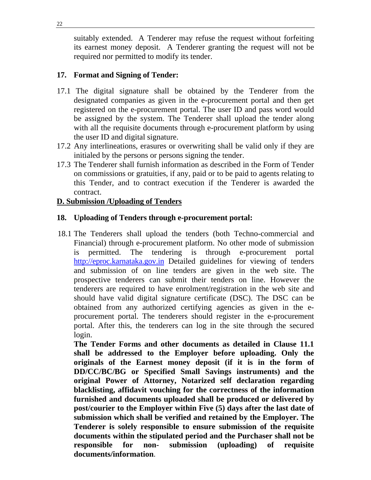suitably extended. A Tenderer may refuse the request without forfeiting its earnest money deposit. A Tenderer granting the request will not be required nor permitted to modify its tender.

### **17. Format and Signing of Tender:**

- 17.1 The digital signature shall be obtained by the Tenderer from the designated companies as given in the e-procurement portal and then get registered on the e-procurement portal. The user ID and pass word would be assigned by the system. The Tenderer shall upload the tender along with all the requisite documents through e-procurement platform by using the user ID and digital signature.
- 17.2 Any interlineations, erasures or overwriting shall be valid only if they are initialed by the persons or persons signing the tender.
- 17.3 The Tenderer shall furnish information as described in the Form of Tender on commissions or gratuities, if any, paid or to be paid to agents relating to this Tender, and to contract execution if the Tenderer is awarded the contract.

### **D. Submission /Uploading of Tenders**

### **18. Uploading of Tenders through e-procurement portal:**

18.1 The Tenderers shall upload the tenders (both Techno-commercial and Financial) through e-procurement platform. No other mode of submission is permitted. The tendering is through e-procurement portal http://eproc.karnataka.gov.in Detailed guidelines for viewing of tenders and submission of on line tenders are given in the web site. The prospective tenderers can submit their tenders on line. However the tenderers are required to have enrolment/registration in the web site and should have valid digital signature certificate (DSC). The DSC can be obtained from any authorized certifying agencies as given in the eprocurement portal. The tenderers should register in the e-procurement portal. After this, the tenderers can log in the site through the secured login.

**The Tender Forms and other documents as detailed in Clause 11.1 shall be addressed to the Employer before uploading. Only the originals of the Earnest money deposit (if it is in the form of DD/CC/BC/BG or Specified Small Savings instruments) and the original Power of Attorney, Notarized self declaration regarding blacklisting, affidavit vouching for the correctness of the information furnished and documents uploaded shall be produced or delivered by post/courier to the Employer within Five (5) days after the last date of submission which shall be verified and retained by the Employer. The Tenderer is solely responsible to ensure submission of the requisite documents within the stipulated period and the Purchaser shall not be responsible for non- submission (uploading) of requisite documents/information**.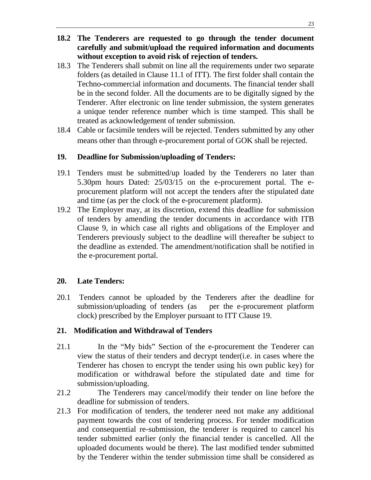- **18.2 The Tenderers are requested to go through the tender document carefully and submit/upload the required information and documents without exception to avoid risk of rejection of tenders.**
- 18.3 The Tenderers shall submit on line all the requirements under two separate folders (as detailed in Clause 11.1 of ITT). The first folder shall contain the Techno-commercial information and documents. The financial tender shall be in the second folder. All the documents are to be digitally signed by the Tenderer. After electronic on line tender submission, the system generates a unique tender reference number which is time stamped. This shall be treated as acknowledgement of tender submission.
- 18.4 Cable or facsimile tenders will be rejected. Tenders submitted by any other means other than through e-procurement portal of GOK shall be rejected.

### **19. Deadline for Submission/uploading of Tenders:**

- 19.1 Tenders must be submitted/up loaded by the Tenderers no later than 5.30pm hours Dated: 25/03/15 on the e-procurement portal. The eprocurement platform will not accept the tenders after the stipulated date and time (as per the clock of the e-procurement platform).
- 19.2 The Employer may, at its discretion, extend this deadline for submission of tenders by amending the tender documents in accordance with ITB Clause 9, in which case all rights and obligations of the Employer and Tenderers previously subject to the deadline will thereafter be subject to the deadline as extended. The amendment/notification shall be notified in the e-procurement portal.

### **20. Late Tenders:**

20.1 Tenders cannot be uploaded by the Tenderers after the deadline for submission/uploading of tenders (as per the e-procurement platform clock) prescribed by the Employer pursuant to ITT Clause 19.

### **21. Modification and Withdrawal of Tenders**

- 21.1 In the "My bids" Section of the e-procurement the Tenderer can view the status of their tenders and decrypt tender(i.e. in cases where the Tenderer has chosen to encrypt the tender using his own public key) for modification or withdrawal before the stipulated date and time for submission/uploading.
- 21.2 The Tenderers may cancel/modify their tender on line before the deadline for submission of tenders.
- 21.3 For modification of tenders, the tenderer need not make any additional payment towards the cost of tendering process. For tender modification and consequential re-submission, the tenderer is required to cancel his tender submitted earlier (only the financial tender is cancelled. All the uploaded documents would be there). The last modified tender submitted by the Tenderer within the tender submission time shall be considered as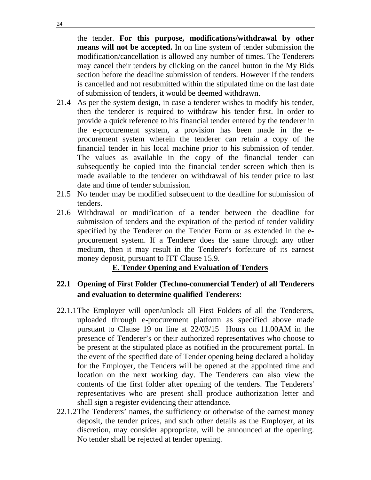the tender. **For this purpose, modifications/withdrawal by other means will not be accepted.** In on line system of tender submission the modification/cancellation is allowed any number of times. The Tenderers may cancel their tenders by clicking on the cancel button in the My Bids section before the deadline submission of tenders. However if the tenders is cancelled and not resubmitted within the stipulated time on the last date of submission of tenders, it would be deemed withdrawn.

- 21.4 As per the system design, in case a tenderer wishes to modify his tender, then the tenderer is required to withdraw his tender first. In order to provide a quick reference to his financial tender entered by the tenderer in the e-procurement system, a provision has been made in the eprocurement system wherein the tenderer can retain a copy of the financial tender in his local machine prior to his submission of tender. The values as available in the copy of the financial tender can subsequently be copied into the financial tender screen which then is made available to the tenderer on withdrawal of his tender price to last date and time of tender submission.
- 21.5 No tender may be modified subsequent to the deadline for submission of tenders.
- 21.6 Withdrawal or modification of a tender between the deadline for submission of tenders and the expiration of the period of tender validity specified by the Tenderer on the Tender Form or as extended in the eprocurement system. If a Tenderer does the same through any other medium, then it may result in the Tenderer's forfeiture of its earnest money deposit, pursuant to ITT Clause 15.9.

### **E. Tender Opening and Evaluation of Tenders**

## **22.1 Opening of First Folder (Techno-commercial Tender) of all Tenderers and evaluation to determine qualified Tenderers:**

- 22.1.1 The Employer will open/unlock all First Folders of all the Tenderers, uploaded through e-procurement platform as specified above made pursuant to Clause 19 on line at 22/03/15 Hours on 11.00AM in the presence of Tenderer's or their authorized representatives who choose to be present at the stipulated place as notified in the procurement portal. In the event of the specified date of Tender opening being declared a holiday for the Employer, the Tenders will be opened at the appointed time and location on the next working day. The Tenderers can also view the contents of the first folder after opening of the tenders. The Tenderers' representatives who are present shall produce authorization letter and shall sign a register evidencing their attendance.
- 22.1.2 The Tenderers' names, the sufficiency or otherwise of the earnest money deposit, the tender prices, and such other details as the Employer, at its discretion, may consider appropriate, will be announced at the opening. No tender shall be rejected at tender opening.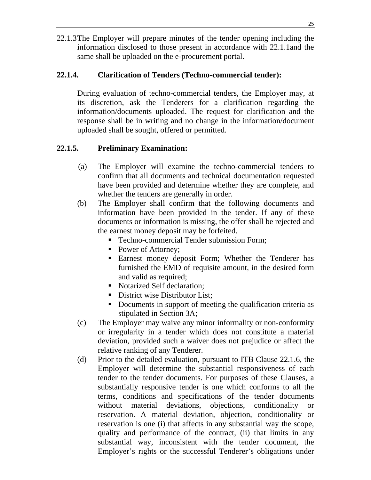22.1.3 The Employer will prepare minutes of the tender opening including the information disclosed to those present in accordance with 22.1.1and the same shall be uploaded on the e-procurement portal.

### **22.1.4. Clarification of Tenders (Techno-commercial tender):**

During evaluation of techno-commercial tenders, the Employer may, at its discretion, ask the Tenderers for a clarification regarding the information/documents uploaded. The request for clarification and the response shall be in writing and no change in the information/document uploaded shall be sought, offered or permitted.

### **22.1.5. Preliminary Examination:**

- (a) The Employer will examine the techno-commercial tenders to confirm that all documents and technical documentation requested have been provided and determine whether they are complete, and whether the tenders are generally in order.
- (b) The Employer shall confirm that the following documents and information have been provided in the tender. If any of these documents or information is missing, the offer shall be rejected and the earnest money deposit may be forfeited.
	- **Techno-commercial Tender submission Form;**
	- Power of Attorney;
	- **Earnest money deposit Form; Whether the Tenderer has** furnished the EMD of requisite amount, in the desired form and valid as required;
	- Notarized Self declaration:
	- District wise Distributor List:
	- Documents in support of meeting the qualification criteria as stipulated in Section 3A;
- (c) The Employer may waive any minor informality or non-conformity or irregularity in a tender which does not constitute a material deviation, provided such a waiver does not prejudice or affect the relative ranking of any Tenderer.
- (d) Prior to the detailed evaluation, pursuant to ITB Clause 22.1.6, the Employer will determine the substantial responsiveness of each tender to the tender documents. For purposes of these Clauses, a substantially responsive tender is one which conforms to all the terms, conditions and specifications of the tender documents without material deviations, objections, conditionality or reservation. A material deviation, objection, conditionality or reservation is one (i) that affects in any substantial way the scope, quality and performance of the contract, (ii) that limits in any substantial way, inconsistent with the tender document, the Employer's rights or the successful Tenderer's obligations under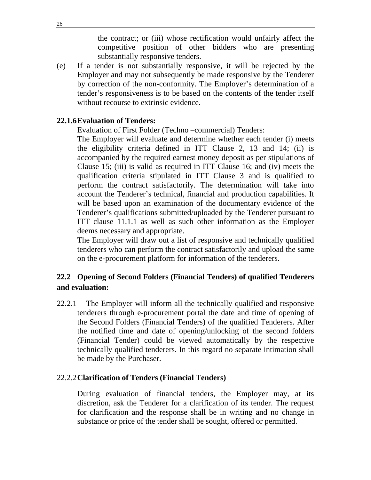the contract; or (iii) whose rectification would unfairly affect the competitive position of other bidders who are presenting substantially responsive tenders.

(e) If a tender is not substantially responsive, it will be rejected by the Employer and may not subsequently be made responsive by the Tenderer by correction of the non-conformity. The Employer's determination of a tender's responsiveness is to be based on the contents of the tender itself without recourse to extrinsic evidence.

#### **22.1.6 Evaluation of Tenders:**

Evaluation of First Folder (Techno –commercial) Tenders:

The Employer will evaluate and determine whether each tender (i) meets the eligibility criteria defined in ITT Clause 2, 13 and 14; (ii) is accompanied by the required earnest money deposit as per stipulations of Clause 15; (iii) is valid as required in ITT Clause 16; and (iv) meets the qualification criteria stipulated in ITT Clause 3 and is qualified to perform the contract satisfactorily. The determination will take into account the Tenderer's technical, financial and production capabilities. It will be based upon an examination of the documentary evidence of the Tenderer's qualifications submitted/uploaded by the Tenderer pursuant to ITT clause 11.1.1 as well as such other information as the Employer deems necessary and appropriate.

The Employer will draw out a list of responsive and technically qualified tenderers who can perform the contract satisfactorily and upload the same on the e-procurement platform for information of the tenderers.

### **22.2 Opening of Second Folders (Financial Tenders) of qualified Tenderers and evaluation:**

22.2.1 The Employer will inform all the technically qualified and responsive tenderers through e-procurement portal the date and time of opening of the Second Folders (Financial Tenders) of the qualified Tenderers. After the notified time and date of opening/unlocking of the second folders (Financial Tender) could be viewed automatically by the respective technically qualified tenderers. In this regard no separate intimation shall be made by the Purchaser.

#### 22.2.2 **Clarification of Tenders (Financial Tenders)**

During evaluation of financial tenders, the Employer may, at its discretion, ask the Tenderer for a clarification of its tender. The request for clarification and the response shall be in writing and no change in substance or price of the tender shall be sought, offered or permitted.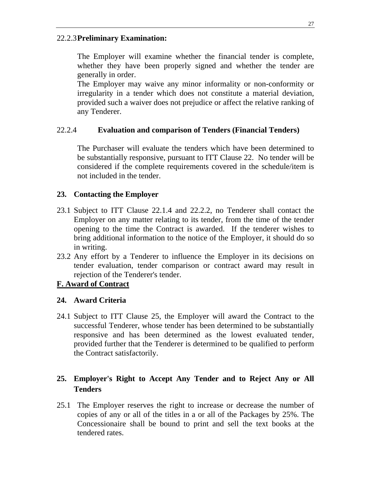#### 22.2.3 **Preliminary Examination:**

The Employer will examine whether the financial tender is complete, whether they have been properly signed and whether the tender are generally in order.

The Employer may waive any minor informality or non-conformity or irregularity in a tender which does not constitute a material deviation, provided such a waiver does not prejudice or affect the relative ranking of any Tenderer.

### 22.2.4 **Evaluation and comparison of Tenders (Financial Tenders)**

The Purchaser will evaluate the tenders which have been determined to be substantially responsive, pursuant to ITT Clause 22. No tender will be considered if the complete requirements covered in the schedule/item is not included in the tender.

### **23. Contacting the Employer**

- 23.1 Subject to ITT Clause 22.1.4 and 22.2.2, no Tenderer shall contact the Employer on any matter relating to its tender, from the time of the tender opening to the time the Contract is awarded. If the tenderer wishes to bring additional information to the notice of the Employer, it should do so in writing.
- 23.2 Any effort by a Tenderer to influence the Employer in its decisions on tender evaluation, tender comparison or contract award may result in rejection of the Tenderer's tender.

### **F. Award of Contract**

### **24. Award Criteria**

24.1 Subject to ITT Clause 25, the Employer will award the Contract to the successful Tenderer, whose tender has been determined to be substantially responsive and has been determined as the lowest evaluated tender, provided further that the Tenderer is determined to be qualified to perform the Contract satisfactorily.

### **25. Employer's Right to Accept Any Tender and to Reject Any or All Tenders**

25.1 The Employer reserves the right to increase or decrease the number of copies of any or all of the titles in a or all of the Packages by 25%. The Concessionaire shall be bound to print and sell the text books at the tendered rates.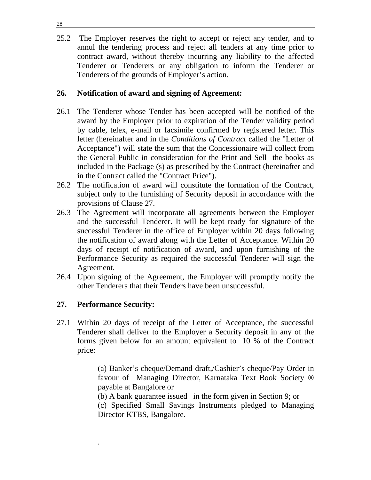25.2 The Employer reserves the right to accept or reject any tender, and to annul the tendering process and reject all tenders at any time prior to contract award, without thereby incurring any liability to the affected Tenderer or Tenderers or any obligation to inform the Tenderer or Tenderers of the grounds of Employer's action.

### **26. Notification of award and signing of Agreement:**

- 26.1 The Tenderer whose Tender has been accepted will be notified of the award by the Employer prior to expiration of the Tender validity period by cable, telex, e-mail or facsimile confirmed by registered letter. This letter (hereinafter and in the *Conditions of Contract* called the "Letter of Acceptance") will state the sum that the Concessionaire will collect from the General Public in consideration for the Print and Sell the books as included in the Package (s) as prescribed by the Contract (hereinafter and in the Contract called the "Contract Price").
- 26.2 The notification of award will constitute the formation of the Contract, subject only to the furnishing of Security deposit in accordance with the provisions of Clause 27.
- 26.3 The Agreement will incorporate all agreements between the Employer and the successful Tenderer. It will be kept ready for signature of the successful Tenderer in the office of Employer within 20 days following the notification of award along with the Letter of Acceptance. Within 20 days of receipt of notification of award, and upon furnishing of the Performance Security as required the successful Tenderer will sign the Agreement.
- 26.4 Upon signing of the Agreement, the Employer will promptly notify the other Tenderers that their Tenders have been unsuccessful.

### **27. Performance Security:**

.

27.1 Within 20 days of receipt of the Letter of Acceptance, the successful Tenderer shall deliver to the Employer a Security deposit in any of the forms given below for an amount equivalent to 10 % of the Contract price:

> (a) Banker's cheque/Demand draft,/Cashier's cheque/Pay Order in favour of Managing Director, Karnataka Text Book Society ® payable at Bangalore or

(b) A bank guarantee issued in the form given in Section 9; or

(c) Specified Small Savings Instruments pledged to Managing Director KTBS, Bangalore.

28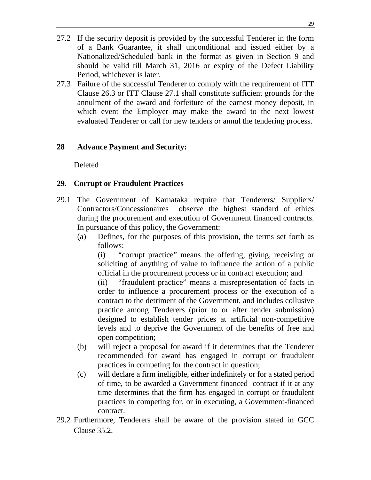- 27.2 If the security deposit is provided by the successful Tenderer in the form of a Bank Guarantee, it shall unconditional and issued either by a Nationalized/Scheduled bank in the format as given in Section 9 and should be valid till March 31, 2016 or expiry of the Defect Liability Period, whichever is later.
- 27.3 Failure of the successful Tenderer to comply with the requirement of ITT Clause 26.3 or ITT Clause 27.1 shall constitute sufficient grounds for the annulment of the award and forfeiture of the earnest money deposit, in which event the Employer may make the award to the next lowest evaluated Tenderer or call for new tenders or annul the tendering process.

### **28 Advance Payment and Security:**

Deleted

### **29. Corrupt or Fraudulent Practices**

- 29.1 The Government of Karnataka require that Tenderers/ Suppliers/ Contractors/Concessionaires observe the highest standard of ethics during the procurement and execution of Government financed contracts. In pursuance of this policy, the Government:
	- (a) Defines, for the purposes of this provision, the terms set forth as follows:

(i) "corrupt practice" means the offering, giving, receiving or soliciting of anything of value to influence the action of a public official in the procurement process or in contract execution; and

(ii) "fraudulent practice" means a misrepresentation of facts in order to influence a procurement process or the execution of a contract to the detriment of the Government, and includes collusive practice among Tenderers (prior to or after tender submission) designed to establish tender prices at artificial non-competitive levels and to deprive the Government of the benefits of free and open competition;

- (b) will reject a proposal for award if it determines that the Tenderer recommended for award has engaged in corrupt or fraudulent practices in competing for the contract in question;
- (c) will declare a firm ineligible, either indefinitely or for a stated period of time, to be awarded a Government financed contract if it at any time determines that the firm has engaged in corrupt or fraudulent practices in competing for, or in executing, a Government-financed contract.
- 29.2 Furthermore, Tenderers shall be aware of the provision stated in GCC Clause 35.2.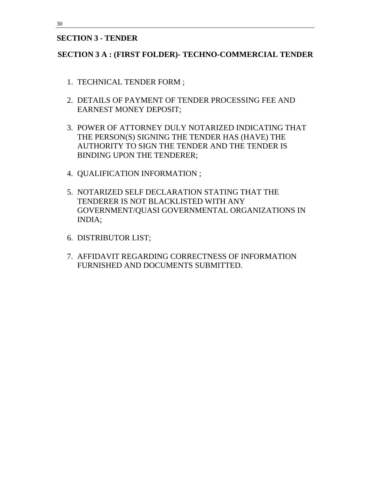#### **SECTION 3 - TENDER**

### **SECTION 3 A : (FIRST FOLDER)- TECHNO-COMMERCIAL TENDER**

- 1. TECHNICAL TENDER FORM ;
- 2. DETAILS OF PAYMENT OF TENDER PROCESSING FEE AND EARNEST MONEY DEPOSIT;
- 3. POWER OF ATTORNEY DULY NOTARIZED INDICATING THAT THE PERSON(S) SIGNING THE TENDER HAS (HAVE) THE AUTHORITY TO SIGN THE TENDER AND THE TENDER IS BINDING UPON THE TENDERER;
- 4. QUALIFICATION INFORMATION ;
- 5. NOTARIZED SELF DECLARATION STATING THAT THE TENDERER IS NOT BLACKLISTED WITH ANY GOVERNMENT/QUASI GOVERNMENTAL ORGANIZATIONS IN INDIA;
- 6. DISTRIBUTOR LIST;
- 7. AFFIDAVIT REGARDING CORRECTNESS OF INFORMATION FURNISHED AND DOCUMENTS SUBMITTED.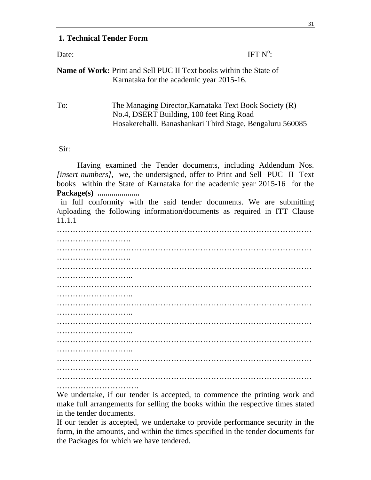#### **1. Technical Tender Form**

# Date: IFT  $N^{\circ}$ **Name of Work:** Print and Sell PUC II Text books within the State of Karnataka for the academic year 2015-16.

To: The Managing Director,Karnataka Text Book Society (R) No.4, DSERT Building, 100 feet Ring Road Hosakerehalli, Banashankari Third Stage, Bengaluru 560085

Sir:

Having examined the Tender documents, including Addendum Nos. *[insert numbers]*, we, the undersigned, offer to Print and Sell PUC II Text books within the State of Karnataka for the academic year 2015-16 for the **Package(s) .....................** 

 in full conformity with the said tender documents. We are submitting /uploading the following information/documents as required in ITT Clause 11.1.1

…………………………………………………………………………………… ………………………… …………………………………………………………………………………… ………………………. …………………………………………………………………………………… ……………………….. …………………………………………………………………………………… ……………………………………… …………………………………………………………………………………… ………………………… …………………………………………………………………………………… ……………………………………… …………………………………………………………………………………… ………………………… …………………………………………………………………………………… …………………………. …………………………………………………………………………………… ……………………………………

We undertake, if our tender is accepted, to commence the printing work and make full arrangements for selling the books within the respective times stated in the tender documents.

If our tender is accepted, we undertake to provide performance security in the form, in the amounts, and within the times specified in the tender documents for the Packages for which we have tendered.

IFT  $N^{\circ}$ :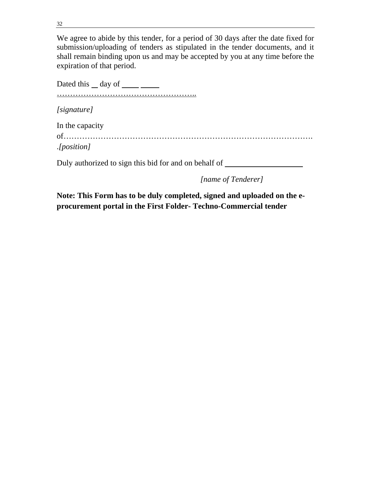We agree to abide by this tender, for a period of 30 days after the date fixed for submission/uploading of tenders as stipulated in the tender documents, and it shall remain binding upon us and may be accepted by you at any time before the expiration of that period.

Dated this  $\_\$  day of  $\_\_\_\_\_\_\_\_\_\_\_\_\_\_\_\_\_\_$ ……………………………………………..

*[signature]*

In the capacity

of………………………………………………………………………………….

.*[position]*

Duly authorized to sign this bid for and on behalf of \_\_\_\_\_\_\_\_\_\_\_\_\_\_\_\_\_\_\_\_\_\_\_\_\_\_\_

*[name of Tenderer]* 

**Note: This Form has to be duly completed, signed and uploaded on the eprocurement portal in the First Folder- Techno-Commercial tender**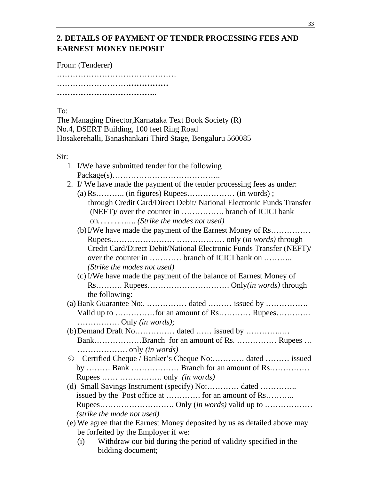## **2. DETAILS OF PAYMENT OF TENDER PROCESSING FEES AND EARNEST MONEY DEPOSIT**

From: (Tenderer)

……………………………………… ………………………**…………… ………………………………..** 

To:

The Managing Director,Karnataka Text Book Society (R) No.4, DSERT Building, 100 feet Ring Road Hosakerehalli, Banashankari Third Stage, Bengaluru 560085

Sir:

| 1. I/We have submitted tender for the following                           |
|---------------------------------------------------------------------------|
|                                                                           |
| 2. I/We have made the payment of the tender processing fees as under:     |
|                                                                           |
| through Credit Card/Direct Debit/ National Electronic Funds Transfer      |
| (NEFT)/ over the counter in  branch of ICICI bank                         |
| on (Strike the modes not used)                                            |
| (b) I/We have made the payment of the Earnest Money of Rs                 |
|                                                                           |
| Credit Card/Direct Debit/National Electronic Funds Transfer (NEFT)/       |
| over the counter in  branch of ICICI bank on                              |
| (Strike the modes not used)                                               |
| (c) I/We have made the payment of the balance of Earnest Money of         |
|                                                                           |
| the following:                                                            |
|                                                                           |
| Valid up to for an amount of Rs Rupees                                    |
| $\ldots$ Only <i>(in words)</i> ;                                         |
| (b) Demand Draft No dated  issued by                                      |
| BankBranch for an amount of Rs.  Rupees                                   |
|                                                                           |
| © Certified Cheque / Banker's Cheque No: dated  issued                    |
| by  Bank  Branch for an amount of Rs                                      |
|                                                                           |
| (d) Small Savings Instrument (specify) No:  dated                         |
| issued by the Post office at  for an amount of Rs                         |
|                                                                           |
| (strike the mode not used)                                                |
| (e) We agree that the Earnest Money deposited by us as detailed above may |
| be forfeited by the Employer if we:                                       |
| Withdraw our bid during the period of validity specified in the<br>(i)    |
| bidding document;                                                         |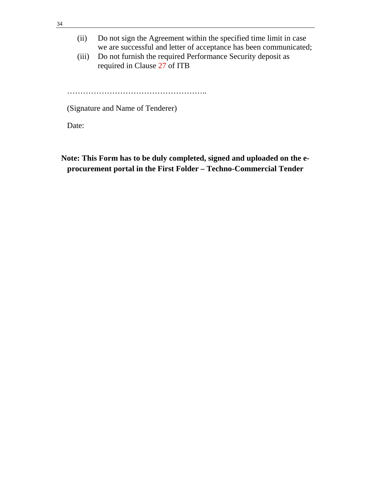- (ii) Do not sign the Agreement within the specified time limit in case we are successful and letter of acceptance has been communicated;
- (iii) Do not furnish the required Performance Security deposit as required in Clause 27 of ITB

……………………………

(Signature and Name of Tenderer)

Date:

**Note: This Form has to be duly completed, signed and uploaded on the eprocurement portal in the First Folder – Techno-Commercial Tender**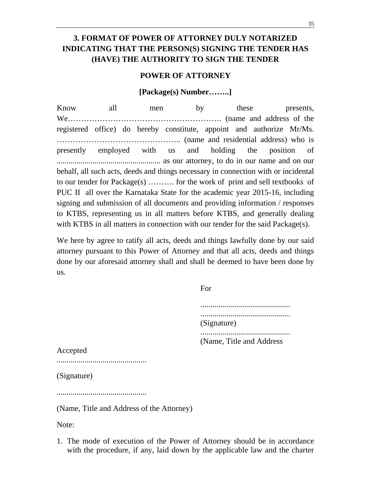## **3. FORMAT OF POWER OF ATTORNEY DULY NOTARIZED INDICATING THAT THE PERSON(S) SIGNING THE TENDER HAS (HAVE) THE AUTHORITY TO SIGN THE TENDER**

#### **POWER OF ATTORNEY**

#### **[Package(s) Number……..]**

Know all men by these presents, We…………………………………………………. (name and address of the registered office) do hereby constitute, appoint and authorize Mr/Ms. ……………………………………….. (name and residential address) who is presently employed with us and holding the position of .................................................... as our attorney, to do in our name and on our behalf, all such acts, deeds and things necessary in connection with or incidental to our tender for Package(s) ………. for the work of print and sell textbooks of PUC II all over the Karnataka State for the academic year 2015-16, including signing and submission of all documents and providing information / responses to KTBS, representing us in all matters before KTBS, and generally dealing with KTBS in all matters in connection with our tender for the said Package(s).

We here by agree to ratify all acts, deeds and things lawfully done by our said attorney pursuant to this Power of Attorney and that all acts, deeds and things done by our aforesaid attorney shall and shall be deemed to have been done by us.

For

 ............................................. ............................................. (Signature) ............................................. (Name, Title and Address

Accepted

.............................................

(Signature)

.............................................

(Name, Title and Address of the Attorney)

Note:

1. The mode of execution of the Power of Attorney should be in accordance with the procedure, if any, laid down by the applicable law and the charter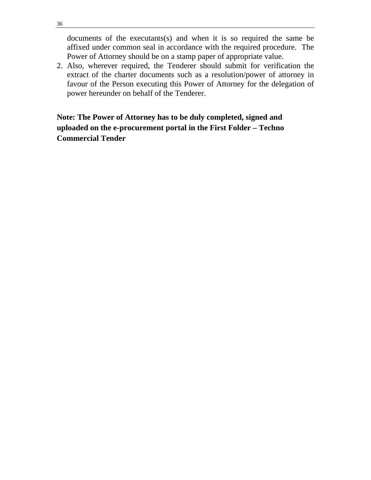documents of the executants(s) and when it is so required the same be affixed under common seal in accordance with the required procedure. The Power of Attorney should be on a stamp paper of appropriate value.

2. Also, wherever required, the Tenderer should submit for verification the extract of the charter documents such as a resolution/power of attorney in favour of the Person executing this Power of Attorney for the delegation of power hereunder on behalf of the Tenderer.

## **Note: The Power of Attorney has to be duly completed, signed and uploaded on the e-procurement portal in the First Folder – Techno Commercial Tender**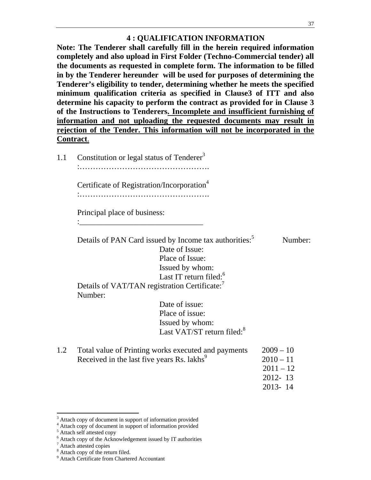#### **4 : QUALIFICATION INFORMATION**

**Note: The Tenderer shall carefully fill in the herein required information completely and also upload in First Folder (Techno-Commercial tender) all the documents as requested in complete form. The information to be filled in by the Tenderer hereunder will be used for purposes of determining the Tenderer's eligibility to tender, determining whether he meets the specified minimum qualification criteria as specified in Clause3 of ITT and also determine his capacity to perform the contract as provided for in Clause 3 of the Instructions to Tenderers. Incomplete and insufficient furnishing of information and not uploading the requested documents may result in rejection of the Tender. This information will not be incorporated in the Contract**.

1.1 Constitution or legal status of Tenderer<sup>3</sup>

:………………………………………….

Certificate of Registration/Incorporation<sup>4</sup> :………………………………………….

Principal place of business:

:\_\_\_\_\_\_\_\_\_\_\_\_\_\_\_\_\_\_\_\_\_\_\_\_\_\_\_\_\_\_\_

Details of PAN Card issued by Income tax authorities:<sup>5</sup> Number: Date of Issue: Place of Issue: Issued by whom: Last IT return filed:<sup>6</sup> Details of VAT/TAN registration Certificate:<sup>7</sup> Number:

> Date of issue: Place of issue: Issued by whom: Last VAT/ST return filed:<sup>8</sup>

1.2 Total value of Printing works executed and payments 2009 – 10 Received in the last five years Rs. lakhs $9$  $2010 - 11$  $2011 - 12$  2012- 13 2013- 14

Attach self attested copy

- <sup>7</sup> Attach attested copies
- <sup>8</sup> Attach copy of the return filed.

<sup>&</sup>lt;sup>3</sup> Attach copy of document in support of information provided

 $^{4}$  Attach copy of document in support of information provided  $^{5}$  Attach colf ottacted conv

<sup>&</sup>lt;sup>6</sup> Attach copy of the Acknowledgement issued by IT authorities

<sup>9</sup> Attach Certificate from Chartered Accountant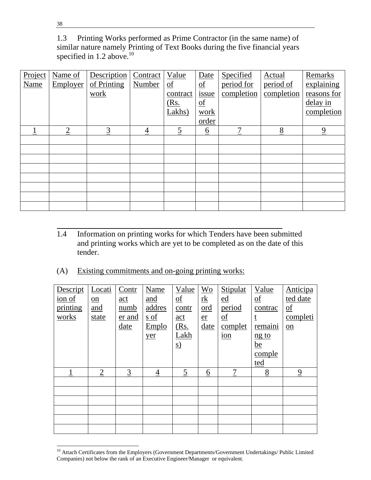1.3 Printing Works performed as Prime Contractor (in the same name) of similar nature namely Printing of Text Books during the five financial years specified in 1.2 above.<sup>10</sup>

| Project | Name of        | Description    | Contract       | Value          | Date                      | Specified  | Actual     | Remarks        |
|---------|----------------|----------------|----------------|----------------|---------------------------|------------|------------|----------------|
| Name    | Employer       | of Printing    | Number         | of             | $\underline{\mathrm{of}}$ | period for | period of  | explaining     |
|         |                | work           |                | contract       | issue                     | completion | completion | reasons for    |
|         |                |                |                | (Rs.           | $\underline{\mathrm{of}}$ |            |            | delay in       |
|         |                |                |                | Lakhs)         | work                      |            |            | completion     |
|         |                |                |                |                | order                     |            |            |                |
|         | $\overline{2}$ | $\overline{3}$ | $\overline{4}$ | $\overline{5}$ | <u>6</u>                  | 7          | 8          | $\overline{9}$ |
|         |                |                |                |                |                           |            |            |                |
|         |                |                |                |                |                           |            |            |                |
|         |                |                |                |                |                           |            |            |                |
|         |                |                |                |                |                           |            |            |                |
|         |                |                |                |                |                           |            |            |                |
|         |                |                |                |                |                           |            |            |                |
|         |                |                |                |                |                           |            |            |                |
|         |                |                |                |                |                           |            |            |                |

- 1.4 Information on printing works for which Tenders have been submitted and printing works which are yet to be completed as on the date of this tender.
- (A) Existing commitments and on-going printing works:

| Descript<br>ion of<br>printing<br>works | Locati<br>$\underline{\mathrm{on}}$<br>and<br>state | <u>Contr</u><br>$\underline{\text{act}}$<br>numb<br><u>er and</u> | <b>Name</b><br>and<br>addres<br>$s$ of | Value<br>$\underline{\mathrm{of}}$<br>contr<br>$\underline{\text{act}}$ | <b>Wo</b><br>$\underline{\text{rk}}$<br>ord<br>er | Stipulat<br>ed<br>period<br>$\underline{\mathrm{of}}$ | Value<br>$\underline{\mathrm{of}}$<br>contrac | Anticipa<br>ted date<br>of<br>completi |
|-----------------------------------------|-----------------------------------------------------|-------------------------------------------------------------------|----------------------------------------|-------------------------------------------------------------------------|---------------------------------------------------|-------------------------------------------------------|-----------------------------------------------|----------------------------------------|
|                                         |                                                     | date                                                              | <b>Emplo</b>                           | <u>(Rs.</u><br>Lakh                                                     | date                                              | complet                                               | remaini                                       | on                                     |
|                                         |                                                     |                                                                   | yer                                    | <u>s)</u>                                                               |                                                   | $\frac{\text{ion}}{\text{ion}}$                       | $ng$ to<br>$\underline{be}$                   |                                        |
|                                         |                                                     |                                                                   |                                        |                                                                         |                                                   |                                                       | comple                                        |                                        |
|                                         |                                                     |                                                                   |                                        |                                                                         |                                                   |                                                       | ted                                           |                                        |
|                                         | $\overline{2}$                                      | $\overline{3}$                                                    | 4                                      | $\overline{5}$                                                          | <u>6</u>                                          | 7                                                     | 8                                             | $\overline{9}$                         |
|                                         |                                                     |                                                                   |                                        |                                                                         |                                                   |                                                       |                                               |                                        |
|                                         |                                                     |                                                                   |                                        |                                                                         |                                                   |                                                       |                                               |                                        |
|                                         |                                                     |                                                                   |                                        |                                                                         |                                                   |                                                       |                                               |                                        |
|                                         |                                                     |                                                                   |                                        |                                                                         |                                                   |                                                       |                                               |                                        |
|                                         |                                                     |                                                                   |                                        |                                                                         |                                                   |                                                       |                                               |                                        |
|                                         |                                                     |                                                                   |                                        |                                                                         |                                                   |                                                       |                                               |                                        |

<sup>&</sup>lt;sup>10</sup> Attach Certificates from the Employers (Government Departments/Government Undertakings/ Public Limited Companies) not below the rank of an Executive Engineer/Manager or equivalent.

 $\overline{a}$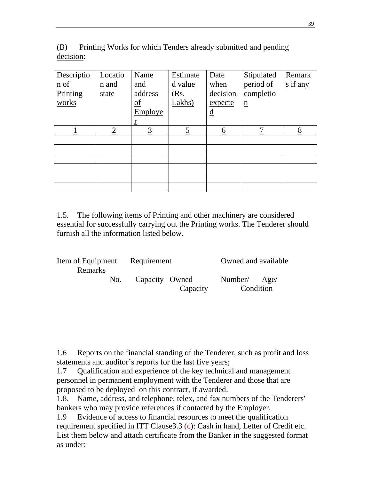| Descriptio         | Locatio        | Name                      | Estimate       | Date                     | Stipulated                  | Remark   |
|--------------------|----------------|---------------------------|----------------|--------------------------|-----------------------------|----------|
| $\underline{n}$ of | n and          | and                       | d value        | when                     | period of                   | s if any |
| Printing           | state          | address                   | <u>(Rs.</u>    | decision                 | completio                   |          |
| works              |                | $\underline{\mathrm{of}}$ | Lakhs)         | expecte                  | $\underline{\underline{n}}$ |          |
|                    |                | Employe                   |                | $\underline{\mathrm{d}}$ |                             |          |
|                    |                | r                         |                |                          |                             |          |
|                    | $\overline{2}$ | $\overline{3}$            | $\overline{2}$ | <u>6</u>                 | $\mathbf{z}$                | 8        |
|                    |                |                           |                |                          |                             |          |
|                    |                |                           |                |                          |                             |          |
|                    |                |                           |                |                          |                             |          |
|                    |                |                           |                |                          |                             |          |
|                    |                |                           |                |                          |                             |          |
|                    |                |                           |                |                          |                             |          |

(B) Printing Works for which Tenders already submitted and pending decision:

1.5. The following items of Printing and other machinery are considered essential for successfully carrying out the Printing works. The Tenderer should furnish all the information listed below.

| Item of Equipment<br><b>Remarks</b> | Requirement    |          | Owned and available       |  |
|-------------------------------------|----------------|----------|---------------------------|--|
| No.                                 | Capacity Owned | Capacity | Number/ Age/<br>Condition |  |

1.6 Reports on the financial standing of the Tenderer, such as profit and loss statements and auditor's reports for the last five years;

1.7 Qualification and experience of the key technical and management personnel in permanent employment with the Tenderer and those that are proposed to be deployed on this contract, if awarded.

1.8. Name, address, and telephone, telex, and fax numbers of the Tenderers' bankers who may provide references if contacted by the Employer.

1.9 Evidence of access to financial resources to meet the qualification requirement specified in ITT Clause3.3 (c): Cash in hand, Letter of Credit etc. List them below and attach certificate from the Banker in the suggested format as under: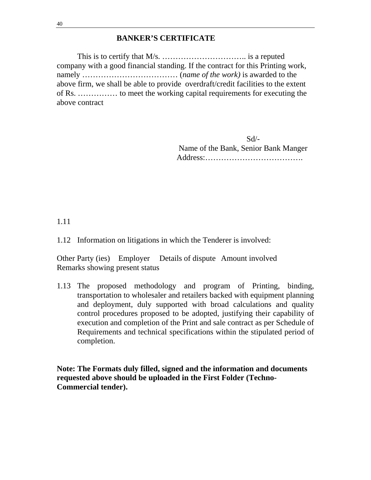#### **BANKER'S CERTIFICATE**

 This is to certify that M/s. ………………………….. is a reputed company with a good financial standing. If the contract for this Printing work, namely ……………………………… (*name of the work)* is awarded to the above firm, we shall be able to provide overdraft/credit facilities to the extent of Rs. …………… to meet the working capital requirements for executing the above contract

 Sd/- Name of the Bank, Senior Bank Manger Address:……………………………….

1.11

1.12 Information on litigations in which the Tenderer is involved:

Other Party (ies) Employer Details of dispute Amount involved Remarks showing present status

1.13 The proposed methodology and program of Printing, binding, transportation to wholesaler and retailers backed with equipment planning and deployment, duly supported with broad calculations and quality control procedures proposed to be adopted, justifying their capability of execution and completion of the Print and sale contract as per Schedule of Requirements and technical specifications within the stipulated period of completion.

**Note: The Formats duly filled, signed and the information and documents requested above should be uploaded in the First Folder (Techno-Commercial tender).**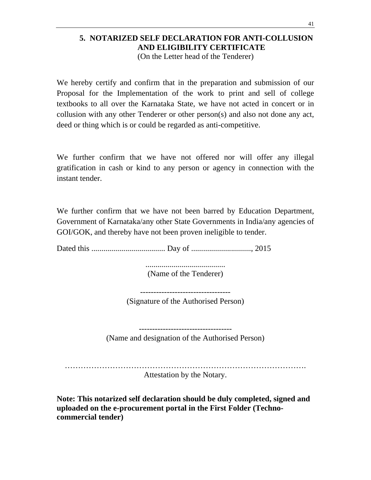# **5. NOTARIZED SELF DECLARATION FOR ANTI-COLLUSION AND ELIGIBILITY CERTIFICATE**

(On the Letter head of the Tenderer)

We hereby certify and confirm that in the preparation and submission of our Proposal for the Implementation of the work to print and sell of college textbooks to all over the Karnataka State, we have not acted in concert or in collusion with any other Tenderer or other person(s) and also not done any act, deed or thing which is or could be regarded as anti-competitive.

We further confirm that we have not offered nor will offer any illegal gratification in cash or kind to any person or agency in connection with the instant tender.

We further confirm that we have not been barred by Education Department, Government of Karnataka/any other State Governments in India/any agencies of GOI/GOK, and thereby have not been proven ineligible to tender.

Dated this ..................................... Day of .............................., 2015

........................................ (Name of the Tenderer)

----------------------------------

(Signature of the Authorised Person)

----------------------------------- (Name and designation of the Authorised Person)

………………………………………………………………………………. Attestation by the Notary.

**Note: This notarized self declaration should be duly completed, signed and uploaded on the e-procurement portal in the First Folder (Technocommercial tender)**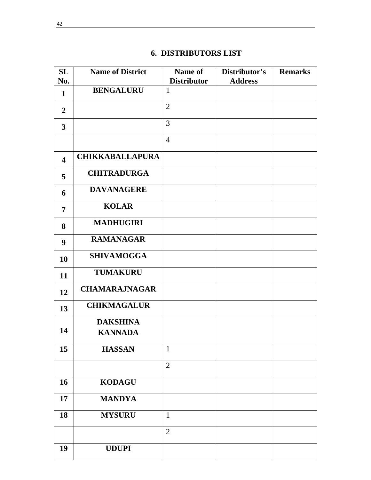# **SL No.**  Name of District Name of **Distributor Distributor's Address Remarks 1 BENGALURU** 1  $\overline{\mathbf{a}}$  |  $\overline{\mathbf{a}}$  |  $\overline{\mathbf{a}}$  |  $\overline{\mathbf{a}}$  |  $\overline{\mathbf{a}}$  |  $\overline{\mathbf{a}}$  |  $\overline{\mathbf{a}}$  |  $\overline{\mathbf{a}}$  |  $\overline{\mathbf{a}}$  |  $\overline{\mathbf{a}}$  |  $\overline{\mathbf{a}}$  |  $\overline{\mathbf{a}}$  |  $\overline{\mathbf{a}}$  |  $\overline{\mathbf{a}}$  |  $\overline{\mathbf{a}}$  |  $\overline{\mathbf{a}}$ **<sup>3</sup>**<sup>3</sup> 4 **<sup>4</sup>CHIKKABALLAPURA <sup>5</sup>CHITRADURGA <sup>6</sup>DAVANAGERE <sup>7</sup>KOLAR <sup>8</sup>MADHUGIRI <sup>9</sup>RAMANAGAR <sup>10</sup>SHIVAMOGGA 11TUMAKURU <sup>12</sup>CHAMARAJNAGAR**  13<sup>**CHIKMAGALUR**</sup> **14 DAKSHINA KANNADA 15 HASSAN** 1 **2 16 KODAGU 17 MANDYA 18 MYSURU** 1 **2 19 UDUPI**

#### **6. DISTRIBUTORS LIST**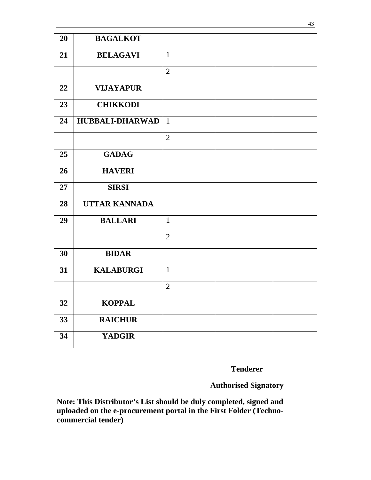| 20 | <b>BAGALKOT</b>        |                |  |
|----|------------------------|----------------|--|
| 21 | <b>BELAGAVI</b>        | $\mathbf{1}$   |  |
|    |                        | $\overline{2}$ |  |
| 22 | <b>VIJAYAPUR</b>       |                |  |
| 23 | <b>CHIKKODI</b>        |                |  |
| 24 | <b>HUBBALI-DHARWAD</b> | $\mathbf{1}$   |  |
|    |                        | $\overline{2}$ |  |
| 25 | <b>GADAG</b>           |                |  |
| 26 | <b>HAVERI</b>          |                |  |
| 27 | <b>SIRSI</b>           |                |  |
| 28 | <b>UTTAR KANNADA</b>   |                |  |
| 29 | <b>BALLARI</b>         | $\mathbf{1}$   |  |
|    |                        | $\overline{2}$ |  |
| 30 | <b>BIDAR</b>           |                |  |
| 31 | <b>KALABURGI</b>       | $\mathbf{1}$   |  |
|    |                        | $\overline{2}$ |  |
| 32 | <b>KOPPAL</b>          |                |  |
| 33 | <b>RAICHUR</b>         |                |  |
| 34 | <b>YADGIR</b>          |                |  |

**Tenderer** 

**Authorised Signatory**

**Note: This Distributor's List should be duly completed, signed and uploaded on the e-procurement portal in the First Folder (Technocommercial tender)**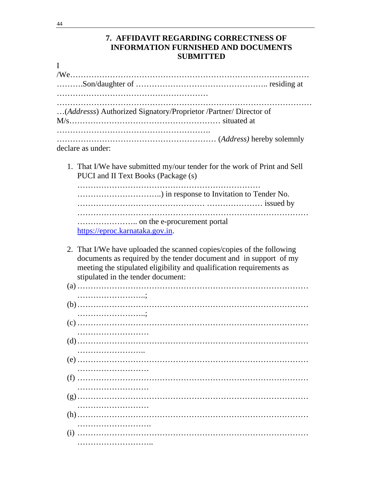#### **7. AFFIDAVIT REGARDING CORRECTNESS OF INFORMATION FURNISHED AND DOCUMENTS SUBMITTED**

|                   | (Addresss) Authorized Signatory/Proprietor /Partner/ Director of |
|-------------------|------------------------------------------------------------------|
|                   |                                                                  |
|                   |                                                                  |
| declare as under: |                                                                  |
|                   |                                                                  |

1. That I/We have submitted my/our tender for the work of Print and Sell PUCI and II Text Books (Package (s)

…………………………………………………………… …………………………..) in response to Invitation to Tender No. ………………………………………… ………………… issued by …………………………………………………………………………… ………………….. on the e-procurement portal https://eproc.karnataka.gov.in.

2. That I/We have uploaded the scanned copies/copies of the following documents as required by the tender document and in support of my meeting the stipulated eligibility and qualification requirements as stipulated in the tender document:

I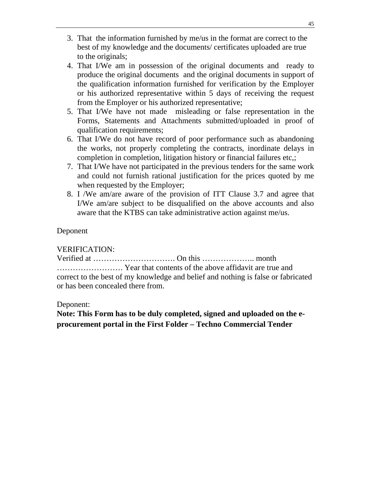- 3. That the information furnished by me/us in the format are correct to the best of my knowledge and the documents/ certificates uploaded are true to the originals;
- 4. That I/We am in possession of the original documents and ready to produce the original documents and the original documents in support of the qualification information furnished for verification by the Employer or his authorized representative within 5 days of receiving the request from the Employer or his authorized representative;
- 5. That I/We have not made misleading or false representation in the Forms, Statements and Attachments submitted/uploaded in proof of qualification requirements;
- 6. That I/We do not have record of poor performance such as abandoning the works, not properly completing the contracts, inordinate delays in completion in completion, litigation history or financial failures etc,;
- 7. That I/We have not participated in the previous tenders for the same work and could not furnish rational justification for the prices quoted by me when requested by the Employer;
- 8. I /We am/are aware of the provision of ITT Clause 3.7 and agree that I/We am/are subject to be disqualified on the above accounts and also aware that the KTBS can take administrative action against me/us.

#### Deponent

#### VERIFICATION:

Verified at …………………………. On this ……………….. month ……………………. Year that contents of the above affidavit are true and correct to the best of my knowledge and belief and nothing is false or fabricated or has been concealed there from.

#### Deponent:

**Note: This Form has to be duly completed, signed and uploaded on the eprocurement portal in the First Folder – Techno Commercial Tender**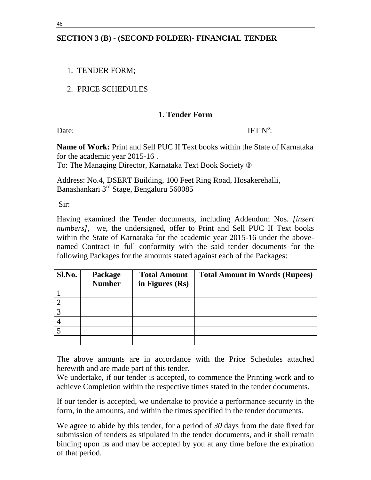### **SECTION 3 (B) - (SECOND FOLDER)- FINANCIAL TENDER**

#### 1. TENDER FORM;

#### 2. PRICE SCHEDULES

#### **1. Tender Form**

Date: IFT  $N^{\circ}$ IFT  $N^{\circ}$ :

**Name of Work:** Print and Sell PUC II Text books within the State of Karnataka for the academic year 2015-16 . To: The Managing Director, Karnataka Text Book Society ®

Address: No.4, DSERT Building, 100 Feet Ring Road, Hosakerehalli, Banashankari 3rd Stage, Bengaluru 560085

Sir:

Having examined the Tender documents, including Addendum Nos. *[insert numbers]*, we, the undersigned, offer to Print and Sell PUC II Text books within the State of Karnataka for the academic year 2015-16 under the abovenamed Contract in full conformity with the said tender documents for the following Packages for the amounts stated against each of the Packages:

| Sl.No.         | <b>Package</b><br><b>Number</b> | <b>Total Amount</b><br>in Figures $(Rs)$ | <b>Total Amount in Words (Rupees)</b> |
|----------------|---------------------------------|------------------------------------------|---------------------------------------|
|                |                                 |                                          |                                       |
| $\overline{2}$ |                                 |                                          |                                       |
| 3              |                                 |                                          |                                       |
| $\overline{4}$ |                                 |                                          |                                       |
|                |                                 |                                          |                                       |
|                |                                 |                                          |                                       |

The above amounts are in accordance with the Price Schedules attached herewith and are made part of this tender.

We undertake, if our tender is accepted, to commence the Printing work and to achieve Completion within the respective times stated in the tender documents.

If our tender is accepted, we undertake to provide a performance security in the form, in the amounts, and within the times specified in the tender documents.

We agree to abide by this tender, for a period of *30* days from the date fixed for submission of tenders as stipulated in the tender documents, and it shall remain binding upon us and may be accepted by you at any time before the expiration of that period.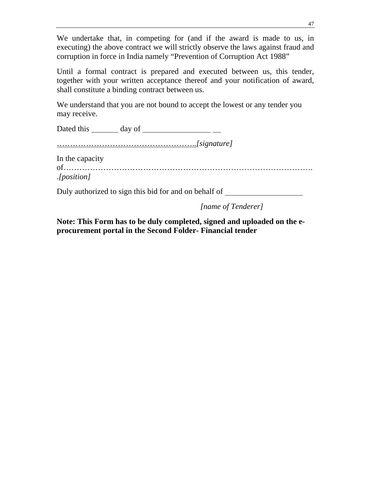We undertake that, in competing for (and if the award is made to us, in executing) the above contract we will strictly observe the laws against fraud and corruption in force in India namely "Prevention of Corruption Act 1988"

Until a formal contract is prepared and executed between us, this tender, together with your written acceptance thereof and your notification of award, shall constitute a binding contract between us.

We understand that you are not bound to accept the lowest or any tender you may receive.

Dated this  $\frac{1}{\frac{1}{\sqrt{1-\frac{1}{\sqrt{1-\frac{1}{\sqrt{1-\frac{1}{\sqrt{1-\frac{1}{\sqrt{1-\frac{1}{\sqrt{1-\frac{1}{\sqrt{1-\frac{1}{\sqrt{1-\frac{1}{\sqrt{1-\frac{1}{\sqrt{1-\frac{1}{\sqrt{1-\frac{1}{\sqrt{1-\frac{1}{\sqrt{1-\frac{1}{\sqrt{1-\frac{1}{\sqrt{1-\frac{1}{\sqrt{1-\frac{1}{\sqrt{1-\frac{1}{\sqrt{1-\frac{1}{\sqrt{1-\frac{1}{\sqrt{1-\frac{1}{\sqrt{1-\frac{1}{\sqrt{1-\frac{1}{\$ 

……………………………………………..*[signature]*

In the capacity

of………………………………………………………………………………….

.*[position]*

Duly authorized to sign this bid for and on behalf of

*[name of Tenderer]* 

**Note: This Form has to be duly completed, signed and uploaded on the eprocurement portal in the Second Folder- Financial tender**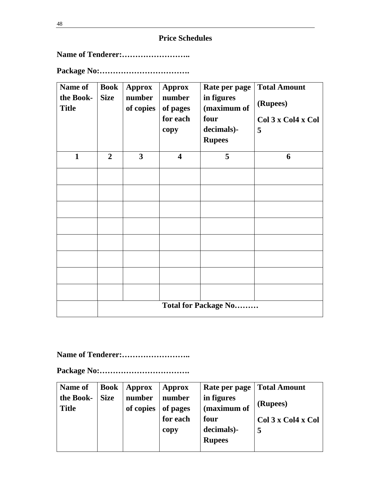# **Price Schedules**

**Name of Tenderer:……………………..** 

**Package No:…………………………….** 

| Name of<br>the Book-<br><b>Title</b> | <b>Book</b><br><b>Size</b>  | <b>Approx</b><br>number<br>of copies | <b>Approx</b><br>number<br>of pages<br>for each<br>copy | Rate per page<br>in figures<br>(maximum of<br>four<br>decimals)-<br><b>Rupees</b> | <b>Total Amount</b><br>(Rupees)<br>Col 3 x Col4 x Col<br>5 |  |
|--------------------------------------|-----------------------------|--------------------------------------|---------------------------------------------------------|-----------------------------------------------------------------------------------|------------------------------------------------------------|--|
| $\mathbf{1}$                         | $\overline{2}$              | $\overline{\mathbf{3}}$              | $\overline{\mathbf{4}}$                                 | 5                                                                                 | 6                                                          |  |
|                                      |                             |                                      |                                                         |                                                                                   |                                                            |  |
|                                      |                             |                                      |                                                         |                                                                                   |                                                            |  |
|                                      |                             |                                      |                                                         |                                                                                   |                                                            |  |
|                                      |                             |                                      |                                                         |                                                                                   |                                                            |  |
|                                      |                             |                                      |                                                         |                                                                                   |                                                            |  |
|                                      |                             |                                      |                                                         |                                                                                   |                                                            |  |
|                                      |                             |                                      |                                                         |                                                                                   |                                                            |  |
|                                      |                             |                                      |                                                         |                                                                                   |                                                            |  |
|                                      | <b>Total for Package No</b> |                                      |                                                         |                                                                                   |                                                            |  |

## **Name of Tenderer:……………………..**

**Package No:…………………………….** 

| Name of      | Book        | Approx    | Approx   | Rate per page | <b>Total Amount</b> |
|--------------|-------------|-----------|----------|---------------|---------------------|
| the Book-    | <b>Size</b> | number    | number   | in figures    |                     |
| <b>Title</b> |             | of copies | of pages | (maximum of   | (Rupees)            |
|              |             |           | for each | four          | Col 3 x Col4 x Col  |
|              |             |           | copy     | decimals)-    |                     |
|              |             |           |          | <b>Rupees</b> |                     |
|              |             |           |          |               |                     |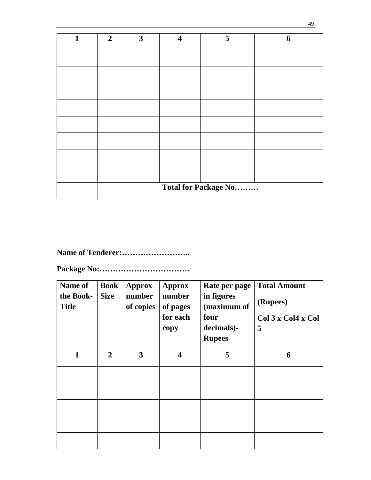| $\mathbf{1}$ | $\boldsymbol{2}$     | 3 | $\overline{\mathbf{4}}$ | 5 | 6 |  |  |
|--------------|----------------------|---|-------------------------|---|---|--|--|
|              |                      |   |                         |   |   |  |  |
|              |                      |   |                         |   |   |  |  |
|              |                      |   |                         |   |   |  |  |
|              |                      |   |                         |   |   |  |  |
|              |                      |   |                         |   |   |  |  |
|              |                      |   |                         |   |   |  |  |
|              |                      |   |                         |   |   |  |  |
|              |                      |   |                         |   |   |  |  |
|              | Total for Package No |   |                         |   |   |  |  |

## **Name of Tenderer:……………………..**

**Package No:…………………………….** 

| Name of<br>the Book-<br><b>Title</b> | <b>Book</b><br><b>Size</b> | <b>Approx</b><br>number<br>of copies | <b>Approx</b><br>number<br>of pages<br>for each<br>copy | Rate per page<br>in figures<br>(maximum of<br>four<br>decimals)-<br><b>Rupees</b> | <b>Total Amount</b><br>(Rupees)<br>Col 3 x Col4 x Col<br>5 |
|--------------------------------------|----------------------------|--------------------------------------|---------------------------------------------------------|-----------------------------------------------------------------------------------|------------------------------------------------------------|
| 1                                    | $\mathbf{2}$               | 3                                    | 4                                                       | 5                                                                                 | 6                                                          |
|                                      |                            |                                      |                                                         |                                                                                   |                                                            |
|                                      |                            |                                      |                                                         |                                                                                   |                                                            |
|                                      |                            |                                      |                                                         |                                                                                   |                                                            |
|                                      |                            |                                      |                                                         |                                                                                   |                                                            |
|                                      |                            |                                      |                                                         |                                                                                   |                                                            |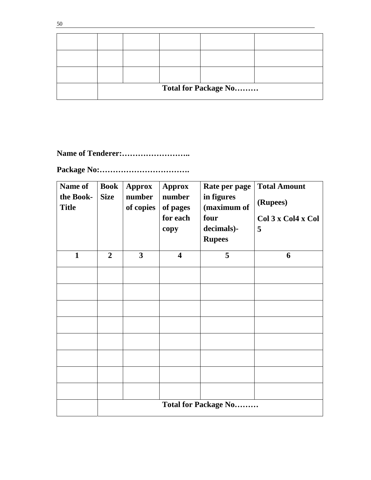|  |  | <b>Total for Package No</b> |  |
|--|--|-----------------------------|--|

**Name of Tenderer:……………………..** 

**Package No:…………………………….** 

| <b>Name of</b><br>the Book-<br><b>Title</b> | <b>Book</b><br><b>Size</b> | <b>Approx</b><br>number<br>of copies | <b>Approx</b><br>number<br>of pages<br>for each<br>copy | Rate per page<br>in figures<br>(maximum of<br>four<br>decimals)-<br><b>Rupees</b> | <b>Total Amount</b><br>(Rupees)<br>Col 3 x Col4 x Col<br>5 |
|---------------------------------------------|----------------------------|--------------------------------------|---------------------------------------------------------|-----------------------------------------------------------------------------------|------------------------------------------------------------|
| $\mathbf{1}$                                | $\overline{2}$             | $\mathbf{3}$                         | $\overline{\mathbf{4}}$                                 | 5                                                                                 | 6                                                          |
|                                             |                            |                                      |                                                         |                                                                                   |                                                            |
|                                             |                            |                                      |                                                         |                                                                                   |                                                            |
|                                             |                            |                                      |                                                         |                                                                                   |                                                            |
|                                             |                            |                                      |                                                         |                                                                                   |                                                            |
|                                             |                            |                                      |                                                         |                                                                                   |                                                            |
|                                             |                            |                                      |                                                         |                                                                                   |                                                            |
|                                             |                            |                                      |                                                         |                                                                                   |                                                            |
|                                             |                            |                                      |                                                         |                                                                                   |                                                            |
|                                             |                            |                                      |                                                         | <b>Total for Package No</b>                                                       |                                                            |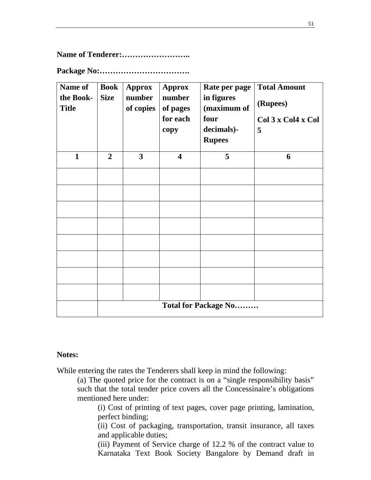**Name of Tenderer:……………………..** 

**Package No:…………………………….** 

| Name of<br>the Book-<br><b>Title</b> | <b>Book</b><br><b>Size</b> | <b>Approx</b><br>number<br>of copies | <b>Approx</b><br>number<br>of pages<br>for each<br>copy | Rate per page<br>in figures<br>(maximum of<br>four<br>decimals)-<br><b>Rupees</b> | <b>Total Amount</b><br>(Rupees)<br>Col 3 x Col4 x Col<br>5 |
|--------------------------------------|----------------------------|--------------------------------------|---------------------------------------------------------|-----------------------------------------------------------------------------------|------------------------------------------------------------|
| $\mathbf{1}$                         | $\overline{2}$             | $\overline{\mathbf{3}}$              | $\overline{\mathbf{4}}$                                 | 5                                                                                 | 6                                                          |
|                                      |                            |                                      |                                                         |                                                                                   |                                                            |
|                                      |                            |                                      |                                                         |                                                                                   |                                                            |
|                                      |                            |                                      |                                                         |                                                                                   |                                                            |
|                                      |                            |                                      |                                                         |                                                                                   |                                                            |
|                                      |                            |                                      |                                                         |                                                                                   |                                                            |
|                                      |                            |                                      |                                                         |                                                                                   |                                                            |
|                                      |                            |                                      |                                                         |                                                                                   |                                                            |
|                                      |                            |                                      |                                                         |                                                                                   |                                                            |
|                                      |                            |                                      |                                                         | <b>Total for Package No</b>                                                       |                                                            |

#### **Notes:**

While entering the rates the Tenderers shall keep in mind the following:

(a) The quoted price for the contract is on a "single responsibility basis" such that the total tender price covers all the Concessinaire's obligations mentioned here under:

 (i) Cost of printing of text pages, cover page printing, lamination, perfect binding;

 (ii) Cost of packaging, transportation, transit insurance, all taxes and applicable duties;

 (iii) Payment of Service charge of 12.2 % of the contract value to Karnataka Text Book Society Bangalore by Demand draft in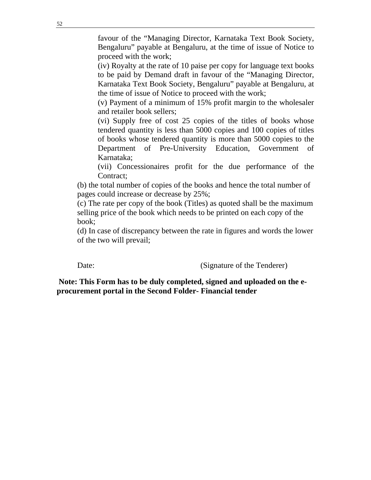favour of the "Managing Director, Karnataka Text Book Society, Bengaluru" payable at Bengaluru, at the time of issue of Notice to proceed with the work;

 (iv) Royalty at the rate of 10 paise per copy for language text books to be paid by Demand draft in favour of the "Managing Director, Karnataka Text Book Society, Bengaluru" payable at Bengaluru, at the time of issue of Notice to proceed with the work;

 (v) Payment of a minimum of 15% profit margin to the wholesaler and retailer book sellers;

 (vi) Supply free of cost 25 copies of the titles of books whose tendered quantity is less than 5000 copies and 100 copies of titles of books whose tendered quantity is more than 5000 copies to the Department of Pre-University Education, Government of Karnataka;

 (vii) Concessionaires profit for the due performance of the Contract;

 (b) the total number of copies of the books and hence the total number of pages could increase or decrease by 25%;

 (c) The rate per copy of the book (Titles) as quoted shall be the maximum selling price of the book which needs to be printed on each copy of the book;

(d) In case of discrepancy between the rate in figures and words the lower of the two will prevail;

Date: (Signature of the Tenderer)

 **Note: This Form has to be duly completed, signed and uploaded on the eprocurement portal in the Second Folder- Financial tender**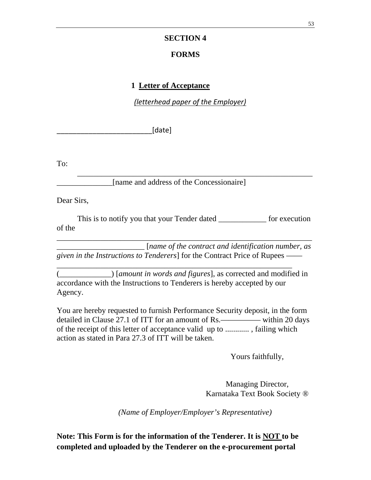#### **SECTION 4**

#### **FORMS**

#### **1 Letter of Acceptance**

*(letterhead paper of the Employer)*

[date]

To:

 \_\_\_\_\_\_\_\_\_\_\_\_\_\_\_\_\_\_\_\_\_\_\_\_\_\_\_\_\_\_\_\_\_\_\_\_\_\_\_\_\_\_\_\_\_\_\_\_\_\_\_\_\_\_\_\_\_\_\_ [name and address of the Concessionaire]

Dear Sirs,

 This is to notify you that your Tender dated \_\_\_\_\_\_\_\_\_\_\_\_ for execution of the

\_\_\_\_\_\_\_\_\_\_\_\_\_\_\_\_\_\_\_\_\_\_ [*name of the contract and identification number, as given in the Instructions to Tenderers*] for the Contract Price of Rupees ——

\_\_\_\_\_\_\_\_\_\_\_\_\_\_\_\_\_\_\_\_\_\_\_\_\_\_\_\_\_\_\_\_\_\_\_\_\_\_\_\_\_\_\_\_\_\_\_\_\_\_\_\_\_\_\_\_\_\_\_\_\_\_\_\_

(\_\_\_\_\_\_\_\_\_\_\_\_\_) [*amount in words and figures*], as corrected and modified in accordance with the Instructions to Tenderers is hereby accepted by our Agency.

\_\_\_\_\_\_\_\_\_\_\_\_\_\_\_\_\_\_\_\_\_\_\_\_\_\_\_\_\_\_\_\_\_\_\_\_\_\_\_\_\_\_\_\_\_\_\_\_\_\_\_\_\_\_\_\_\_\_\_

You are hereby requested to furnish Performance Security deposit, in the form detailed in Clause 27.1 of ITT for an amount of Rs.————— within 20 days of the receipt of this letter of acceptance valid up to ............ , failing which action as stated in Para 27.3 of ITT will be taken.

Yours faithfully,

Managing Director, Karnataka Text Book Society ®

*(Name of Employer/Employer's Representative)* 

**Note: This Form is for the information of the Tenderer. It is NOT to be completed and uploaded by the Tenderer on the e-procurement portal**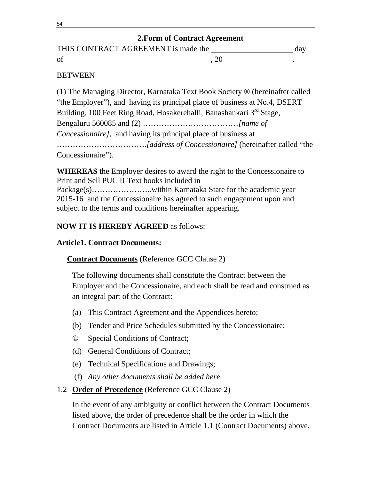| THIS CONTRACT AGREEMENT is made the | dav |
|-------------------------------------|-----|
| ി <del>പ</del>                      |     |

#### **BETWEEN**

(1) The Managing Director, Karnataka Text Book Society ® (hereinafter called "the Employer"), and having its principal place of business at No.4, DSERT Building, 100 Feet Ring Road, Hosakerehalli, Banashankari  $3<sup>rd</sup>$  Stage, Bengaluru 560085 and (2) ………………………………*[name of Concessionaire]*, and having its principal place of business at …………………………….*[address of Concessionaire]* (hereinafter called "the Concessionaire").

**WHEREAS** the Employer desires to award the right to the Concessionaire to Print and Sell PUC II Text books included in Package(s)…………………..within Karnataka State for the academic year 2015-16 and the Concessionaire has agreed to such engagement upon and subject to the terms and conditions hereinafter appearing.

### **NOW IT IS HEREBY AGREED** as follows:

#### **Article1. Contract Documents:**

#### **Contract Documents** (Reference GCC Clause 2)

The following documents shall constitute the Contract between the Employer and the Concessionaire, and each shall be read and construed as an integral part of the Contract:

- (a) This Contract Agreement and the Appendices hereto;
- (b) Tender and Price Schedules submitted by the Concessionaire;
- © Special Conditions of Contract;
- (d) General Conditions of Contract;
- (e) Technical Specifications and Drawings;
- (f) *Any other documents shall be added here*

### 1.2 **Order of Precedence** (Reference GCC Clause 2)

In the event of any ambiguity or conflict between the Contract Documents listed above, the order of precedence shall be the order in which the Contract Documents are listed in Article 1.1 (Contract Documents) above.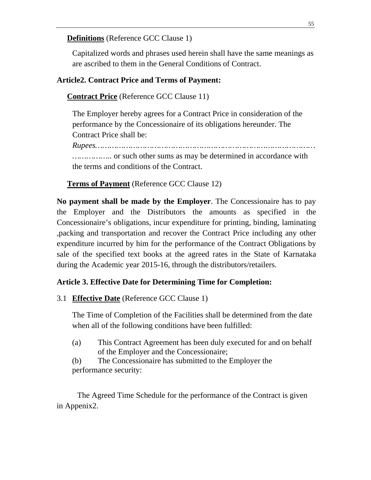#### **Definitions** (Reference GCC Clause 1)

Capitalized words and phrases used herein shall have the same meanings as are ascribed to them in the General Conditions of Contract.

#### **Article2. Contract Price and Terms of Payment:**

#### **Contract Price** (Reference GCC Clause 11)

The Employer hereby agrees for a Contract Price in consideration of the performance by the Concessionaire of its obligations hereunder. The Contract Price shall be:

*Rupees…………………………………………………………………………………*

*……………..* or such other sums as may be determined in accordance with the terms and conditions of the Contract.

#### **Terms of Payment** (Reference GCC Clause 12)

**No payment shall be made by the Employer**. The Concessionaire has to pay the Employer and the Distributors the amounts as specified in the Concessionaire's obligations, incur expenditure for printing, binding, laminating ,packing and transportation and recover the Contract Price including any other expenditure incurred by him for the performance of the Contract Obligations by sale of the specified text books at the agreed rates in the State of Karnataka during the Academic year 2015-16, through the distributors/retailers.

#### **Article 3. Effective Date for Determining Time for Completion:**

3.1 **Effective Date** (Reference GCC Clause 1)

The Time of Completion of the Facilities shall be determined from the date when all of the following conditions have been fulfilled:

(a) This Contract Agreement has been duly executed for and on behalf of the Employer and the Concessionaire;

(b) The Concessionaire has submitted to the Employer the performance security:

The Agreed Time Schedule for the performance of the Contract is given in Appenix2.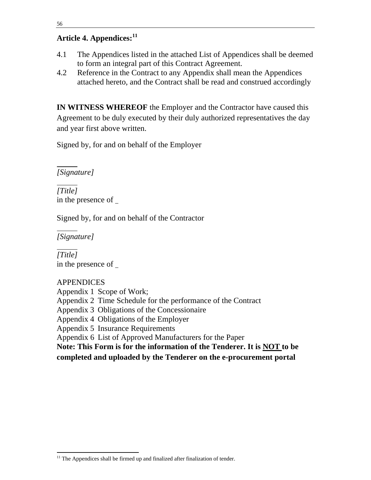# **Article 4. Appendices:<sup>11</sup>**

- 4.1 The Appendices listed in the attached List of Appendices shall be deemed to form an integral part of this Contract Agreement.
- 4.2 Reference in the Contract to any Appendix shall mean the Appendices attached hereto, and the Contract shall be read and construed accordingly

**IN WITNESS WHEREOF** the Employer and the Contractor have caused this Agreement to be duly executed by their duly authorized representatives the day and year first above written.

Signed by, for and on behalf of the Employer

*[Signature]*

*[Title]* in the presence of

Signed by, for and on behalf of the Contractor

*[Signature]*

*[Title]* in the presence of

## **APPENDICES**

Appendix 1 Scope of Work;

- Appendix 2 Time Schedule for the performance of the Contract
- Appendix 3 Obligations of the Concessionaire
- Appendix 4 Obligations of the Employer

Appendix 5 Insurance Requirements

Appendix 6 List of Approved Manufacturers for the Paper

**Note: This Form is for the information of the Tenderer. It is NOT to be completed and uploaded by the Tenderer on the e-procurement portal** 

56

  $11$ <sup>11</sup> The Appendices shall be firmed up and finalized after finalization of tender.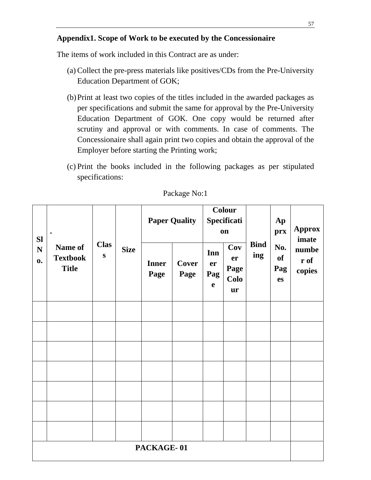#### **Appendix1. Scope of Work to be executed by the Concessionaire**

The items of work included in this Contract are as under:

- (a) Collect the pre-press materials like positives/CDs from the Pre-University Education Department of GOK;
- (b)Print at least two copies of the titles included in the awarded packages as per specifications and submit the same for approval by the Pre-University Education Department of GOK. One copy would be returned after scrutiny and approval or with comments. In case of comments. The Concessionaire shall again print two copies and obtain the approval of the Employer before starting the Printing work;
- (c) Print the books included in the following packages as per stipulated specifications:

| <b>Sl</b>                 | $\bullet$                                  |                          |             |                      | <b>Paper Quality</b> |                                 | <b>Colour</b><br>Specificati<br>on     |                    |                        | Ap<br>prx               | <b>Approx</b><br>imate |
|---------------------------|--------------------------------------------|--------------------------|-------------|----------------------|----------------------|---------------------------------|----------------------------------------|--------------------|------------------------|-------------------------|------------------------|
| ${\bf N}$<br>$\mathbf{0}$ | Name of<br><b>Textbook</b><br><b>Title</b> | <b>Clas</b><br>${\bf S}$ | <b>Size</b> | <b>Inner</b><br>Page | Cover<br>Page        | Inn<br>er<br>Pag<br>$\mathbf e$ | Cov<br>er<br>Page<br>Colo<br><b>ur</b> | <b>Bind</b><br>ing | No.<br>of<br>Pag<br>es | numbe<br>r of<br>copies |                        |
|                           |                                            |                          |             |                      |                      |                                 |                                        |                    |                        |                         |                        |
|                           |                                            |                          |             |                      |                      |                                 |                                        |                    |                        |                         |                        |
|                           |                                            |                          |             |                      |                      |                                 |                                        |                    |                        |                         |                        |
|                           |                                            |                          |             |                      |                      |                                 |                                        |                    |                        |                         |                        |
|                           |                                            |                          |             |                      |                      |                                 |                                        |                    |                        |                         |                        |
|                           |                                            |                          |             |                      |                      |                                 |                                        |                    |                        |                         |                        |
|                           |                                            |                          |             |                      |                      |                                 |                                        |                    |                        |                         |                        |
|                           |                                            |                          |             | PACKAGE-01           |                      |                                 |                                        |                    |                        |                         |                        |

Package No:1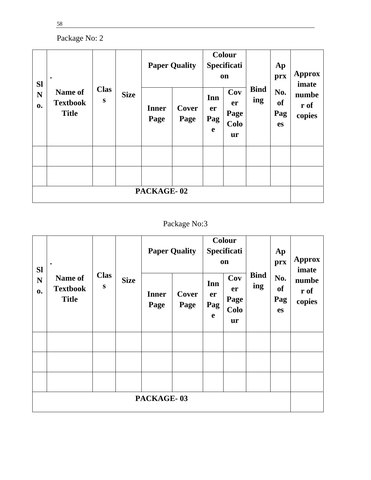# Package No: 2

| <b>Sl</b>       | $\bullet$                                  |                          | <b>Paper Quality</b> |                      | Colour<br>Specificati<br>on |                       |                                        | Ap<br>prx          | <b>Approx</b><br>imate               |                         |
|-----------------|--------------------------------------------|--------------------------|----------------------|----------------------|-----------------------------|-----------------------|----------------------------------------|--------------------|--------------------------------------|-------------------------|
| ${\bf N}$<br>0. | Name of<br><b>Textbook</b><br><b>Title</b> | <b>Clas</b><br>${\bf S}$ | <b>Size</b>          | <b>Inner</b><br>Page | Cover<br>Page               | Inn<br>er<br>Pag<br>e | Cov<br>er<br>Page<br>Colo<br><b>ur</b> | <b>Bind</b><br>ing | No.<br><b>of</b><br>Pag<br><b>es</b> | numbe<br>r of<br>copies |
|                 |                                            |                          |                      |                      |                             |                       |                                        |                    |                                      |                         |
|                 |                                            |                          |                      |                      |                             |                       |                                        |                    |                                      |                         |
|                 | PACKAGE-02                                 |                          |                      |                      |                             |                       |                                        |                    |                                      |                         |

Package No:3

| <b>Sl</b>           | $\bullet$                                  |                          | <b>Size</b> | <b>Paper Quality</b> |               | <b>Colour</b><br>Specificati<br>on |                                 |                    | Ap<br>prx                     | <b>Approx</b><br>imate  |
|---------------------|--------------------------------------------|--------------------------|-------------|----------------------|---------------|------------------------------------|---------------------------------|--------------------|-------------------------------|-------------------------|
| N<br>$\mathbf{0}$ . | Name of<br><b>Textbook</b><br><b>Title</b> | <b>Clas</b><br>${\bf S}$ |             | <b>Inner</b><br>Page | Cover<br>Page | Inn<br>er<br>Pag<br>e              | Cov<br>er<br>Page<br>Colo<br>ur | <b>Bind</b><br>ing | No.<br>of<br>Pag<br><b>es</b> | numbe<br>r of<br>copies |
|                     |                                            |                          |             |                      |               |                                    |                                 |                    |                               |                         |
|                     |                                            |                          |             |                      |               |                                    |                                 |                    |                               |                         |
|                     |                                            |                          |             |                      |               |                                    |                                 |                    |                               |                         |
|                     |                                            |                          |             | PACKAGE-03           |               |                                    |                                 |                    |                               |                         |

58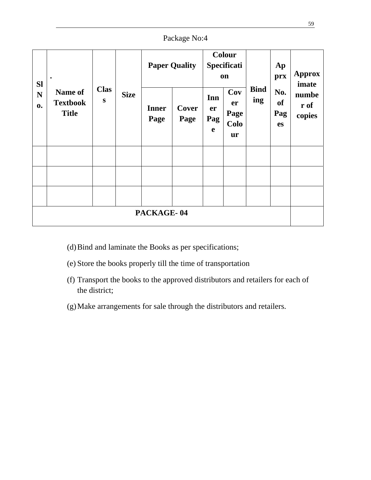| <b>SI</b>       | $\bullet$                                  |                          |             | <b>Paper Quality</b> |               | Colour<br>Specificati<br>on |                                 |                    | Ap<br>prx                     | <b>Approx</b><br>imate  |
|-----------------|--------------------------------------------|--------------------------|-------------|----------------------|---------------|-----------------------------|---------------------------------|--------------------|-------------------------------|-------------------------|
| ${\bf N}$<br>0. | Name of<br><b>Textbook</b><br><b>Title</b> | <b>Clas</b><br>${\bf S}$ | <b>Size</b> | <b>Inner</b><br>Page | Cover<br>Page | Inn<br>er<br>Pag<br>e       | Cov<br>er<br>Page<br>Colo<br>ur | <b>Bind</b><br>ing | No.<br>of<br>Pag<br><b>es</b> | numbe<br>r of<br>copies |
|                 |                                            |                          |             |                      |               |                             |                                 |                    |                               |                         |
|                 |                                            |                          |             |                      |               |                             |                                 |                    |                               |                         |
|                 |                                            |                          |             |                      |               |                             |                                 |                    |                               |                         |
|                 |                                            |                          |             | PACKAGE-04           |               |                             |                                 |                    |                               |                         |

Package No:4

- (d)Bind and laminate the Books as per specifications;
- (e) Store the books properly till the time of transportation
- (f) Transport the books to the approved distributors and retailers for each of the district;
- (g)Make arrangements for sale through the distributors and retailers.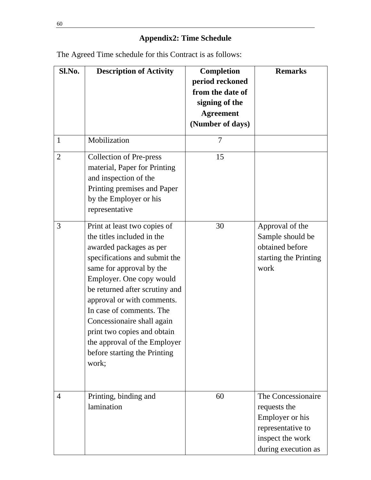# **Appendix2: Time Schedule**

The Agreed Time schedule for this Contract is as follows:

| Sl.No.         | <b>Description of Activity</b>                                                                                                                                                                                                                                                                                                                                                                                   | <b>Completion</b><br>period reckoned<br>from the date of<br>signing of the<br><b>Agreement</b><br>(Number of days) | <b>Remarks</b>                                                                                                        |
|----------------|------------------------------------------------------------------------------------------------------------------------------------------------------------------------------------------------------------------------------------------------------------------------------------------------------------------------------------------------------------------------------------------------------------------|--------------------------------------------------------------------------------------------------------------------|-----------------------------------------------------------------------------------------------------------------------|
| $\mathbf{1}$   | Mobilization                                                                                                                                                                                                                                                                                                                                                                                                     | $\overline{7}$                                                                                                     |                                                                                                                       |
| $\overline{2}$ | <b>Collection of Pre-press</b><br>material, Paper for Printing<br>and inspection of the<br>Printing premises and Paper<br>by the Employer or his<br>representative                                                                                                                                                                                                                                               | 15                                                                                                                 |                                                                                                                       |
| 3              | Print at least two copies of<br>the titles included in the<br>awarded packages as per<br>specifications and submit the<br>same for approval by the<br>Employer. One copy would<br>be returned after scrutiny and<br>approval or with comments.<br>In case of comments. The<br>Concessionaire shall again<br>print two copies and obtain<br>the approval of the Employer<br>before starting the Printing<br>work; | 30                                                                                                                 | Approval of the<br>Sample should be<br>obtained before<br>starting the Printing<br>work                               |
| $\overline{4}$ | Printing, binding and<br>lamination                                                                                                                                                                                                                                                                                                                                                                              | 60                                                                                                                 | The Concessionaire<br>requests the<br>Employer or his<br>representative to<br>inspect the work<br>during execution as |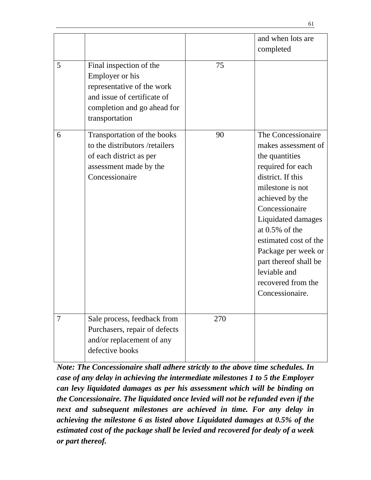|   |                                                                                                                                                          |     | and when lots are<br>completed                                                                                                                                                                                                                                                                                                              |
|---|----------------------------------------------------------------------------------------------------------------------------------------------------------|-----|---------------------------------------------------------------------------------------------------------------------------------------------------------------------------------------------------------------------------------------------------------------------------------------------------------------------------------------------|
| 5 | Final inspection of the<br>Employer or his<br>representative of the work<br>and issue of certificate of<br>completion and go ahead for<br>transportation | 75  |                                                                                                                                                                                                                                                                                                                                             |
| 6 | Transportation of the books<br>to the distributors /retailers<br>of each district as per<br>assessment made by the<br>Concessionaire                     | 90  | The Concessionaire<br>makes assessment of<br>the quantities<br>required for each<br>district. If this<br>milestone is not<br>achieved by the<br>Concessionaire<br>Liquidated damages<br>at $0.5\%$ of the<br>estimated cost of the<br>Package per week or<br>part thereof shall be<br>leviable and<br>recovered from the<br>Concessionaire. |
| 7 | Sale process, feedback from<br>Purchasers, repair of defects<br>and/or replacement of any<br>defective books                                             | 270 |                                                                                                                                                                                                                                                                                                                                             |

*Note: The Concessionaire shall adhere strictly to the above time schedules. In case of any delay in achieving the intermediate milestones 1 to 5 the Employer can levy liquidated damages as per his assessment which will be binding on the Concessionaire. The liquidated once levied will not be refunded even if the next and subsequent milestones are achieved in time. For any delay in achieving the milestone 6 as listed above Liquidated damages at 0.5% of the estimated cost of the package shall be levied and recovered for dealy of a week or part thereof.*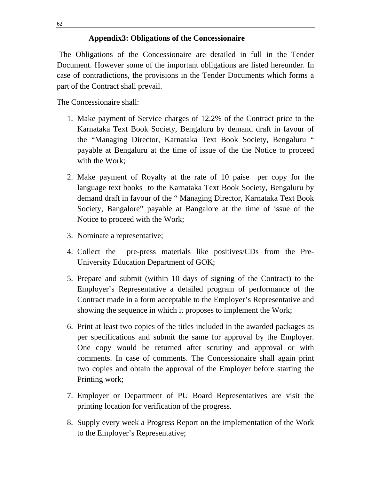#### **Appendix3: Obligations of the Concessionaire**

 The Obligations of the Concessionaire are detailed in full in the Tender Document. However some of the important obligations are listed hereunder. In case of contradictions, the provisions in the Tender Documents which forms a part of the Contract shall prevail.

The Concessionaire shall:

- 1. Make payment of Service charges of 12.2% of the Contract price to the Karnataka Text Book Society, Bengaluru by demand draft in favour of the "Managing Director, Karnataka Text Book Society, Bengaluru " payable at Bengaluru at the time of issue of the the Notice to proceed with the Work;
- 2. Make payment of Royalty at the rate of 10 paise per copy for the language text books to the Karnataka Text Book Society, Bengaluru by demand draft in favour of the " Managing Director, Karnataka Text Book Society, Bangalore" payable at Bangalore at the time of issue of the Notice to proceed with the Work;
- 3. Nominate a representative;
- 4. Collect the pre-press materials like positives/CDs from the Pre-University Education Department of GOK;
- 5. Prepare and submit (within 10 days of signing of the Contract) to the Employer's Representative a detailed program of performance of the Contract made in a form acceptable to the Employer's Representative and showing the sequence in which it proposes to implement the Work;
- 6. Print at least two copies of the titles included in the awarded packages as per specifications and submit the same for approval by the Employer. One copy would be returned after scrutiny and approval or with comments. In case of comments. The Concessionaire shall again print two copies and obtain the approval of the Employer before starting the Printing work;
- 7. Employer or Department of PU Board Representatives are visit the printing location for verification of the progress.
- 8. Supply every week a Progress Report on the implementation of the Work to the Employer's Representative;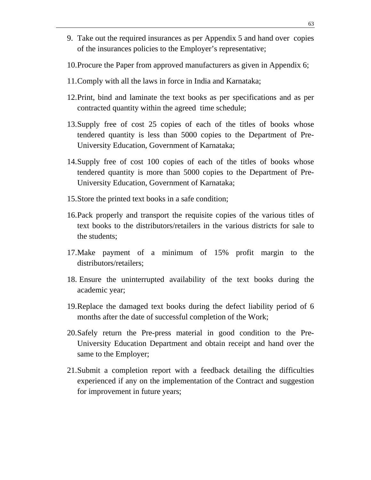- 9. Take out the required insurances as per Appendix 5 and hand over copies of the insurances policies to the Employer's representative;
- 10.Procure the Paper from approved manufacturers as given in Appendix 6;
- 11.Comply with all the laws in force in India and Karnataka;
- 12.Print, bind and laminate the text books as per specifications and as per contracted quantity within the agreed time schedule;
- 13.Supply free of cost 25 copies of each of the titles of books whose tendered quantity is less than 5000 copies to the Department of Pre-University Education, Government of Karnataka;
- 14.Supply free of cost 100 copies of each of the titles of books whose tendered quantity is more than 5000 copies to the Department of Pre-University Education, Government of Karnataka;
- 15.Store the printed text books in a safe condition;
- 16.Pack properly and transport the requisite copies of the various titles of text books to the distributors/retailers in the various districts for sale to the students;
- 17.Make payment of a minimum of 15% profit margin to the distributors/retailers;
- 18. Ensure the uninterrupted availability of the text books during the academic year;
- 19.Replace the damaged text books during the defect liability period of 6 months after the date of successful completion of the Work;
- 20.Safely return the Pre-press material in good condition to the Pre-University Education Department and obtain receipt and hand over the same to the Employer;
- 21.Submit a completion report with a feedback detailing the difficulties experienced if any on the implementation of the Contract and suggestion for improvement in future years;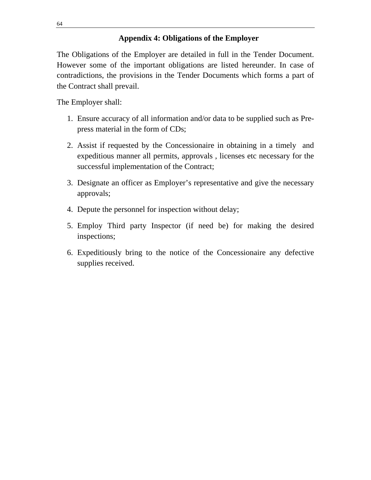#### **Appendix 4: Obligations of the Employer**

The Obligations of the Employer are detailed in full in the Tender Document. However some of the important obligations are listed hereunder. In case of contradictions, the provisions in the Tender Documents which forms a part of the Contract shall prevail.

The Employer shall:

- 1. Ensure accuracy of all information and/or data to be supplied such as Prepress material in the form of CDs;
- 2. Assist if requested by the Concessionaire in obtaining in a timely and expeditious manner all permits, approvals , licenses etc necessary for the successful implementation of the Contract;
- 3. Designate an officer as Employer's representative and give the necessary approvals;
- 4. Depute the personnel for inspection without delay;
- 5. Employ Third party Inspector (if need be) for making the desired inspections;
- 6. Expeditiously bring to the notice of the Concessionaire any defective supplies received.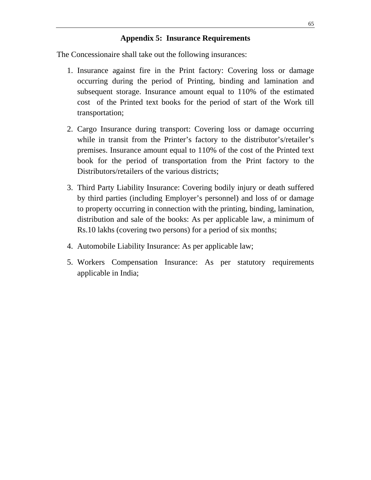#### **Appendix 5: Insurance Requirements**

The Concessionaire shall take out the following insurances:

- 1. Insurance against fire in the Print factory: Covering loss or damage occurring during the period of Printing, binding and lamination and subsequent storage. Insurance amount equal to 110% of the estimated cost of the Printed text books for the period of start of the Work till transportation;
- 2. Cargo Insurance during transport: Covering loss or damage occurring while in transit from the Printer's factory to the distributor's/retailer's premises. Insurance amount equal to 110% of the cost of the Printed text book for the period of transportation from the Print factory to the Distributors/retailers of the various districts;
- 3. Third Party Liability Insurance: Covering bodily injury or death suffered by third parties (including Employer's personnel) and loss of or damage to property occurring in connection with the printing, binding, lamination, distribution and sale of the books: As per applicable law, a minimum of Rs.10 lakhs (covering two persons) for a period of six months;
- 4. Automobile Liability Insurance: As per applicable law;
- 5. Workers Compensation Insurance: As per statutory requirements applicable in India;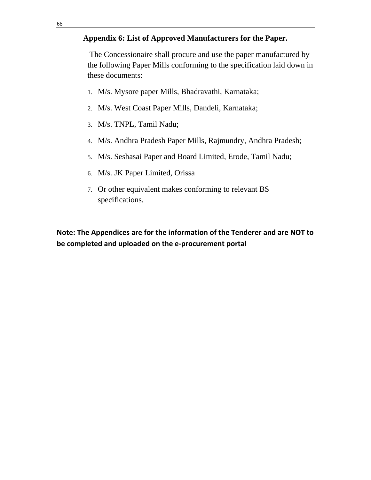#### **Appendix 6: List of Approved Manufacturers for the Paper.**

 The Concessionaire shall procure and use the paper manufactured by the following Paper Mills conforming to the specification laid down in these documents:

- 1. M/s. Mysore paper Mills, Bhadravathi, Karnataka;
- 2. M/s. West Coast Paper Mills, Dandeli, Karnataka;
- 3. M/s. TNPL, Tamil Nadu;
- 4. M/s. Andhra Pradesh Paper Mills, Rajmundry, Andhra Pradesh;
- 5. M/s. Seshasai Paper and Board Limited, Erode, Tamil Nadu;
- 6. M/s. JK Paper Limited, Orissa
- 7. Or other equivalent makes conforming to relevant BS specifications.

**Note: The Appendices are for the information of the Tenderer and are NOT to be completed and uploaded on the e‐procurement portal**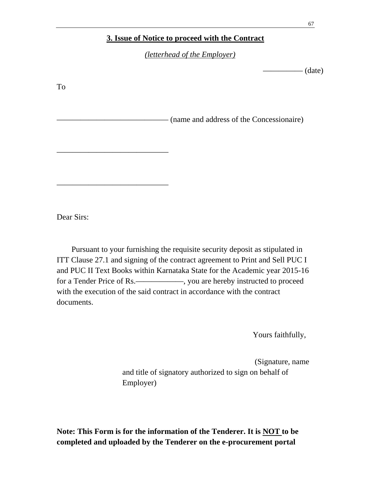#### **3. Issue of Notice to proceed with the Contract**

*(letterhead of the Employer)*

 $\qquad \qquad \qquad -\qquad \qquad \text{(date)}$ 

| <b>To</b> |                                          |
|-----------|------------------------------------------|
|           | (name and address of the Concessionaire) |
|           |                                          |
|           |                                          |
|           |                                          |

Dear Sirs:

 Pursuant to your furnishing the requisite security deposit as stipulated in ITT Clause 27.1 and signing of the contract agreement to Print and Sell PUC I and PUC II Text Books within Karnataka State for the Academic year 2015-16 for a Tender Price of Rs.——————, you are hereby instructed to proceed with the execution of the said contract in accordance with the contract documents.

Yours faithfully,

 (Signature, name and title of signatory authorized to sign on behalf of Employer)

**Note: This Form is for the information of the Tenderer. It is NOT to be completed and uploaded by the Tenderer on the e-procurement portal**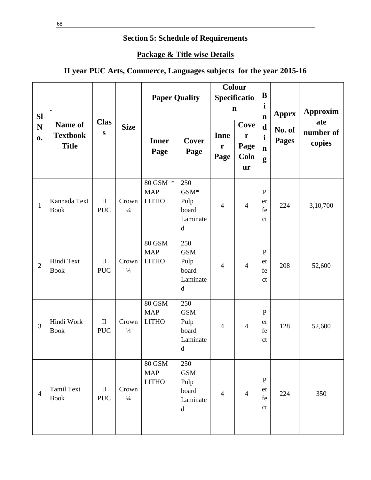# **Section 5: Schedule of Requirements**

# **Package & Title wise Details**

# **II year PUC Arts, Commerce, Languages subjects for the year 2015-16**

| <b>Sl</b>           | $\bullet$<br>Name of<br><b>Textbook</b><br><b>Title</b> | <b>Clas</b><br>${\bf S}$   |                        | <b>Paper Quality</b>                        |                                                               |                                     | <b>Colour</b><br>Specificatio<br>$\mathbf n$      | $\bf{B}$<br>$\mathbf{i}$<br>$\mathbf n$         | <b>Apprx</b>           | <b>Approxim</b>            |
|---------------------|---------------------------------------------------------|----------------------------|------------------------|---------------------------------------------|---------------------------------------------------------------|-------------------------------------|---------------------------------------------------|-------------------------------------------------|------------------------|----------------------------|
| N<br>$\mathbf{0}$ . |                                                         |                            | <b>Size</b>            | <b>Inner</b><br>Page                        | Cover<br>Page                                                 | <b>Inne</b><br>$\mathbf{r}$<br>Page | Cove<br>$\mathbf{r}$<br>Page<br>Colo<br><b>ur</b> | $\mathbf d$<br>$\mathbf{i}$<br>$\mathbf n$<br>g | No. of<br><b>Pages</b> | ate<br>number of<br>copies |
| $\mathbf{1}$        | Kannada Text<br><b>Book</b>                             | $\mathbf{I}$<br><b>PUC</b> | Crown<br>$\frac{1}{4}$ | 80 GSM *<br><b>MAP</b><br><b>LITHO</b>      | 250<br>GSM*<br>Pulp<br>board<br>Laminate<br>d                 | $\overline{4}$                      | $\overline{4}$                                    | $\, {\bf P}$<br>er<br>fe<br>$\mathsf{ct}$       | 224                    | 3,10,700                   |
| $\overline{2}$      | Hindi Text<br><b>Book</b>                               | $\mathbf{I}$<br><b>PUC</b> | Crown<br>$\frac{1}{4}$ | <b>80 GSM</b><br><b>MAP</b><br><b>LITHO</b> | 250<br><b>GSM</b><br>Pulp<br>board<br>Laminate<br>d           | $\overline{4}$                      | $\overline{4}$                                    | $\, {\bf P}$<br>er<br>fe<br><sub>c</sub> t      | 208                    | 52,600                     |
| $\overline{3}$      | Hindi Work<br><b>Book</b>                               | $\mathbf{I}$<br><b>PUC</b> | Crown<br>$\frac{1}{4}$ | <b>80 GSM</b><br><b>MAP</b><br><b>LITHO</b> | 250<br><b>GSM</b><br>Pulp<br>board<br>Laminate<br>d           | $\overline{4}$                      | $\overline{4}$                                    | $\, {\bf P}$<br>er<br>fe<br><sub>c</sub> t      | 128                    | 52,600                     |
| $\overline{4}$      | <b>Tamil Text</b><br><b>Book</b>                        | $\mathbf{I}$<br><b>PUC</b> | Crown<br>$\frac{1}{4}$ | <b>80 GSM</b><br><b>MAP</b><br><b>LITHO</b> | 250<br><b>GSM</b><br>Pulp<br>board<br>Laminate<br>$\mathbf d$ | $\overline{4}$                      | $\overline{4}$                                    | $\mathbf P$<br>er<br>fe<br>$\mathsf{ct}$        | 224                    | 350                        |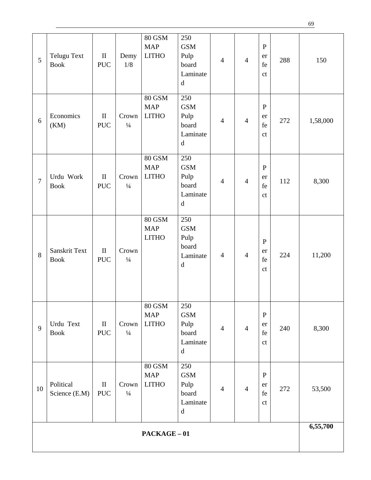| 5              | Telugu Text<br><b>Book</b>   | $\mathbf{I}$<br><b>PUC</b>      | Demy<br>1/8            | <b>80 GSM</b><br><b>MAP</b><br><b>LITHO</b> | 250<br><b>GSM</b><br>Pulp<br>board<br>Laminate<br>$\mathbf d$                                   | $\overline{4}$ | $\overline{4}$ | $\mathbf{P}$<br>er<br>fe<br>ct            | 288 | 150      |
|----------------|------------------------------|---------------------------------|------------------------|---------------------------------------------|-------------------------------------------------------------------------------------------------|----------------|----------------|-------------------------------------------|-----|----------|
| 6              | Economics<br>(KM)            | $\rm II$<br><b>PUC</b>          | Crown<br>$\frac{1}{4}$ | <b>80 GSM</b><br><b>MAP</b><br><b>LITHO</b> | 250<br><b>GSM</b><br>Pulp<br>board<br>Laminate<br>$\mathbf d$                                   | $\overline{4}$ | $\overline{4}$ | $\mathbf{P}$<br>er<br>fe<br>ct            | 272 | 1,58,000 |
| $\overline{7}$ | Urdu Work<br><b>Book</b>     | $\rm II$<br><b>PUC</b>          | Crown<br>$\frac{1}{4}$ | 80 GSM<br><b>MAP</b><br><b>LITHO</b>        | 250<br><b>GSM</b><br>Pulp<br>board<br>Laminate<br>$\mathbf d$                                   | $\overline{4}$ | $\overline{4}$ | $\mathbf P$<br>er<br>fe<br>ct             | 112 | 8,300    |
| 8              | Sanskrit Text<br><b>Book</b> | $\rm II$<br><b>PUC</b>          | Crown<br>$\frac{1}{4}$ | <b>80 GSM</b><br><b>MAP</b><br><b>LITHO</b> | 250<br><b>GSM</b><br>Pulp<br>board<br>Laminate<br>$\mathbf d$                                   | $\overline{4}$ | $\overline{4}$ | $\mathbf{P}$<br>er<br>fe<br>ct            | 224 | 11,200   |
| 9              | Urdu Text<br><b>Book</b>     | $\mathop{\rm II}$<br><b>PUC</b> | Crown<br>$\frac{1}{4}$ | <b>80 GSM</b><br><b>MAP</b><br><b>LITHO</b> | 250<br><b>GSM</b><br>Pulp<br>board<br>Laminate<br>$\mathbf d$                                   | $\overline{4}$ | $\overline{4}$ | $\mathbf{P}$<br>er<br>fe<br>$\mathsf{ct}$ | 240 | 8,300    |
| 10             | Political<br>Science (E.M)   | $\mathbf{I}$<br><b>PUC</b>      | Crown<br>$\frac{1}{4}$ | 80 GSM<br><b>MAP</b><br><b>LITHO</b>        | 250<br><b>GSM</b><br>Pulp<br>board<br>Laminate<br>$\mathrm{d}% \left\  \mathbf{G}\right\  ^{2}$ | $\overline{4}$ | $\overline{4}$ | ${\bf P}$<br>er<br>fe<br>$\mathsf{ct}$    | 272 | 53,500   |
| $PACKAGE - 01$ |                              |                                 |                        |                                             |                                                                                                 |                |                | 6,55,700                                  |     |          |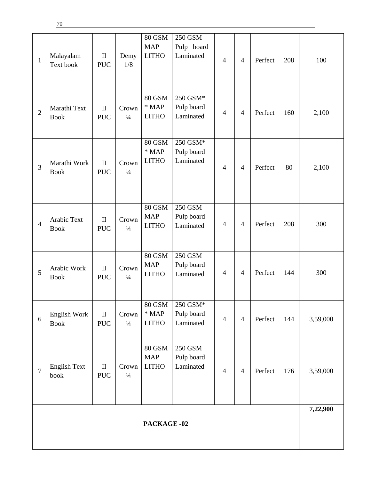| $\mathbf{1}$   | Malayalam<br>Text book      | $\mathbf{I}$<br><b>PUC</b> | Demy<br>1/8            | <b>80 GSM</b><br><b>MAP</b><br><b>LITHO</b> | 250 GSM<br>Pulp board<br>Laminated  | $\overline{4}$ | $\overline{4}$ | Perfect | 208      | 100      |
|----------------|-----------------------------|----------------------------|------------------------|---------------------------------------------|-------------------------------------|----------------|----------------|---------|----------|----------|
| $\overline{2}$ | Marathi Text<br><b>Book</b> | $\mathbf{I}$<br><b>PUC</b> | Crown<br>$\frac{1}{4}$ | <b>80 GSM</b><br>$*$ MAP<br><b>LITHO</b>    | 250 GSM*<br>Pulp board<br>Laminated | $\overline{4}$ | $\overline{4}$ | Perfect | 160      | 2,100    |
| 3              | Marathi Work<br><b>Book</b> | $\mathbf{I}$<br><b>PUC</b> | Crown<br>$\frac{1}{4}$ | <b>80 GSM</b><br>$*$ MAP<br><b>LITHO</b>    | 250 GSM*<br>Pulp board<br>Laminated | $\overline{4}$ | $\overline{4}$ | Perfect | 80       | 2,100    |
| $\overline{4}$ | Arabic Text<br><b>Book</b>  | $\mathbf{I}$<br><b>PUC</b> | Crown<br>$\frac{1}{4}$ | <b>80 GSM</b><br><b>MAP</b><br><b>LITHO</b> | 250 GSM<br>Pulp board<br>Laminated  | $\overline{4}$ | $\overline{4}$ | Perfect | 208      | 300      |
| 5              | Arabic Work<br><b>Book</b>  | $\mathbf{I}$<br><b>PUC</b> | Crown<br>$\frac{1}{4}$ | <b>80 GSM</b><br><b>MAP</b><br><b>LITHO</b> | 250 GSM<br>Pulp board<br>Laminated  | $\overline{4}$ | $\overline{4}$ | Perfect | 144      | 300      |
| 6              | English Work<br><b>Book</b> | $\mathbf{I}$<br><b>PUC</b> | Crown<br>$\frac{1}{4}$ | 80 GSM<br>$*$ MAP<br><b>LITHO</b>           | 250 GSM*<br>Pulp board<br>Laminated | $\overline{4}$ | $\overline{4}$ | Perfect | 144      | 3,59,000 |
| $\overline{7}$ | <b>English Text</b><br>book | $\mathbf{I}$<br><b>PUC</b> | Crown<br>$\frac{1}{4}$ | <b>80 GSM</b><br><b>MAP</b><br><b>LITHO</b> | 250 GSM<br>Pulp board<br>Laminated  | $\overline{4}$ | $\overline{4}$ | Perfect | 176      | 3,59,000 |
| PACKAGE-02     |                             |                            |                        |                                             |                                     |                |                |         | 7,22,900 |          |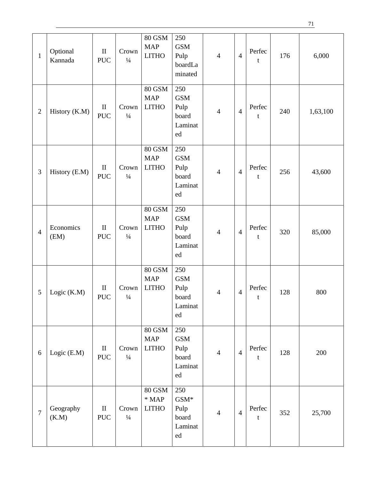| $\mathbf{1}$   | Optional<br>Kannada | $\mathbf{I}$<br><b>PUC</b> | Crown<br>$\frac{1}{4}$ | <b>80 GSM</b><br><b>MAP</b><br><b>LITHO</b> | 250<br><b>GSM</b><br>Pulp<br>boardLa<br>minated     | $\overline{4}$ | $\overline{4}$ | Perfec<br>t | 176 | 6,000    |
|----------------|---------------------|----------------------------|------------------------|---------------------------------------------|-----------------------------------------------------|----------------|----------------|-------------|-----|----------|
| $\mathfrak{2}$ | History (K.M)       | $\rm II$<br><b>PUC</b>     | Crown<br>$\frac{1}{4}$ | $80$ GSM<br><b>MAP</b><br><b>LITHO</b>      | 250<br><b>GSM</b><br>Pulp<br>board<br>Laminat<br>ed | $\overline{4}$ | $\overline{4}$ | Perfec<br>t | 240 | 1,63,100 |
| 3              | History (E.M)       | $\mathbf{I}$<br><b>PUC</b> | Crown<br>$\frac{1}{4}$ | <b>80 GSM</b><br><b>MAP</b><br><b>LITHO</b> | 250<br><b>GSM</b><br>Pulp<br>board<br>Laminat<br>ed | $\overline{4}$ | $\overline{4}$ | Perfec<br>t | 256 | 43,600   |
| $\overline{4}$ | Economics<br>(EM)   | $\mathbf{I}$<br><b>PUC</b> | Crown<br>$\frac{1}{4}$ | <b>80 GSM</b><br><b>MAP</b><br><b>LITHO</b> | 250<br><b>GSM</b><br>Pulp<br>board<br>Laminat<br>ed | $\overline{4}$ | $\overline{4}$ | Perfec<br>t | 320 | 85,000   |
| $\mathfrak{S}$ | Logic $(K.M)$       | $\rm II$<br><b>PUC</b>     | Crown<br>$\frac{1}{4}$ | <b>80 GSM</b><br><b>MAP</b><br><b>LITHO</b> | 250<br><b>GSM</b><br>Pulp<br>board<br>Laminat<br>ed | $\overline{4}$ | $\overline{4}$ | Perfec<br>t | 128 | 800      |
| 6              | Logic (E.M)         | $\mathbf{I}$<br><b>PUC</b> | Crown<br>$\frac{1}{4}$ | <b>80 GSM</b><br><b>MAP</b><br><b>LITHO</b> | 250<br><b>GSM</b><br>Pulp<br>board<br>Laminat<br>ed | $\overline{4}$ | $\overline{4}$ | Perfec<br>t | 128 | 200      |
| $\overline{7}$ | Geography<br>(K.M)  | $\mathbf{I}$<br><b>PUC</b> | Crown<br>$\frac{1}{4}$ | <b>80 GSM</b><br>$*$ MAP<br><b>LITHO</b>    | 250<br>$GSM*$<br>Pulp<br>board<br>Laminat<br>ed     | $\overline{4}$ | $\overline{4}$ | Perfec<br>t | 352 | 25,700   |

71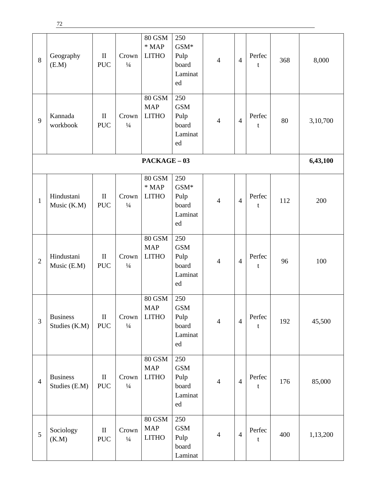| 8              | Geography<br>(E.M)               | $\mathbf{I}$<br><b>PUC</b> | Crown<br>$\frac{1}{4}$ | <b>80 GSM</b><br>$*$ MAP<br><b>LITHO</b>    | 250<br>$GSM*$<br>Pulp<br>board<br>Laminat<br>ed     | $\overline{4}$ | $\overline{4}$ | Perfec<br>t | 368 | 8,000    |
|----------------|----------------------------------|----------------------------|------------------------|---------------------------------------------|-----------------------------------------------------|----------------|----------------|-------------|-----|----------|
| 9              | Kannada<br>workbook              | $\mathbf{I}$<br><b>PUC</b> | Crown<br>$\frac{1}{4}$ | <b>80 GSM</b><br><b>MAP</b><br><b>LITHO</b> | 250<br><b>GSM</b><br>Pulp<br>board<br>Laminat<br>ed | $\overline{4}$ | $\overline{4}$ | Perfec<br>t | 80  | 3,10,700 |
|                | $PACKAGE-03$                     |                            |                        |                                             |                                                     |                |                |             |     |          |
| $\mathbf{1}$   | Hindustani<br>Music (K.M)        | $\mathbf{I}$<br><b>PUC</b> | Crown<br>$\frac{1}{4}$ | <b>80 GSM</b><br>$*$ MAP<br><b>LITHO</b>    | 250<br>$GSM*$<br>Pulp<br>board<br>Laminat<br>ed     | $\overline{4}$ | $\overline{4}$ | Perfec<br>t | 112 | 200      |
| $\overline{2}$ | Hindustani<br>Music (E.M)        | $\mathbf{I}$<br><b>PUC</b> | Crown<br>$\frac{1}{4}$ | <b>80 GSM</b><br><b>MAP</b><br><b>LITHO</b> | 250<br><b>GSM</b><br>Pulp<br>board<br>Laminat<br>ed | $\overline{4}$ | $\overline{4}$ | Perfec<br>t | 96  | 100      |
| 3              | <b>Business</b><br>Studies (K.M) | $\mathbf{I}$<br><b>PUC</b> | Crown<br>$1/4$         | <b>80 GSM</b><br><b>MAP</b><br><b>LITHO</b> | 250<br><b>GSM</b><br>Pulp<br>board<br>Laminat<br>ed | $\overline{4}$ | $\overline{4}$ | Perfec<br>t | 192 | 45,500   |
| $\overline{4}$ | <b>Business</b><br>Studies (E.M) | $\mathbf{I}$<br><b>PUC</b> | Crown<br>$\frac{1}{4}$ | <b>80 GSM</b><br><b>MAP</b><br><b>LITHO</b> | 250<br><b>GSM</b><br>Pulp<br>board<br>Laminat<br>ed | $\overline{4}$ | $\overline{4}$ | Perfec<br>t | 176 | 85,000   |
| 5              | Sociology<br>(K.M)               | $\mathbf{I}$<br><b>PUC</b> | Crown<br>$1/4$         | <b>80 GSM</b><br><b>MAP</b><br><b>LITHO</b> | 250<br><b>GSM</b><br>Pulp<br>board<br>Laminat       | $\overline{4}$ | $\overline{4}$ | Perfec<br>t | 400 | 1,13,200 |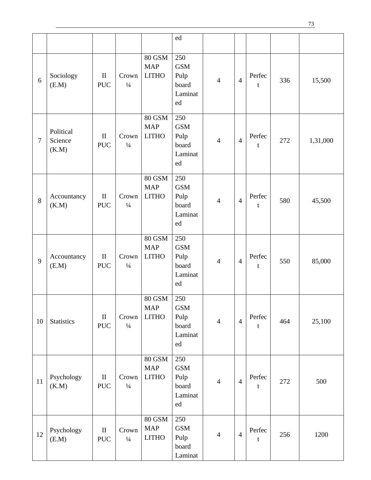|    |                               |                            |                        |                                             | ed                                                  |                |                |                       |     |          |
|----|-------------------------------|----------------------------|------------------------|---------------------------------------------|-----------------------------------------------------|----------------|----------------|-----------------------|-----|----------|
| 6  | Sociology<br>(E.M)            | $\mathbf{I}$<br><b>PUC</b> | Crown<br>$\frac{1}{4}$ | <b>80 GSM</b><br><b>MAP</b><br><b>LITHO</b> | 250<br><b>GSM</b><br>Pulp<br>board<br>Laminat<br>ed | $\overline{4}$ | $\overline{4}$ | Perfec<br>t           | 336 | 15,500   |
| 7  | Political<br>Science<br>(K.M) | $\mathbf{I}$<br><b>PUC</b> | Crown<br>$\frac{1}{4}$ | <b>80 GSM</b><br><b>MAP</b><br><b>LITHO</b> | 250<br><b>GSM</b><br>Pulp<br>board<br>Laminat<br>ed | $\overline{4}$ | $\overline{4}$ | Perfec<br>t           | 272 | 1,31,000 |
| 8  | Accountancy<br>(K.M)          | $\mathbf{I}$<br><b>PUC</b> | Crown<br>$\frac{1}{4}$ | <b>80 GSM</b><br><b>MAP</b><br><b>LITHO</b> | 250<br><b>GSM</b><br>Pulp<br>board<br>Laminat<br>ed | $\overline{4}$ | $\overline{4}$ | Perfec<br>t           | 580 | 45,500   |
| 9  | Accountancy<br>(E.M)          | $\mathbf{I}$<br><b>PUC</b> | Crown<br>$\frac{1}{4}$ | <b>80 GSM</b><br><b>MAP</b><br><b>LITHO</b> | 250<br><b>GSM</b><br>Pulp<br>board<br>Laminat<br>ed | $\overline{4}$ | $\overline{4}$ | Perfec<br>t           | 550 | 85,000   |
| 10 | <b>Statistics</b>             | $\rm II$<br><b>PUC</b>     | Crown<br>$\frac{1}{4}$ | <b>80 GSM</b><br><b>MAP</b><br><b>LITHO</b> | 250<br><b>GSM</b><br>Pulp<br>board<br>Laminat<br>ed | $\overline{4}$ | $\overline{4}$ | Perfec<br>t           | 464 | 25,100   |
| 11 | Psychology<br>(K.M)           | $\mathbf{I}$<br><b>PUC</b> | Crown<br>$\frac{1}{4}$ | <b>80 GSM</b><br><b>MAP</b><br><b>LITHO</b> | 250<br><b>GSM</b><br>Pulp<br>board<br>Laminat<br>ed | $\overline{4}$ | $\overline{4}$ | Perfec<br>t           | 272 | 500      |
| 12 | Psychology<br>(E.M)           | $\mathbf{I}$<br><b>PUC</b> | Crown<br>$\frac{1}{4}$ | <b>80 GSM</b><br><b>MAP</b><br><b>LITHO</b> | 250<br><b>GSM</b><br>Pulp<br>board<br>Laminat       | $\overline{4}$ | $\overline{4}$ | Perfec<br>$\mathbf t$ | 256 | 1200     |

73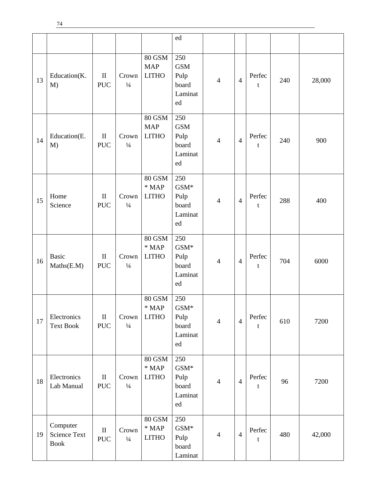|    |                                                |                                      |                        |                                             | ed                                                      |                |                |             |     |        |
|----|------------------------------------------------|--------------------------------------|------------------------|---------------------------------------------|---------------------------------------------------------|----------------|----------------|-------------|-----|--------|
| 13 | Education(K.<br>M)                             | $\mathbf{I}$<br><b>PUC</b>           | Crown<br>$\frac{1}{4}$ | <b>80 GSM</b><br><b>MAP</b><br><b>LITHO</b> | 250<br><b>GSM</b><br>Pulp<br>board<br>Laminat<br>ed     | $\overline{4}$ | $\overline{4}$ | Perfec<br>t | 240 | 28,000 |
| 14 | Education(E.<br>M)                             | $\mathbf{I}$<br><b>PUC</b>           | Crown<br>$\frac{1}{4}$ | <b>80 GSM</b><br><b>MAP</b><br><b>LITHO</b> | 250<br><b>GSM</b><br>Pulp<br>board<br>Laminat<br>ed     | $\overline{4}$ | $\overline{4}$ | Perfec<br>t | 240 | 900    |
| 15 | Home<br>Science                                | $\mathbf{I}$<br><b>PUC</b>           | Crown<br>$\frac{1}{4}$ | <b>80 GSM</b><br>$*$ MAP<br><b>LITHO</b>    | 250<br>$GSM*$<br>Pulp<br>board<br>Laminat<br>ed         | $\overline{4}$ | $\overline{4}$ | Perfec<br>t | 288 | 400    |
| 16 | <b>Basic</b><br>Maths(E.M)                     | $\mathbf{I}$<br><b>PUC</b>           | Crown<br>$\frac{1}{4}$ | <b>80 GSM</b><br>$*$ MAP<br><b>LITHO</b>    | 250<br>$GSM*$<br>Pulp<br>board<br>Laminat<br>ed         | $\overline{4}$ | $\overline{4}$ | Perfec<br>t | 704 | 6000   |
| 17 | Electronics<br><b>Text Book</b>                | $\mathbf{I}$<br>PUC                  | Crown<br>$\frac{1}{4}$ | 80 GSM<br>$\,^*$ MAP<br><b>LITHO</b>        | 250<br>$GSM*$<br>Pulp<br>board<br>Laminat<br>ed         | $\overline{4}$ | $\overline{4}$ | Perfec<br>t | 610 | 7200   |
| 18 | Electronics<br>Lab Manual                      | $\mathbf{I}$<br>$\operatorname{PUC}$ | Crown<br>$\frac{1}{4}$ | <b>80 GSM</b><br>$*$ MAP<br><b>LITHO</b>    | 250<br>$GSM*$<br>Pulp<br>board<br>Laminat<br>${\rm ed}$ | $\overline{4}$ | $\overline{4}$ | Perfec<br>t | 96  | 7200   |
| 19 | Computer<br><b>Science Text</b><br><b>Book</b> | $\mathbf{I}$<br><b>PUC</b>           | Crown<br>$1/4$         | <b>80 GSM</b><br>$\,^*$ MAP<br><b>LITHO</b> | 250<br>GSM*<br>Pulp<br>board<br>Laminat                 | $\overline{4}$ | $\overline{4}$ | Perfec<br>t | 480 | 42,000 |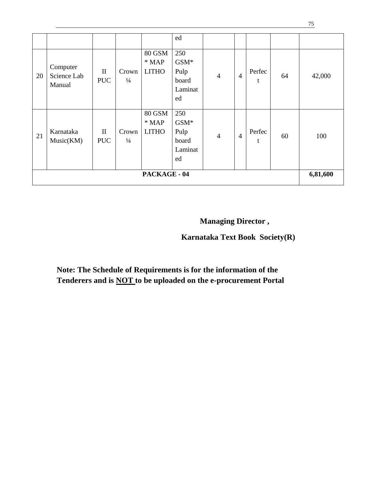|    |                                   |                            |                        |                                          | ed                                              |                |                |             |    |          |
|----|-----------------------------------|----------------------------|------------------------|------------------------------------------|-------------------------------------------------|----------------|----------------|-------------|----|----------|
| 20 | Computer<br>Science Lab<br>Manual | $\mathbf{I}$<br><b>PUC</b> | Crown<br>$\frac{1}{4}$ | <b>80 GSM</b><br>$*$ MAP<br><b>LITHO</b> | 250<br>$GSM*$<br>Pulp<br>board<br>Laminat<br>ed | $\overline{4}$ | $\overline{4}$ | Perfec<br>t | 64 | 42,000   |
| 21 | Karnataka<br>Music(KM)            | $\mathbf{I}$<br><b>PUC</b> | Crown<br>$\frac{1}{4}$ | <b>80 GSM</b><br>$*$ MAP<br><b>LITHO</b> | 250<br>$GSM*$<br>Pulp<br>board<br>Laminat<br>ed | $\overline{4}$ | $\overline{4}$ | Perfec<br>t | 60 | 100      |
|    |                                   |                            |                        | PACKAGE - 04                             |                                                 |                |                |             |    | 6,81,600 |

 **Managing Director ,** 

 **Karnataka Text Book Society(R)** 

**Note: The Schedule of Requirements is for the information of the Tenderers and is NOT to be uploaded on the e-procurement Portal**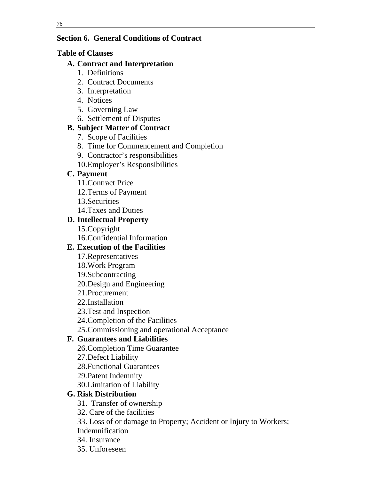# **Section 6. General Conditions of Contract**

# **Table of Clauses**

# **A. Contract and Interpretation**

- 1. Definitions
- 2. Contract Documents
- 3. Interpretation
- 4. Notices
- 5. Governing Law
- 6. Settlement of Disputes

# **B. Subject Matter of Contract**

- 7. Scope of Facilities
- 8. Time for Commencement and Completion
- 9. Contractor's responsibilities
- 10.Employer's Responsibilities

# **C. Payment**

- 11.Contract Price
- 12.Terms of Payment
- 13.Securities
- 14.Taxes and Duties

# **D. Intellectual Property**

- 15.Copyright
- 16.Confidential Information

# **E. Execution of the Facilities**

- 17.Representatives
- 18.Work Program
- 19.Subcontracting
- 20.Design and Engineering
- 21.Procurement
- 22.Installation
- 23.Test and Inspection
- 24.Completion of the Facilities
- 25.Commissioning and operational Acceptance

# **F. Guarantees and Liabilities**

- 26.Completion Time Guarantee
- 27.Defect Liability
- 28.Functional Guarantees
- 29.Patent Indemnity
- 30.Limitation of Liability

# **G. Risk Distribution**

- 31. Transfer of ownership
- 32. Care of the facilities
- 33. Loss of or damage to Property; Accident or Injury to Workers;
- Indemnification
- 34. Insurance
- 35. Unforeseen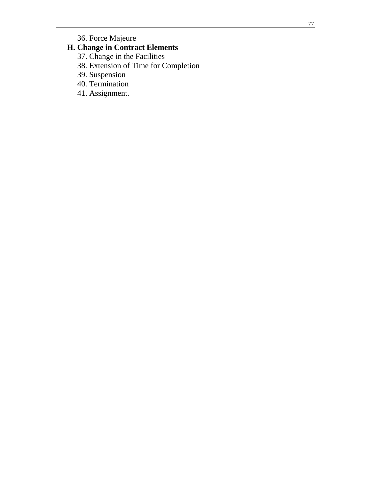36. Force Majeure

# **H. Change in Contract Elements**

- 37. Change in the Facilities
- 38. Extension of Time for Completion
- 39. Suspension
- 40. Termination
- 41. Assignment.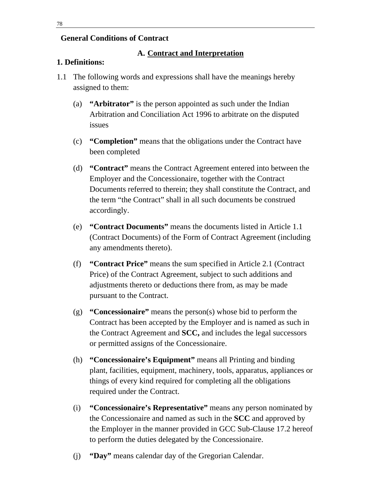# **General Conditions of Contract**

# **A. Contract and Interpretation**

# **1. Definitions:**

- 1.1 The following words and expressions shall have the meanings hereby assigned to them:
	- (a) **"Arbitrator"** is the person appointed as such under the Indian Arbitration and Conciliation Act 1996 to arbitrate on the disputed issues
	- (c) **"Completion"** means that the obligations under the Contract have been completed
	- (d) **"Contract"** means the Contract Agreement entered into between the Employer and the Concessionaire, together with the Contract Documents referred to therein; they shall constitute the Contract, and the term "the Contract" shall in all such documents be construed accordingly.
	- (e) **"Contract Documents"** means the documents listed in Article 1.1 (Contract Documents) of the Form of Contract Agreement (including any amendments thereto).
	- (f) **"Contract Price"** means the sum specified in Article 2.1 (Contract Price) of the Contract Agreement, subject to such additions and adjustments thereto or deductions there from, as may be made pursuant to the Contract.
	- (g) **"Concessionaire"** means the person(s) whose bid to perform the Contract has been accepted by the Employer and is named as such in the Contract Agreement and **SCC,** and includes the legal successors or permitted assigns of the Concessionaire.
	- (h) **"Concessionaire's Equipment"** means all Printing and binding plant, facilities, equipment, machinery, tools, apparatus, appliances or things of every kind required for completing all the obligations required under the Contract.
	- (i) **"Concessionaire's Representative"** means any person nominated by the Concessionaire and named as such in the **SCC** and approved by the Employer in the manner provided in GCC Sub-Clause 17.2 hereof to perform the duties delegated by the Concessionaire.
	- (j) **"Day"** means calendar day of the Gregorian Calendar.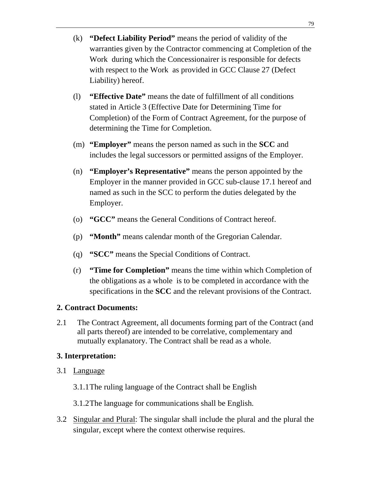- (k) **"Defect Liability Period"** means the period of validity of the warranties given by the Contractor commencing at Completion of the Work during which the Concessionairer is responsible for defects with respect to the Work as provided in GCC Clause 27 (Defect Liability) hereof.
- (l) **"Effective Date"** means the date of fulfillment of all conditions stated in Article 3 (Effective Date for Determining Time for Completion) of the Form of Contract Agreement, for the purpose of determining the Time for Completion.
- (m) **"Employer"** means the person named as such in the **SCC** and includes the legal successors or permitted assigns of the Employer.
- (n) **"Employer's Representative"** means the person appointed by the Employer in the manner provided in GCC sub-clause 17.1 hereof and named as such in the SCC to perform the duties delegated by the Employer.
- (o) **"GCC"** means the General Conditions of Contract hereof.
- (p) **"Month"** means calendar month of the Gregorian Calendar.
- (q) **"SCC"** means the Special Conditions of Contract.
- (r) **"Time for Completion"** means the time within which Completion of the obligations as a whole is to be completed in accordance with the specifications in the **SCC** and the relevant provisions of the Contract.

# **2. Contract Documents:**

2.1 The Contract Agreement, all documents forming part of the Contract (and all parts thereof) are intended to be correlative, complementary and mutually explanatory. The Contract shall be read as a whole.

# **3. Interpretation:**

- 3.1 Language
	- 3.1.1 The ruling language of the Contract shall be English

3.1.2 The language for communications shall be English.

3.2 Singular and Plural: The singular shall include the plural and the plural the singular, except where the context otherwise requires.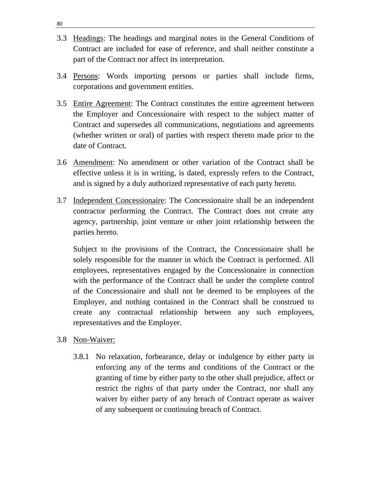- 3.3 Headings: The headings and marginal notes in the General Conditions of Contract are included for ease of reference, and shall neither constitute a part of the Contract nor affect its interpretation.
- 3.4 Persons: Words importing persons or parties shall include firms, corporations and government entities.
- 3.5 Entire Agreement: The Contract constitutes the entire agreement between the Employer and Concessionaire with respect to the subject matter of Contract and supersedes all communications, negotiations and agreements (whether written or oral) of parties with respect thereto made prior to the date of Contract.
- 3.6 Amendment: No amendment or other variation of the Contract shall be effective unless it is in writing, is dated, expressly refers to the Contract, and is signed by a duly authorized representative of each party hereto.
- 3.7 Independent Concessionaire: The Concessionaire shall be an independent contractor performing the Contract. The Contract does not create any agency, partnership, joint venture or other joint relationship between the parties hereto.

 Subject to the provisions of the Contract, the Concessionaire shall be solely responsible for the manner in which the Contract is performed. All employees, representatives engaged by the Concessionaire in connection with the performance of the Contract shall be under the complete control of the Concessionaire and shall not be deemed to be employees of the Employer, and nothing contained in the Contract shall be construed to create any contractual relationship between any such employees, representatives and the Employer.

- 3.8 Non-Waiver:
	- 3.8.1 No relaxation, forbearance, delay or indulgence by either party in enforcing any of the terms and conditions of the Contract or the granting of time by either party to the other shall prejudice, affect or restrict the rights of that party under the Contract, nor shall any waiver by either party of any breach of Contract operate as waiver of any subsequent or continuing breach of Contract.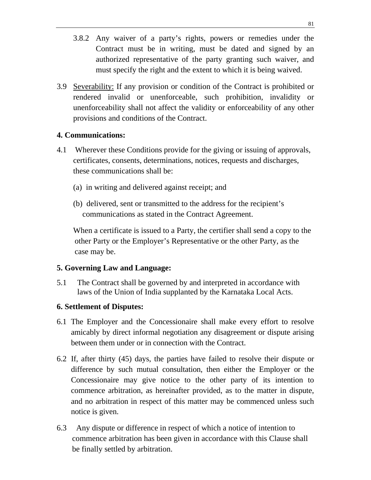- 3.8.2 Any waiver of a party's rights, powers or remedies under the Contract must be in writing, must be dated and signed by an authorized representative of the party granting such waiver, and must specify the right and the extent to which it is being waived.
- 3.9 Severability: If any provision or condition of the Contract is prohibited or rendered invalid or unenforceable, such prohibition, invalidity or unenforceability shall not affect the validity or enforceability of any other provisions and conditions of the Contract.

# **4. Communications:**

- 4.1 Wherever these Conditions provide for the giving or issuing of approvals, certificates, consents, determinations, notices, requests and discharges, these communications shall be:
	- (a) in writing and delivered against receipt; and
	- (b) delivered, sent or transmitted to the address for the recipient's communications as stated in the Contract Agreement.

When a certificate is issued to a Party, the certifier shall send a copy to the other Party or the Employer's Representative or the other Party, as the case may be.

## **5. Governing Law and Language:**

5.1 The Contract shall be governed by and interpreted in accordance with laws of the Union of India supplanted by the Karnataka Local Acts.

## **6. Settlement of Disputes:**

- 6.1 The Employer and the Concessionaire shall make every effort to resolve amicably by direct informal negotiation any disagreement or dispute arising between them under or in connection with the Contract.
- 6.2 If, after thirty (45) days, the parties have failed to resolve their dispute or difference by such mutual consultation, then either the Employer or the Concessionaire may give notice to the other party of its intention to commence arbitration, as hereinafter provided, as to the matter in dispute, and no arbitration in respect of this matter may be commenced unless such notice is given.
- 6.3 Any dispute or difference in respect of which a notice of intention to commence arbitration has been given in accordance with this Clause shall be finally settled by arbitration.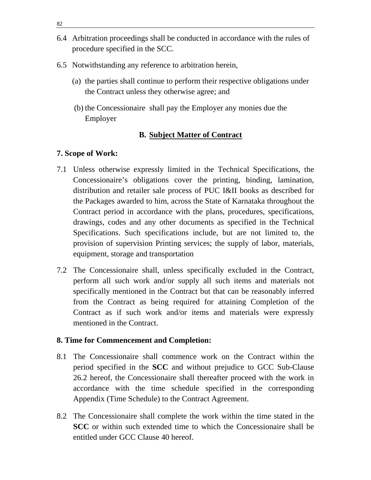- 6.4 Arbitration proceedings shall be conducted in accordance with the rules of procedure specified in the SCC.
- 6.5 Notwithstanding any reference to arbitration herein,
	- (a) the parties shall continue to perform their respective obligations under the Contract unless they otherwise agree; and
	- (b) the Concessionaire shall pay the Employer any monies due the Employer

# **B. Subject Matter of Contract**

## **7. Scope of Work:**

- 7.1 Unless otherwise expressly limited in the Technical Specifications, the Concessionaire's obligations cover the printing, binding, lamination, distribution and retailer sale process of PUC I&II books as described for the Packages awarded to him, across the State of Karnataka throughout the Contract period in accordance with the plans, procedures, specifications, drawings, codes and any other documents as specified in the Technical Specifications. Such specifications include, but are not limited to, the provision of supervision Printing services; the supply of labor, materials, equipment, storage and transportation
- 7.2 The Concessionaire shall, unless specifically excluded in the Contract, perform all such work and/or supply all such items and materials not specifically mentioned in the Contract but that can be reasonably inferred from the Contract as being required for attaining Completion of the Contract as if such work and/or items and materials were expressly mentioned in the Contract.

## **8. Time for Commencement and Completion:**

- 8.1 The Concessionaire shall commence work on the Contract within the period specified in the **SCC** and without prejudice to GCC Sub-Clause 26.2 hereof, the Concessionaire shall thereafter proceed with the work in accordance with the time schedule specified in the corresponding Appendix (Time Schedule) to the Contract Agreement.
- 8.2 The Concessionaire shall complete the work within the time stated in the **SCC** or within such extended time to which the Concessionaire shall be entitled under GCC Clause 40 hereof.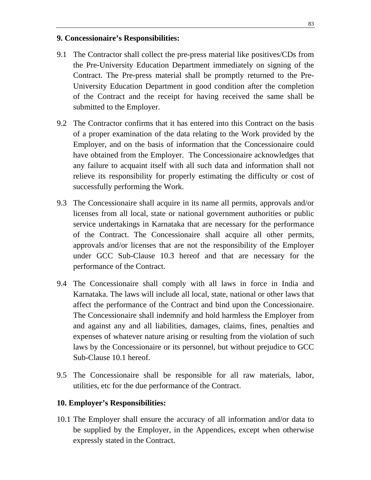### **9. Concessionaire's Responsibilities:**

- 9.1 The Contractor shall collect the pre-press material like positives/CDs from the Pre-University Education Department immediately on signing of the Contract. The Pre-press material shall be promptly returned to the Pre-University Education Department in good condition after the completion of the Contract and the receipt for having received the same shall be submitted to the Employer.
- 9.2 The Contractor confirms that it has entered into this Contract on the basis of a proper examination of the data relating to the Work provided by the Employer, and on the basis of information that the Concessionaire could have obtained from the Employer. The Concessionaire acknowledges that any failure to acquaint itself with all such data and information shall not relieve its responsibility for properly estimating the difficulty or cost of successfully performing the Work.
- 9.3 The Concessionaire shall acquire in its name all permits, approvals and/or licenses from all local, state or national government authorities or public service undertakings in Karnataka that are necessary for the performance of the Contract. The Concessionaire shall acquire all other permits, approvals and/or licenses that are not the responsibility of the Employer under GCC Sub-Clause 10.3 hereof and that are necessary for the performance of the Contract.
- 9.4 The Concessionaire shall comply with all laws in force in India and Karnataka. The laws will include all local, state, national or other laws that affect the performance of the Contract and bind upon the Concessionaire. The Concessionaire shall indemnify and hold harmless the Employer from and against any and all liabilities, damages, claims, fines, penalties and expenses of whatever nature arising or resulting from the violation of such laws by the Concessionaire or its personnel, but without prejudice to GCC Sub-Clause 10.1 hereof.
- 9.5 The Concessionaire shall be responsible for all raw materials, labor, utilities, etc for the due performance of the Contract.

## **10. Employer's Responsibilities:**

10.1 The Employer shall ensure the accuracy of all information and/or data to be supplied by the Employer, in the Appendices, except when otherwise expressly stated in the Contract.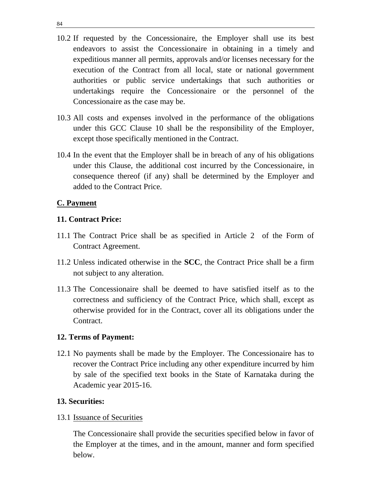- 10.2 If requested by the Concessionaire, the Employer shall use its best endeavors to assist the Concessionaire in obtaining in a timely and expeditious manner all permits, approvals and/or licenses necessary for the execution of the Contract from all local, state or national government authorities or public service undertakings that such authorities or undertakings require the Concessionaire or the personnel of the Concessionaire as the case may be.
- 10.3 All costs and expenses involved in the performance of the obligations under this GCC Clause 10 shall be the responsibility of the Employer, except those specifically mentioned in the Contract.
- 10.4 In the event that the Employer shall be in breach of any of his obligations under this Clause, the additional cost incurred by the Concessionaire, in consequence thereof (if any) shall be determined by the Employer and added to the Contract Price.

# **C. Payment**

# **11. Contract Price:**

- 11.1 The Contract Price shall be as specified in Article 2 of the Form of Contract Agreement.
- 11.2 Unless indicated otherwise in the **SCC**, the Contract Price shall be a firm not subject to any alteration.
- 11.3 The Concessionaire shall be deemed to have satisfied itself as to the correctness and sufficiency of the Contract Price, which shall, except as otherwise provided for in the Contract, cover all its obligations under the Contract.

# **12. Terms of Payment:**

12.1 No payments shall be made by the Employer. The Concessionaire has to recover the Contract Price including any other expenditure incurred by him by sale of the specified text books in the State of Karnataka during the Academic year 2015-16.

# **13. Securities:**

# 13.1 Issuance of Securities

 The Concessionaire shall provide the securities specified below in favor of the Employer at the times, and in the amount, manner and form specified below.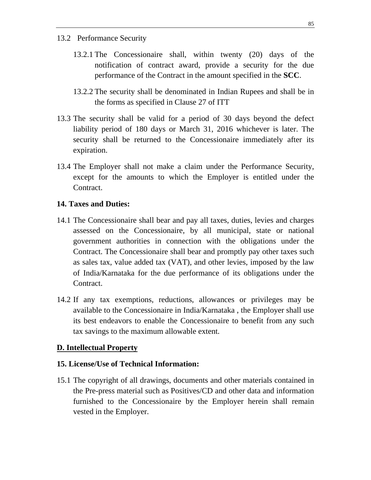### 13.2 Performance Security

- 13.2.1 The Concessionaire shall, within twenty (20) days of the notification of contract award, provide a security for the due performance of the Contract in the amount specified in the **SCC**.
- 13.2.2 The security shall be denominated in Indian Rupees and shall be in the forms as specified in Clause 27 of ITT
- 13.3 The security shall be valid for a period of 30 days beyond the defect liability period of 180 days or March 31, 2016 whichever is later. The security shall be returned to the Concessionaire immediately after its expiration.
- 13.4 The Employer shall not make a claim under the Performance Security, except for the amounts to which the Employer is entitled under the Contract.

## **14. Taxes and Duties:**

- 14.1 The Concessionaire shall bear and pay all taxes, duties, levies and charges assessed on the Concessionaire, by all municipal, state or national government authorities in connection with the obligations under the Contract. The Concessionaire shall bear and promptly pay other taxes such as sales tax, value added tax (VAT), and other levies, imposed by the law of India/Karnataka for the due performance of its obligations under the Contract.
- 14.2 If any tax exemptions, reductions, allowances or privileges may be available to the Concessionaire in India/Karnataka , the Employer shall use its best endeavors to enable the Concessionaire to benefit from any such tax savings to the maximum allowable extent.

## **D. Intellectual Property**

## **15. License/Use of Technical Information:**

15.1 The copyright of all drawings, documents and other materials contained in the Pre-press material such as Positives/CD and other data and information furnished to the Concessionaire by the Employer herein shall remain vested in the Employer.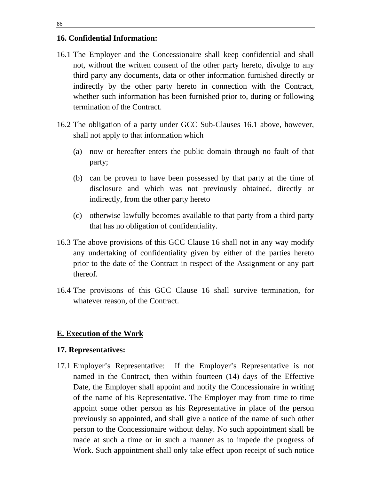### **16. Confidential Information:**

- 16.1 The Employer and the Concessionaire shall keep confidential and shall not, without the written consent of the other party hereto, divulge to any third party any documents, data or other information furnished directly or indirectly by the other party hereto in connection with the Contract, whether such information has been furnished prior to, during or following termination of the Contract.
- 16.2 The obligation of a party under GCC Sub-Clauses 16.1 above, however, shall not apply to that information which
	- (a) now or hereafter enters the public domain through no fault of that party;
	- (b) can be proven to have been possessed by that party at the time of disclosure and which was not previously obtained, directly or indirectly, from the other party hereto
	- (c) otherwise lawfully becomes available to that party from a third party that has no obligation of confidentiality.
- 16.3 The above provisions of this GCC Clause 16 shall not in any way modify any undertaking of confidentiality given by either of the parties hereto prior to the date of the Contract in respect of the Assignment or any part thereof.
- 16.4 The provisions of this GCC Clause 16 shall survive termination, for whatever reason, of the Contract.

## **E. Execution of the Work**

#### **17. Representatives:**

17.1 Employer's Representative: If the Employer's Representative is not named in the Contract, then within fourteen (14) days of the Effective Date, the Employer shall appoint and notify the Concessionaire in writing of the name of his Representative. The Employer may from time to time appoint some other person as his Representative in place of the person previously so appointed, and shall give a notice of the name of such other person to the Concessionaire without delay. No such appointment shall be made at such a time or in such a manner as to impede the progress of Work. Such appointment shall only take effect upon receipt of such notice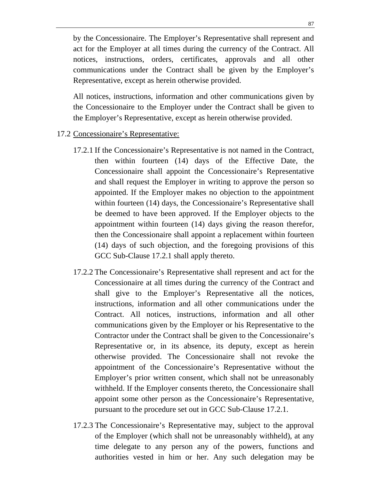by the Concessionaire. The Employer's Representative shall represent and act for the Employer at all times during the currency of the Contract. All notices, instructions, orders, certificates, approvals and all other communications under the Contract shall be given by the Employer's Representative, except as herein otherwise provided.

 All notices, instructions, information and other communications given by the Concessionaire to the Employer under the Contract shall be given to the Employer's Representative, except as herein otherwise provided.

- 17.2 Concessionaire's Representative:
	- 17.2.1 If the Concessionaire's Representative is not named in the Contract, then within fourteen (14) days of the Effective Date, the Concessionaire shall appoint the Concessionaire's Representative and shall request the Employer in writing to approve the person so appointed. If the Employer makes no objection to the appointment within fourteen (14) days, the Concessionaire's Representative shall be deemed to have been approved. If the Employer objects to the appointment within fourteen (14) days giving the reason therefor, then the Concessionaire shall appoint a replacement within fourteen (14) days of such objection, and the foregoing provisions of this GCC Sub-Clause 17.2.1 shall apply thereto.
	- 17.2.2 The Concessionaire's Representative shall represent and act for the Concessionaire at all times during the currency of the Contract and shall give to the Employer's Representative all the notices, instructions, information and all other communications under the Contract. All notices, instructions, information and all other communications given by the Employer or his Representative to the Contractor under the Contract shall be given to the Concessionaire's Representative or, in its absence, its deputy, except as herein otherwise provided. The Concessionaire shall not revoke the appointment of the Concessionaire's Representative without the Employer's prior written consent, which shall not be unreasonably withheld. If the Employer consents thereto, the Concessionaire shall appoint some other person as the Concessionaire's Representative, pursuant to the procedure set out in GCC Sub-Clause 17.2.1.
	- 17.2.3 The Concessionaire's Representative may, subject to the approval of the Employer (which shall not be unreasonably withheld), at any time delegate to any person any of the powers, functions and authorities vested in him or her. Any such delegation may be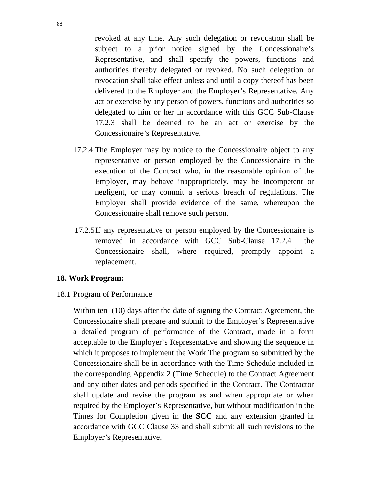revoked at any time. Any such delegation or revocation shall be subject to a prior notice signed by the Concessionaire's Representative, and shall specify the powers, functions and authorities thereby delegated or revoked. No such delegation or revocation shall take effect unless and until a copy thereof has been delivered to the Employer and the Employer's Representative. Any act or exercise by any person of powers, functions and authorities so delegated to him or her in accordance with this GCC Sub-Clause 17.2.3 shall be deemed to be an act or exercise by the Concessionaire's Representative.

- 17.2.4 The Employer may by notice to the Concessionaire object to any representative or person employed by the Concessionaire in the execution of the Contract who, in the reasonable opinion of the Employer, may behave inappropriately, may be incompetent or negligent, or may commit a serious breach of regulations. The Employer shall provide evidence of the same, whereupon the Concessionaire shall remove such person.
- 17.2.5 If any representative or person employed by the Concessionaire is removed in accordance with GCC Sub-Clause 17.2.4 the Concessionaire shall, where required, promptly appoint a replacement.

#### **18. Work Program:**

## 18.1 Program of Performance

 Within ten (10) days after the date of signing the Contract Agreement, the Concessionaire shall prepare and submit to the Employer's Representative a detailed program of performance of the Contract, made in a form acceptable to the Employer's Representative and showing the sequence in which it proposes to implement the Work The program so submitted by the Concessionaire shall be in accordance with the Time Schedule included in the corresponding Appendix 2 (Time Schedule) to the Contract Agreement and any other dates and periods specified in the Contract. The Contractor shall update and revise the program as and when appropriate or when required by the Employer's Representative, but without modification in the Times for Completion given in the **SCC** and any extension granted in accordance with GCC Clause 33 and shall submit all such revisions to the Employer's Representative.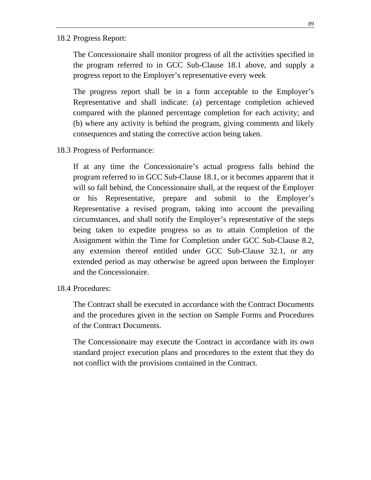#### 18.2 Progress Report:

 The Concessionaire shall monitor progress of all the activities specified in the program referred to in GCC Sub-Clause 18.1 above, and supply a progress report to the Employer's representative every week

 The progress report shall be in a form acceptable to the Employer's Representative and shall indicate: (a) percentage completion achieved compared with the planned percentage completion for each activity; and (b) where any activity is behind the program, giving comments and likely consequences and stating the corrective action being taken.

18.3 Progress of Performance:

 If at any time the Concessionaire's actual progress falls behind the program referred to in GCC Sub-Clause 18.1, or it becomes apparent that it will so fall behind, the Concessionaire shall, at the request of the Employer or his Representative, prepare and submit to the Employer's Representative a revised program, taking into account the prevailing circumstances, and shall notify the Employer's representative of the steps being taken to expedite progress so as to attain Completion of the Assignment within the Time for Completion under GCC Sub-Clause 8.2, any extension thereof entitled under GCC Sub-Clause 32.1, or any extended period as may otherwise be agreed upon between the Employer and the Concessionaire.

18.4 Procedures:

 The Contract shall be executed in accordance with the Contract Documents and the procedures given in the section on Sample Forms and Procedures of the Contract Documents.

 The Concessionaire may execute the Contract in accordance with its own standard project execution plans and procedures to the extent that they do not conflict with the provisions contained in the Contract.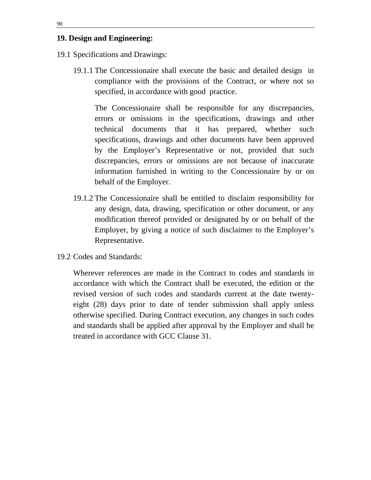#### **19. Design and Engineering:**

- 19.1 Specifications and Drawings:
	- 19.1.1 The Concessionaire shall execute the basic and detailed design in compliance with the provisions of the Contract, or where not so specified, in accordance with good practice.

 The Concessionaire shall be responsible for any discrepancies, errors or omissions in the specifications, drawings and other technical documents that it has prepared, whether such specifications, drawings and other documents have been approved by the Employer's Representative or not, provided that such discrepancies, errors or omissions are not because of inaccurate information furnished in writing to the Concessionaire by or on behalf of the Employer.

- 19.1.2 The Concessionaire shall be entitled to disclaim responsibility for any design, data, drawing, specification or other document, or any modification thereof provided or designated by or on behalf of the Employer, by giving a notice of such disclaimer to the Employer's Representative.
- 19.2 Codes and Standards:

 Wherever references are made in the Contract to codes and standards in accordance with which the Contract shall be executed, the edition or the revised version of such codes and standards current at the date twentyeight (28) days prior to date of tender submission shall apply unless otherwise specified. During Contract execution, any changes in such codes and standards shall be applied after approval by the Employer and shall be treated in accordance with GCC Clause 31.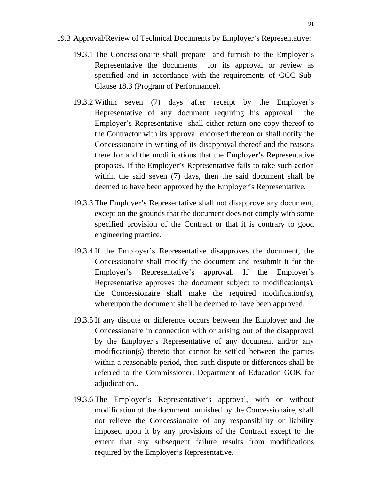#### 19.3 Approval/Review of Technical Documents by Employer's Representative:

- 19.3.1 The Concessionaire shall prepare and furnish to the Employer's Representative the documents for its approval or review as specified and in accordance with the requirements of GCC Sub-Clause 18.3 (Program of Performance).
- 19.3.2 Within seven (7) days after receipt by the Employer's Representative of any document requiring his approval the Employer's Representative shall either return one copy thereof to the Contractor with its approval endorsed thereon or shall notify the Concessionaire in writing of its disapproval thereof and the reasons there for and the modifications that the Employer's Representative proposes. If the Employer's Representative fails to take such action within the said seven (7) days, then the said document shall be deemed to have been approved by the Employer's Representative.
- 19.3.3 The Employer's Representative shall not disapprove any document, except on the grounds that the document does not comply with some specified provision of the Contract or that it is contrary to good engineering practice.
- 19.3.4 If the Employer's Representative disapproves the document, the Concessionaire shall modify the document and resubmit it for the Employer's Representative's approval. If the Employer's Representative approves the document subject to modification(s), the Concessionaire shall make the required modification(s), whereupon the document shall be deemed to have been approved.
- 19.3.5 If any dispute or difference occurs between the Employer and the Concessionaire in connection with or arising out of the disapproval by the Employer's Representative of any document and/or any modification(s) thereto that cannot be settled between the parties within a reasonable period, then such dispute or differences shall be referred to the Commissioner, Department of Education GOK for adjudication..
- 19.3.6 The Employer's Representative's approval, with or without modification of the document furnished by the Concessionaire, shall not relieve the Concessionaire of any responsibility or liability imposed upon it by any provisions of the Contract except to the extent that any subsequent failure results from modifications required by the Employer's Representative.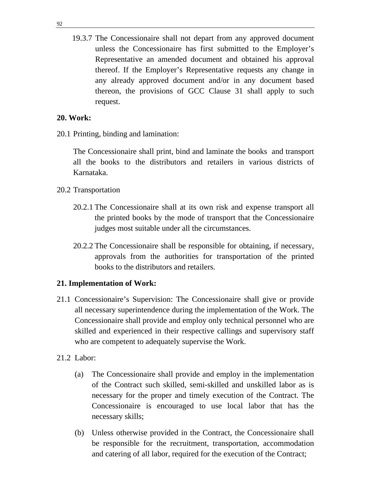19.3.7 The Concessionaire shall not depart from any approved document unless the Concessionaire has first submitted to the Employer's Representative an amended document and obtained his approval thereof. If the Employer's Representative requests any change in any already approved document and/or in any document based thereon, the provisions of GCC Clause 31 shall apply to such request.

# **20. Work:**

20.1 Printing, binding and lamination:

 The Concessionaire shall print, bind and laminate the books and transport all the books to the distributors and retailers in various districts of Karnataka.

- 20.2 Transportation
	- 20.2.1 The Concessionaire shall at its own risk and expense transport all the printed books by the mode of transport that the Concessionaire judges most suitable under all the circumstances.
	- 20.2.2 The Concessionaire shall be responsible for obtaining, if necessary, approvals from the authorities for transportation of the printed books to the distributors and retailers.

# **21. Implementation of Work:**

- 21.1 Concessionaire's Supervision: The Concessionaire shall give or provide all necessary superintendence during the implementation of the Work. The Concessionaire shall provide and employ only technical personnel who are skilled and experienced in their respective callings and supervisory staff who are competent to adequately supervise the Work.
- 21.2 Labor:
	- (a) The Concessionaire shall provide and employ in the implementation of the Contract such skilled, semi-skilled and unskilled labor as is necessary for the proper and timely execution of the Contract. The Concessionaire is encouraged to use local labor that has the necessary skills;
	- (b) Unless otherwise provided in the Contract, the Concessionaire shall be responsible for the recruitment, transportation, accommodation and catering of all labor, required for the execution of the Contract;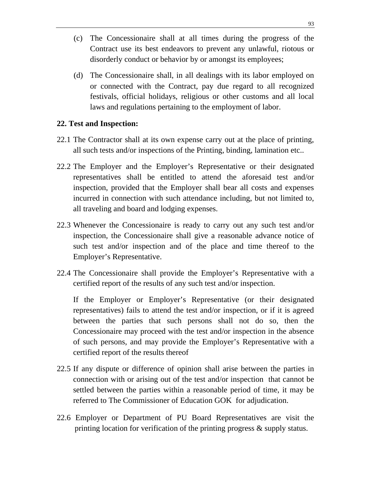- (c) The Concessionaire shall at all times during the progress of the Contract use its best endeavors to prevent any unlawful, riotous or disorderly conduct or behavior by or amongst its employees;
- (d) The Concessionaire shall, in all dealings with its labor employed on or connected with the Contract, pay due regard to all recognized festivals, official holidays, religious or other customs and all local laws and regulations pertaining to the employment of labor.

## **22. Test and Inspection:**

- 22.1 The Contractor shall at its own expense carry out at the place of printing, all such tests and/or inspections of the Printing, binding, lamination etc..
- 22.2 The Employer and the Employer's Representative or their designated representatives shall be entitled to attend the aforesaid test and/or inspection, provided that the Employer shall bear all costs and expenses incurred in connection with such attendance including, but not limited to, all traveling and board and lodging expenses.
- 22.3 Whenever the Concessionaire is ready to carry out any such test and/or inspection, the Concessionaire shall give a reasonable advance notice of such test and/or inspection and of the place and time thereof to the Employer's Representative.
- 22.4 The Concessionaire shall provide the Employer's Representative with a certified report of the results of any such test and/or inspection.

 If the Employer or Employer's Representative (or their designated representatives) fails to attend the test and/or inspection, or if it is agreed between the parties that such persons shall not do so, then the Concessionaire may proceed with the test and/or inspection in the absence of such persons, and may provide the Employer's Representative with a certified report of the results thereof

- 22.5 If any dispute or difference of opinion shall arise between the parties in connection with or arising out of the test and/or inspection that cannot be settled between the parties within a reasonable period of time, it may be referred to The Commissioner of Education GOK for adjudication.
- 22.6 Employer or Department of PU Board Representatives are visit the printing location for verification of the printing progress & supply status.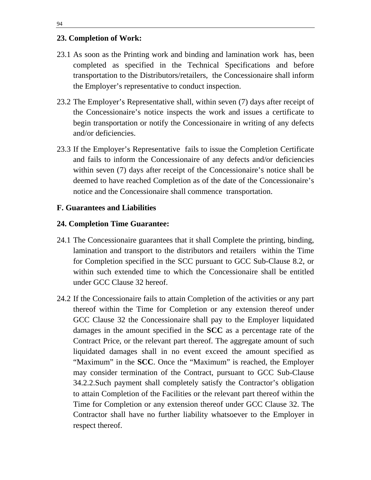## **23. Completion of Work:**

- 23.1 As soon as the Printing work and binding and lamination work has, been completed as specified in the Technical Specifications and before transportation to the Distributors/retailers, the Concessionaire shall inform the Employer's representative to conduct inspection.
- 23.2 The Employer's Representative shall, within seven (7) days after receipt of the Concessionaire's notice inspects the work and issues a certificate to begin transportation or notify the Concessionaire in writing of any defects and/or deficiencies.
- 23.3 If the Employer's Representative fails to issue the Completion Certificate and fails to inform the Concessionaire of any defects and/or deficiencies within seven (7) days after receipt of the Concessionaire's notice shall be deemed to have reached Completion as of the date of the Concessionaire's notice and the Concessionaire shall commence transportation.

## **F. Guarantees and Liabilities**

## **24. Completion Time Guarantee:**

- 24.1 The Concessionaire guarantees that it shall Complete the printing, binding, lamination and transport to the distributors and retailers within the Time for Completion specified in the SCC pursuant to GCC Sub-Clause 8.2, or within such extended time to which the Concessionaire shall be entitled under GCC Clause 32 hereof.
- 24.2 If the Concessionaire fails to attain Completion of the activities or any part thereof within the Time for Completion or any extension thereof under GCC Clause 32 the Concessionaire shall pay to the Employer liquidated damages in the amount specified in the **SCC** as a percentage rate of the Contract Price, or the relevant part thereof. The aggregate amount of such liquidated damages shall in no event exceed the amount specified as "Maximum" in the **SCC**. Once the "Maximum" is reached, the Employer may consider termination of the Contract, pursuant to GCC Sub-Clause 34.2.2.Such payment shall completely satisfy the Contractor's obligation to attain Completion of the Facilities or the relevant part thereof within the Time for Completion or any extension thereof under GCC Clause 32. The Contractor shall have no further liability whatsoever to the Employer in respect thereof.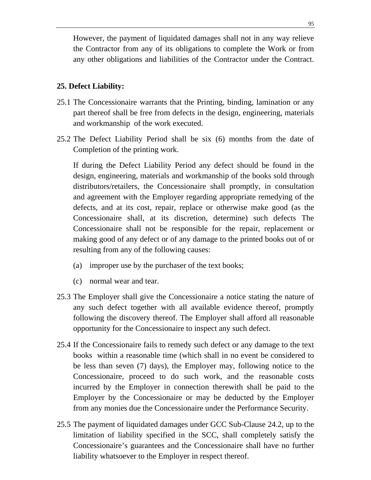However, the payment of liquidated damages shall not in any way relieve the Contractor from any of its obligations to complete the Work or from any other obligations and liabilities of the Contractor under the Contract.

### **25. Defect Liability:**

- 25.1 The Concessionaire warrants that the Printing, binding, lamination or any part thereof shall be free from defects in the design, engineering, materials and workmanship of the work executed.
- 25.2 The Defect Liability Period shall be six (6) months from the date of Completion of the printing work.

 If during the Defect Liability Period any defect should be found in the design, engineering, materials and workmanship of the books sold through distributors/retailers, the Concessionaire shall promptly, in consultation and agreement with the Employer regarding appropriate remedying of the defects, and at its cost, repair, replace or otherwise make good (as the Concessionaire shall, at its discretion, determine) such defects The Concessionaire shall not be responsible for the repair, replacement or making good of any defect or of any damage to the printed books out of or resulting from any of the following causes:

- (a) improper use by the purchaser of the text books;
- (c) normal wear and tear.
- 25.3 The Employer shall give the Concessionaire a notice stating the nature of any such defect together with all available evidence thereof, promptly following the discovery thereof. The Employer shall afford all reasonable opportunity for the Concessionaire to inspect any such defect.
- 25.4 If the Concessionaire fails to remedy such defect or any damage to the text books within a reasonable time (which shall in no event be considered to be less than seven (7) days), the Employer may, following notice to the Concessionaire, proceed to do such work, and the reasonable costs incurred by the Employer in connection therewith shall be paid to the Employer by the Concessionaire or may be deducted by the Employer from any monies due the Concessionaire under the Performance Security.
- 25.5 The payment of liquidated damages under GCC Sub-Clause 24.2, up to the limitation of liability specified in the SCC, shall completely satisfy the Concessionaire's guarantees and the Concessionaire shall have no further liability whatsoever to the Employer in respect thereof.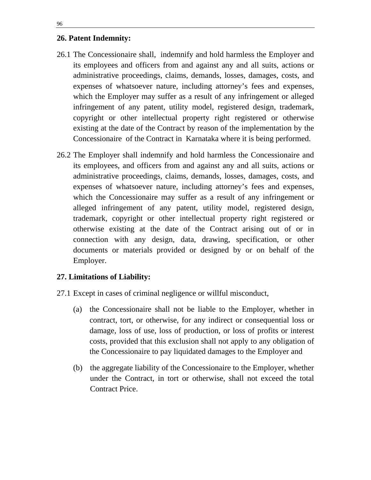#### **26. Patent Indemnity:**

- 26.1 The Concessionaire shall, indemnify and hold harmless the Employer and its employees and officers from and against any and all suits, actions or administrative proceedings, claims, demands, losses, damages, costs, and expenses of whatsoever nature, including attorney's fees and expenses, which the Employer may suffer as a result of any infringement or alleged infringement of any patent, utility model, registered design, trademark, copyright or other intellectual property right registered or otherwise existing at the date of the Contract by reason of the implementation by the Concessionaire of the Contract in Karnataka where it is being performed.
- 26.2 The Employer shall indemnify and hold harmless the Concessionaire and its employees, and officers from and against any and all suits, actions or administrative proceedings, claims, demands, losses, damages, costs, and expenses of whatsoever nature, including attorney's fees and expenses, which the Concessionaire may suffer as a result of any infringement or alleged infringement of any patent, utility model, registered design, trademark, copyright or other intellectual property right registered or otherwise existing at the date of the Contract arising out of or in connection with any design, data, drawing, specification, or other documents or materials provided or designed by or on behalf of the Employer.

## **27. Limitations of Liability:**

- 27.1 Except in cases of criminal negligence or willful misconduct,
	- (a) the Concessionaire shall not be liable to the Employer, whether in contract, tort, or otherwise, for any indirect or consequential loss or damage, loss of use, loss of production, or loss of profits or interest costs, provided that this exclusion shall not apply to any obligation of the Concessionaire to pay liquidated damages to the Employer and
	- (b) the aggregate liability of the Concessionaire to the Employer, whether under the Contract, in tort or otherwise, shall not exceed the total Contract Price.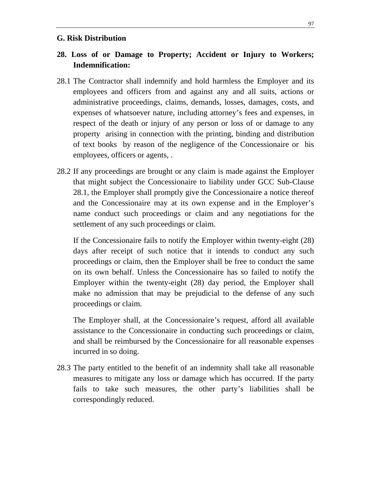#### **G. Risk Distribution**

# **28. Loss of or Damage to Property; Accident or Injury to Workers; Indemnification:**

- 28.1 The Contractor shall indemnify and hold harmless the Employer and its employees and officers from and against any and all suits, actions or administrative proceedings, claims, demands, losses, damages, costs, and expenses of whatsoever nature, including attorney's fees and expenses, in respect of the death or injury of any person or loss of or damage to any property arising in connection with the printing, binding and distribution of text books by reason of the negligence of the Concessionaire or his employees, officers or agents, .
- 28.2 If any proceedings are brought or any claim is made against the Employer that might subject the Concessionaire to liability under GCC Sub-Clause 28.1, the Employer shall promptly give the Concessionaire a notice thereof and the Concessionaire may at its own expense and in the Employer's name conduct such proceedings or claim and any negotiations for the settlement of any such proceedings or claim.

 If the Concessionaire fails to notify the Employer within twenty-eight (28) days after receipt of such notice that it intends to conduct any such proceedings or claim, then the Employer shall be free to conduct the same on its own behalf. Unless the Concessionaire has so failed to notify the Employer within the twenty-eight (28) day period, the Employer shall make no admission that may be prejudicial to the defense of any such proceedings or claim.

 The Employer shall, at the Concessionaire's request, afford all available assistance to the Concessionaire in conducting such proceedings or claim, and shall be reimbursed by the Concessionaire for all reasonable expenses incurred in so doing.

28.3 The party entitled to the benefit of an indemnity shall take all reasonable measures to mitigate any loss or damage which has occurred. If the party fails to take such measures, the other party's liabilities shall be correspondingly reduced.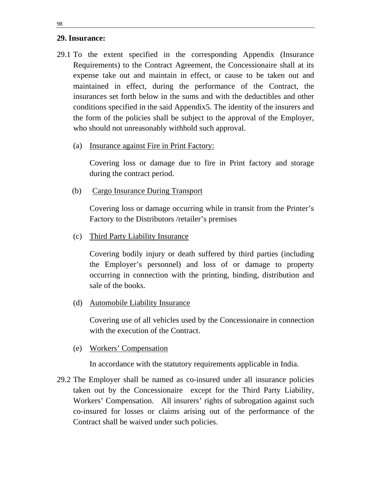## **29. Insurance:**

- 29.1 To the extent specified in the corresponding Appendix (Insurance Requirements) to the Contract Agreement, the Concessionaire shall at its expense take out and maintain in effect, or cause to be taken out and maintained in effect, during the performance of the Contract, the insurances set forth below in the sums and with the deductibles and other conditions specified in the said Appendix5. The identity of the insurers and the form of the policies shall be subject to the approval of the Employer, who should not unreasonably withhold such approval.
	- (a) Insurance against Fire in Print Factory:

Covering loss or damage due to fire in Print factory and storage during the contract period.

(b) Cargo Insurance During Transport

 Covering loss or damage occurring while in transit from the Printer's Factory to the Distributors /retailer's premises

(c) Third Party Liability Insurance

 Covering bodily injury or death suffered by third parties (including the Employer's personnel) and loss of or damage to property occurring in connection with the printing, binding, distribution and sale of the books.

(d) Automobile Liability Insurance

 Covering use of all vehicles used by the Concessionaire in connection with the execution of the Contract.

(e) Workers' Compensation

In accordance with the statutory requirements applicable in India.

29.2 The Employer shall be named as co-insured under all insurance policies taken out by the Concessionaire except for the Third Party Liability, Workers' Compensation. All insurers' rights of subrogation against such co-insured for losses or claims arising out of the performance of the Contract shall be waived under such policies.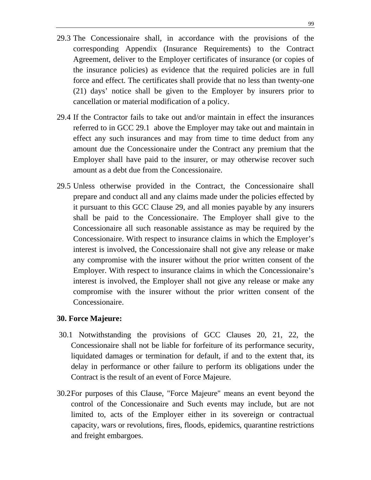- 29.3 The Concessionaire shall, in accordance with the provisions of the corresponding Appendix (Insurance Requirements) to the Contract Agreement, deliver to the Employer certificates of insurance (or copies of the insurance policies) as evidence that the required policies are in full force and effect. The certificates shall provide that no less than twenty-one (21) days' notice shall be given to the Employer by insurers prior to cancellation or material modification of a policy.
- 29.4 If the Contractor fails to take out and/or maintain in effect the insurances referred to in GCC 29.1 above the Employer may take out and maintain in effect any such insurances and may from time to time deduct from any amount due the Concessionaire under the Contract any premium that the Employer shall have paid to the insurer, or may otherwise recover such amount as a debt due from the Concessionaire.
- 29.5 Unless otherwise provided in the Contract, the Concessionaire shall prepare and conduct all and any claims made under the policies effected by it pursuant to this GCC Clause 29, and all monies payable by any insurers shall be paid to the Concessionaire. The Employer shall give to the Concessionaire all such reasonable assistance as may be required by the Concessionaire. With respect to insurance claims in which the Employer's interest is involved, the Concessionaire shall not give any release or make any compromise with the insurer without the prior written consent of the Employer. With respect to insurance claims in which the Concessionaire's interest is involved, the Employer shall not give any release or make any compromise with the insurer without the prior written consent of the Concessionaire.

#### **30. Force Majeure:**

- 30.1 Notwithstanding the provisions of GCC Clauses 20, 21, 22, the Concessionaire shall not be liable for forfeiture of its performance security, liquidated damages or termination for default, if and to the extent that, its delay in performance or other failure to perform its obligations under the Contract is the result of an event of Force Majeure.
- 30.2 For purposes of this Clause, "Force Majeure" means an event beyond the control of the Concessionaire and Such events may include, but are not limited to, acts of the Employer either in its sovereign or contractual capacity, wars or revolutions, fires, floods, epidemics, quarantine restrictions and freight embargoes.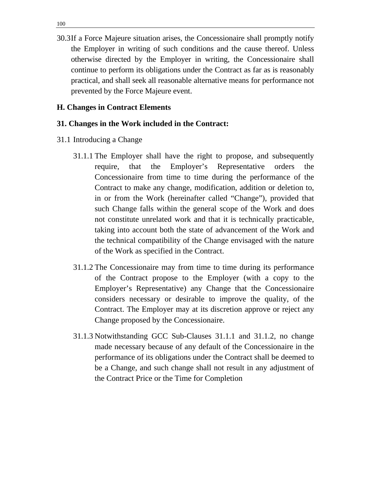30.3 If a Force Majeure situation arises, the Concessionaire shall promptly notify the Employer in writing of such conditions and the cause thereof. Unless otherwise directed by the Employer in writing, the Concessionaire shall continue to perform its obligations under the Contract as far as is reasonably practical, and shall seek all reasonable alternative means for performance not prevented by the Force Majeure event.

## **H. Changes in Contract Elements**

## **31. Changes in the Work included in the Contract:**

- 31.1 Introducing a Change
	- 31.1.1 The Employer shall have the right to propose, and subsequently require, that the Employer's Representative orders the Concessionaire from time to time during the performance of the Contract to make any change, modification, addition or deletion to, in or from the Work (hereinafter called "Change"), provided that such Change falls within the general scope of the Work and does not constitute unrelated work and that it is technically practicable, taking into account both the state of advancement of the Work and the technical compatibility of the Change envisaged with the nature of the Work as specified in the Contract.
	- 31.1.2 The Concessionaire may from time to time during its performance of the Contract propose to the Employer (with a copy to the Employer's Representative) any Change that the Concessionaire considers necessary or desirable to improve the quality, of the Contract. The Employer may at its discretion approve or reject any Change proposed by the Concessionaire.
	- 31.1.3 Notwithstanding GCC Sub-Clauses 31.1.1 and 31.1.2, no change made necessary because of any default of the Concessionaire in the performance of its obligations under the Contract shall be deemed to be a Change, and such change shall not result in any adjustment of the Contract Price or the Time for Completion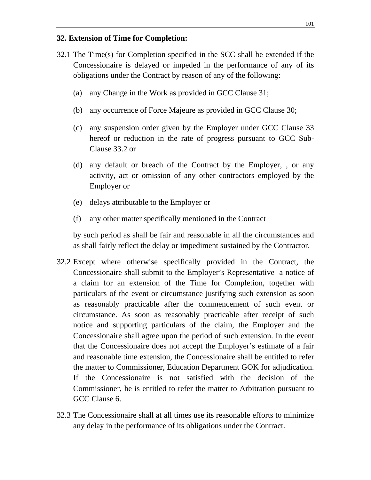## **32. Extension of Time for Completion:**

- 32.1 The Time(s) for Completion specified in the SCC shall be extended if the Concessionaire is delayed or impeded in the performance of any of its obligations under the Contract by reason of any of the following:
	- (a) any Change in the Work as provided in GCC Clause 31;
	- (b) any occurrence of Force Majeure as provided in GCC Clause 30;
	- (c) any suspension order given by the Employer under GCC Clause 33 hereof or reduction in the rate of progress pursuant to GCC Sub-Clause 33.2 or
	- (d) any default or breach of the Contract by the Employer, , or any activity, act or omission of any other contractors employed by the Employer or
	- (e) delays attributable to the Employer or
	- (f) any other matter specifically mentioned in the Contract

 by such period as shall be fair and reasonable in all the circumstances and as shall fairly reflect the delay or impediment sustained by the Contractor.

- 32.2 Except where otherwise specifically provided in the Contract, the Concessionaire shall submit to the Employer's Representative a notice of a claim for an extension of the Time for Completion, together with particulars of the event or circumstance justifying such extension as soon as reasonably practicable after the commencement of such event or circumstance. As soon as reasonably practicable after receipt of such notice and supporting particulars of the claim, the Employer and the Concessionaire shall agree upon the period of such extension. In the event that the Concessionaire does not accept the Employer's estimate of a fair and reasonable time extension, the Concessionaire shall be entitled to refer the matter to Commissioner, Education Department GOK for adjudication. If the Concessionaire is not satisfied with the decision of the Commissioner, he is entitled to refer the matter to Arbitration pursuant to GCC Clause 6.
- 32.3 The Concessionaire shall at all times use its reasonable efforts to minimize any delay in the performance of its obligations under the Contract.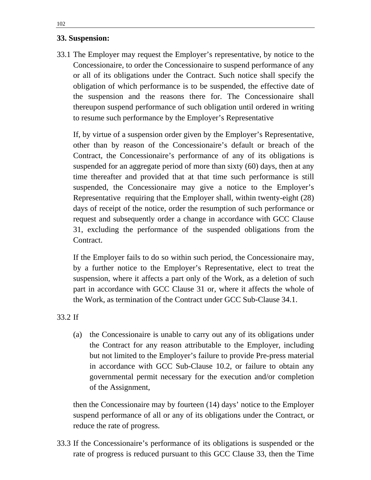# **33. Suspension:**

33.1 The Employer may request the Employer's representative, by notice to the Concessionaire, to order the Concessionaire to suspend performance of any or all of its obligations under the Contract. Such notice shall specify the obligation of which performance is to be suspended, the effective date of the suspension and the reasons there for. The Concessionaire shall thereupon suspend performance of such obligation until ordered in writing to resume such performance by the Employer's Representative

 If, by virtue of a suspension order given by the Employer's Representative, other than by reason of the Concessionaire's default or breach of the Contract, the Concessionaire's performance of any of its obligations is suspended for an aggregate period of more than sixty (60) days, then at any time thereafter and provided that at that time such performance is still suspended, the Concessionaire may give a notice to the Employer's Representative requiring that the Employer shall, within twenty-eight (28) days of receipt of the notice, order the resumption of such performance or request and subsequently order a change in accordance with GCC Clause 31, excluding the performance of the suspended obligations from the Contract.

 If the Employer fails to do so within such period, the Concessionaire may, by a further notice to the Employer's Representative, elect to treat the suspension, where it affects a part only of the Work, as a deletion of such part in accordance with GCC Clause 31 or, where it affects the whole of the Work, as termination of the Contract under GCC Sub-Clause 34.1.

33.2 If

(a) the Concessionaire is unable to carry out any of its obligations under the Contract for any reason attributable to the Employer, including but not limited to the Employer's failure to provide Pre-press material in accordance with GCC Sub-Clause 10.2, or failure to obtain any governmental permit necessary for the execution and/or completion of the Assignment,

 then the Concessionaire may by fourteen (14) days' notice to the Employer suspend performance of all or any of its obligations under the Contract, or reduce the rate of progress.

33.3 If the Concessionaire's performance of its obligations is suspended or the rate of progress is reduced pursuant to this GCC Clause 33, then the Time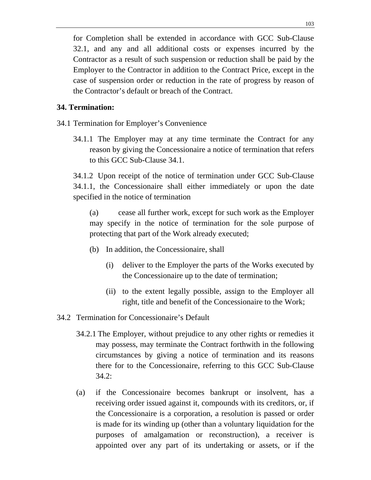for Completion shall be extended in accordance with GCC Sub-Clause 32.1, and any and all additional costs or expenses incurred by the Contractor as a result of such suspension or reduction shall be paid by the Employer to the Contractor in addition to the Contract Price, except in the case of suspension order or reduction in the rate of progress by reason of the Contractor's default or breach of the Contract.

### **34. Termination:**

- 34.1 Termination for Employer's Convenience
	- 34.1.1 The Employer may at any time terminate the Contract for any reason by giving the Concessionaire a notice of termination that refers to this GCC Sub-Clause 34.1.

34.1.2 Upon receipt of the notice of termination under GCC Sub-Clause 34.1.1, the Concessionaire shall either immediately or upon the date specified in the notice of termination

(a) cease all further work, except for such work as the Employer may specify in the notice of termination for the sole purpose of protecting that part of the Work already executed;

- (b) In addition, the Concessionaire, shall
	- (i) deliver to the Employer the parts of the Works executed by the Concessionaire up to the date of termination;
	- (ii) to the extent legally possible, assign to the Employer all right, title and benefit of the Concessionaire to the Work;
- 34.2 Termination for Concessionaire's Default
	- 34.2.1 The Employer, without prejudice to any other rights or remedies it may possess, may terminate the Contract forthwith in the following circumstances by giving a notice of termination and its reasons there for to the Concessionaire, referring to this GCC Sub-Clause  $34.2:$
	- (a) if the Concessionaire becomes bankrupt or insolvent, has a receiving order issued against it, compounds with its creditors, or, if the Concessionaire is a corporation, a resolution is passed or order is made for its winding up (other than a voluntary liquidation for the purposes of amalgamation or reconstruction), a receiver is appointed over any part of its undertaking or assets, or if the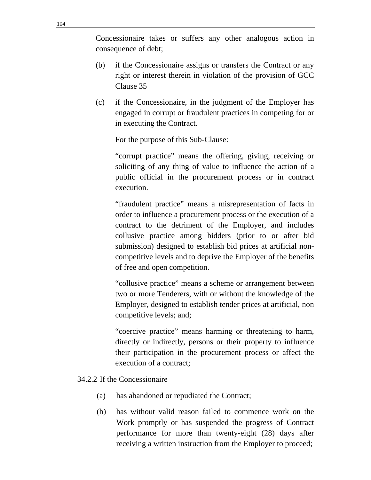Concessionaire takes or suffers any other analogous action in consequence of debt;

- (b) if the Concessionaire assigns or transfers the Contract or any right or interest therein in violation of the provision of GCC Clause 35
- (c) if the Concessionaire, in the judgment of the Employer has engaged in corrupt or fraudulent practices in competing for or in executing the Contract.

For the purpose of this Sub-Clause:

 "corrupt practice" means the offering, giving, receiving or soliciting of any thing of value to influence the action of a public official in the procurement process or in contract execution.

 "fraudulent practice" means a misrepresentation of facts in order to influence a procurement process or the execution of a contract to the detriment of the Employer, and includes collusive practice among bidders (prior to or after bid submission) designed to establish bid prices at artificial noncompetitive levels and to deprive the Employer of the benefits of free and open competition.

 "collusive practice" means a scheme or arrangement between two or more Tenderers, with or without the knowledge of the Employer, designed to establish tender prices at artificial, non competitive levels; and;

 "coercive practice" means harming or threatening to harm, directly or indirectly, persons or their property to influence their participation in the procurement process or affect the execution of a contract;

## 34.2.2 If the Concessionaire

- (a) has abandoned or repudiated the Contract;
- (b) has without valid reason failed to commence work on the Work promptly or has suspended the progress of Contract performance for more than twenty-eight (28) days after receiving a written instruction from the Employer to proceed;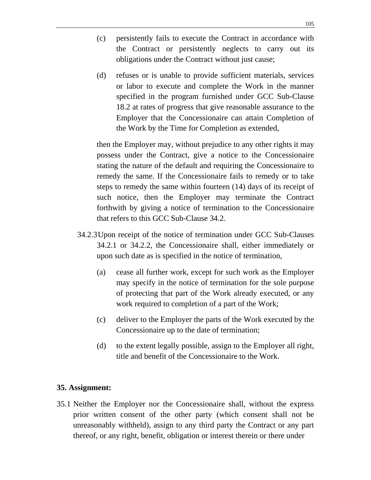- (c) persistently fails to execute the Contract in accordance with the Contract or persistently neglects to carry out its obligations under the Contract without just cause;
- (d) refuses or is unable to provide sufficient materials, services or labor to execute and complete the Work in the manner specified in the program furnished under GCC Sub-Clause 18.2 at rates of progress that give reasonable assurance to the Employer that the Concessionaire can attain Completion of the Work by the Time for Completion as extended,

 then the Employer may, without prejudice to any other rights it may possess under the Contract, give a notice to the Concessionaire stating the nature of the default and requiring the Concessionaire to remedy the same. If the Concessionaire fails to remedy or to take steps to remedy the same within fourteen (14) days of its receipt of such notice, then the Employer may terminate the Contract forthwith by giving a notice of termination to the Concessionaire that refers to this GCC Sub-Clause 34.2.

- 34.2.3 Upon receipt of the notice of termination under GCC Sub-Clauses 34.2.1 or 34.2.2, the Concessionaire shall, either immediately or upon such date as is specified in the notice of termination,
	- (a) cease all further work, except for such work as the Employer may specify in the notice of termination for the sole purpose of protecting that part of the Work already executed, or any work required to completion of a part of the Work;
	- (c) deliver to the Employer the parts of the Work executed by the Concessionaire up to the date of termination;
	- (d) to the extent legally possible, assign to the Employer all right, title and benefit of the Concessionaire to the Work.

## **35. Assignment:**

35.1 Neither the Employer nor the Concessionaire shall, without the express prior written consent of the other party (which consent shall not be unreasonably withheld), assign to any third party the Contract or any part thereof, or any right, benefit, obligation or interest therein or there under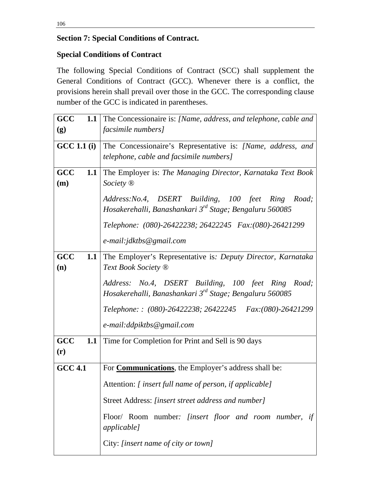# **Section 7: Special Conditions of Contract.**

# **Special Conditions of Contract**

The following Special Conditions of Contract (SCC) shall supplement the General Conditions of Contract (GCC). Whenever there is a conflict, the provisions herein shall prevail over those in the GCC. The corresponding clause number of the GCC is indicated in parentheses.

| GCC<br>(g)        | <b>1.1</b> The Concessionaire is: [Name, address, and telephone, cable and<br>facsimile numbers]                          |
|-------------------|---------------------------------------------------------------------------------------------------------------------------|
| GCC 1.1(i)        | The Concessionaire's Representative is: [Name, address, and<br>telephone, cable and facsimile numbers]                    |
| GCC<br>1.1<br>(m) | The Employer is: The Managing Director, Karnataka Text Book<br>Society <sup>®</sup>                                       |
|                   | Address: No.4, DSERT Building, 100 feet Ring Road;<br>Hosakerehalli, Banashankari 3 <sup>rd</sup> Stage; Bengaluru 560085 |
|                   | Telephone: (080)-26422238; 26422245 Fax:(080)-26421299                                                                    |
|                   | e-mail:jdktbs@gmail.com                                                                                                   |
| GCC               | <b>1.1</b> The Employer's Representative is: Deputy Director, Karnataka                                                   |
| (n)               | Text Book Society ®                                                                                                       |
|                   | Address: No.4, DSERT Building, 100 feet Ring Road;                                                                        |
|                   | Hosakerehalli, Banashankari 3 <sup>rd</sup> Stage; Bengaluru 560085                                                       |
|                   | Telephone:: (080)-26422238; 26422245 Fax:(080)-26421299                                                                   |
|                   | e-mail:ddpiktbs@gmail.com                                                                                                 |
| GCC               | <b>1.1</b> Time for Completion for Print and Sell is 90 days                                                              |
| (r)               |                                                                                                                           |
| <b>GCC 4.1</b>    | For <b>Communications</b> , the Employer's address shall be:                                                              |
|                   | Attention: [insert full name of person, if applicable]                                                                    |
|                   | Street Address: [insert street address and number]                                                                        |
|                   | Floor/ Room number: [insert floor and room number, if<br><i>applicable]</i>                                               |
|                   | City: [insert name of city or town]                                                                                       |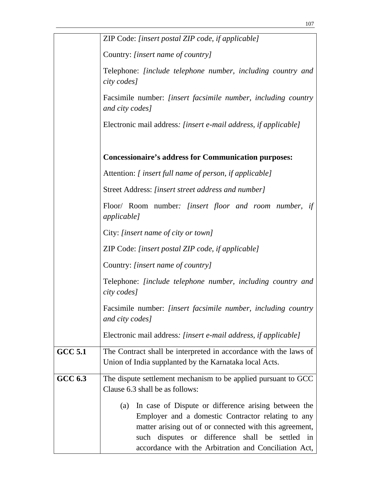|                | ZIP Code: [insert postal ZIP code, if applicable]                                                                                                                                                                                                                                 |  |  |  |  |  |  |
|----------------|-----------------------------------------------------------------------------------------------------------------------------------------------------------------------------------------------------------------------------------------------------------------------------------|--|--|--|--|--|--|
|                | Country: [insert name of country]                                                                                                                                                                                                                                                 |  |  |  |  |  |  |
|                | Telephone: <i>[include telephone number, including country and</i><br>city codes]                                                                                                                                                                                                 |  |  |  |  |  |  |
|                | Facsimile number: <i>[insert facsimile number, including country</i><br>and city codes]                                                                                                                                                                                           |  |  |  |  |  |  |
|                | Electronic mail address: [insert e-mail address, if applicable]                                                                                                                                                                                                                   |  |  |  |  |  |  |
|                | <b>Concessionaire's address for Communication purposes:</b>                                                                                                                                                                                                                       |  |  |  |  |  |  |
|                | Attention: [insert full name of person, if applicable]                                                                                                                                                                                                                            |  |  |  |  |  |  |
|                | Street Address: <i>[insert street address and number]</i>                                                                                                                                                                                                                         |  |  |  |  |  |  |
|                | Floor/ Room number: [insert floor and room number, if<br><i>applicable]</i>                                                                                                                                                                                                       |  |  |  |  |  |  |
|                | City: [insert name of city or town]                                                                                                                                                                                                                                               |  |  |  |  |  |  |
|                | ZIP Code: [insert postal ZIP code, if applicable]                                                                                                                                                                                                                                 |  |  |  |  |  |  |
|                | Country: [insert name of country]                                                                                                                                                                                                                                                 |  |  |  |  |  |  |
|                | Telephone: <i>[include telephone number, including country and</i><br>city codes]                                                                                                                                                                                                 |  |  |  |  |  |  |
|                | Facsimile number: <i>[insert facsimile number, including country</i><br>and city codes]                                                                                                                                                                                           |  |  |  |  |  |  |
|                | Electronic mail address: [insert e-mail address, if applicable]                                                                                                                                                                                                                   |  |  |  |  |  |  |
| <b>GCC 5.1</b> | The Contract shall be interpreted in accordance with the laws of<br>Union of India supplanted by the Karnataka local Acts.                                                                                                                                                        |  |  |  |  |  |  |
| <b>GCC 6.3</b> | The dispute settlement mechanism to be applied pursuant to GCC<br>Clause 6.3 shall be as follows:<br>In case of Dispute or difference arising between the<br>(a)<br>Employer and a domestic Contractor relating to any<br>matter arising out of or connected with this agreement, |  |  |  |  |  |  |
|                | such disputes or difference shall be settled in<br>accordance with the Arbitration and Conciliation Act,                                                                                                                                                                          |  |  |  |  |  |  |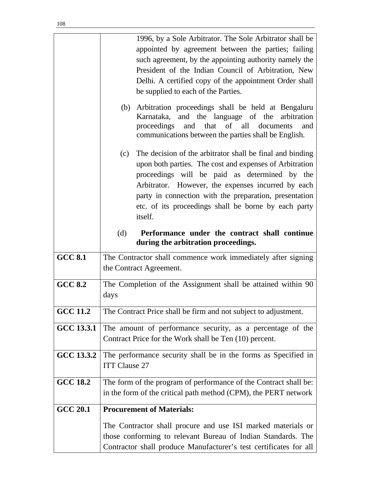|                 |                                                                | 1996, by a Sole Arbitrator. The Sole Arbitrator shall be         |  |  |
|-----------------|----------------------------------------------------------------|------------------------------------------------------------------|--|--|
|                 |                                                                | appointed by agreement between the parties; failing              |  |  |
|                 |                                                                | such agreement, by the appointing authority namely the           |  |  |
|                 |                                                                | President of the Indian Council of Arbitration, New              |  |  |
|                 |                                                                | Delhi. A certified copy of the appointment Order shall           |  |  |
|                 |                                                                | be supplied to each of the Parties.                              |  |  |
|                 | (b)                                                            | Arbitration proceedings shall be held at Bengaluru               |  |  |
|                 |                                                                | Karnataka, and the language of the arbitration                   |  |  |
|                 |                                                                | that of all<br>proceedings<br>and<br>documents<br>and            |  |  |
|                 |                                                                | communications between the parties shall be English.             |  |  |
|                 | (c)                                                            | The decision of the arbitrator shall be final and binding        |  |  |
|                 |                                                                | upon both parties. The cost and expenses of Arbitration          |  |  |
|                 |                                                                | proceedings will be paid as determined by the                    |  |  |
|                 |                                                                | Arbitrator. However, the expenses incurred by each               |  |  |
|                 |                                                                | party in connection with the preparation, presentation           |  |  |
|                 |                                                                | etc. of its proceedings shall be borne by each party             |  |  |
|                 |                                                                | itself.                                                          |  |  |
|                 | (d)                                                            | Performance under the contract shall continue                    |  |  |
|                 |                                                                | during the arbitration proceedings.                              |  |  |
| <b>GCC 8.1</b>  |                                                                | The Contractor shall commence work immediately after signing     |  |  |
|                 |                                                                | the Contract Agreement.                                          |  |  |
| <b>GCC 8.2</b>  |                                                                |                                                                  |  |  |
|                 | The Completion of the Assignment shall be attained within 90   |                                                                  |  |  |
|                 | days                                                           |                                                                  |  |  |
| <b>GCC 11.2</b> |                                                                | The Contract Price shall be firm and not subject to adjustment.  |  |  |
| GCC 13.3.1      |                                                                | The amount of performance security, as a percentage of the       |  |  |
|                 |                                                                | Contract Price for the Work shall be Ten (10) percent.           |  |  |
|                 |                                                                |                                                                  |  |  |
| GCC 13.3.2      | The performance security shall be in the forms as Specified in |                                                                  |  |  |
|                 | <b>ITT Clause 27</b>                                           |                                                                  |  |  |
| <b>GCC 18.2</b> |                                                                | The form of the program of performance of the Contract shall be: |  |  |
|                 |                                                                | in the form of the critical path method (CPM), the PERT network  |  |  |
|                 |                                                                |                                                                  |  |  |
|                 |                                                                |                                                                  |  |  |
| <b>GCC 20.1</b> |                                                                | <b>Procurement of Materials:</b>                                 |  |  |
|                 |                                                                | The Contractor shall procure and use ISI marked materials or     |  |  |
|                 |                                                                | those conforming to relevant Bureau of Indian Standards. The     |  |  |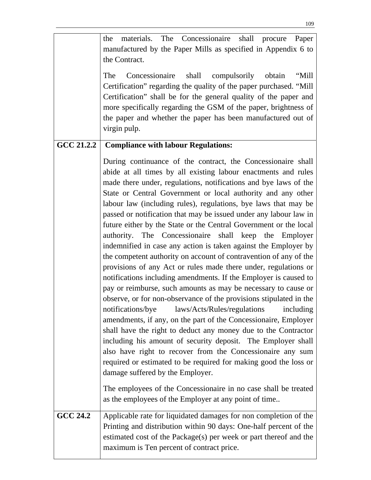the materials. The Concessionaire shall procure Paper manufactured by the Paper Mills as specified in Appendix 6 to the Contract.

The Concessionaire shall compulsorily obtain "Mill Certification" regarding the quality of the paper purchased. "Mill Certification" shall be for the general quality of the paper and more specifically regarding the GSM of the paper, brightness of the paper and whether the paper has been manufactured out of virgin pulp.

#### **GCC 21.2.2 Compliance with labour Regulations:**

During continuance of the contract, the Concessionaire shall abide at all times by all existing labour enactments and rules made there under, regulations, notifications and bye laws of the State or Central Government or local authority and any other labour law (including rules), regulations, bye laws that may be passed or notification that may be issued under any labour law in future either by the State or the Central Government or the local authority. The Concessionaire shall keep the Employer indemnified in case any action is taken against the Employer by the competent authority on account of contravention of any of the provisions of any Act or rules made there under, regulations or notifications including amendments. If the Employer is caused to pay or reimburse, such amounts as may be necessary to cause or observe, or for non-observance of the provisions stipulated in the notifications/bye laws/Acts/Rules/regulations including amendments, if any, on the part of the Concessionaire, Employer shall have the right to deduct any money due to the Contractor including his amount of security deposit. The Employer shall also have right to recover from the Concessionaire any sum required or estimated to be required for making good the loss or damage suffered by the Employer.

The employees of the Concessionaire in no case shall be treated as the employees of the Employer at any point of time..

**GCC 24.2** Applicable rate for liquidated damages for non completion of the Printing and distribution within 90 days: One-half percent of the estimated cost of the Package(s) per week or part thereof and the maximum is Ten percent of contract price.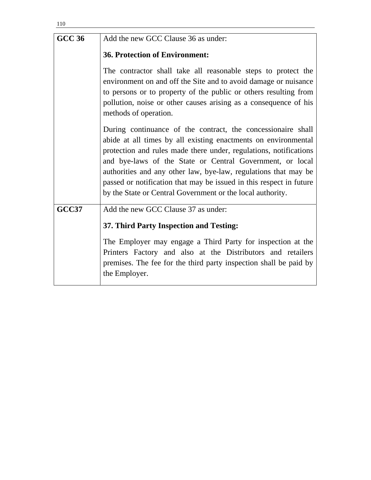| <b>GCC 36</b> | Add the new GCC Clause 36 as under:                                                                                                                                                                                                                                                                                                                                                                                                                                      |  |  |
|---------------|--------------------------------------------------------------------------------------------------------------------------------------------------------------------------------------------------------------------------------------------------------------------------------------------------------------------------------------------------------------------------------------------------------------------------------------------------------------------------|--|--|
|               | <b>36. Protection of Environment:</b>                                                                                                                                                                                                                                                                                                                                                                                                                                    |  |  |
|               | The contractor shall take all reasonable steps to protect the<br>environment on and off the Site and to avoid damage or nuisance<br>to persons or to property of the public or others resulting from<br>pollution, noise or other causes arising as a consequence of his<br>methods of operation.                                                                                                                                                                        |  |  |
|               | During continuance of the contract, the concessionaire shall<br>abide at all times by all existing enactments on environmental<br>protection and rules made there under, regulations, notifications<br>and bye-laws of the State or Central Government, or local<br>authorities and any other law, bye-law, regulations that may be<br>passed or notification that may be issued in this respect in future<br>by the State or Central Government or the local authority. |  |  |
| GCC37         | Add the new GCC Clause 37 as under:                                                                                                                                                                                                                                                                                                                                                                                                                                      |  |  |
|               | 37. Third Party Inspection and Testing:                                                                                                                                                                                                                                                                                                                                                                                                                                  |  |  |
|               | The Employer may engage a Third Party for inspection at the<br>Printers Factory and also at the Distributors and retailers<br>premises. The fee for the third party inspection shall be paid by<br>the Employer.                                                                                                                                                                                                                                                         |  |  |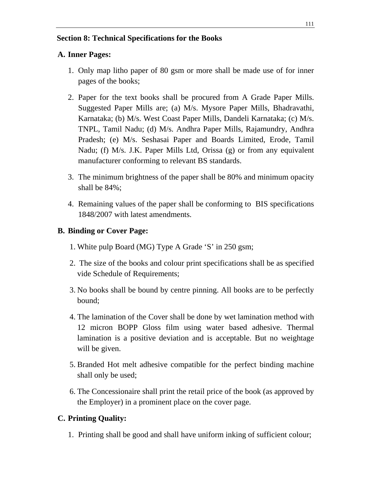## **Section 8: Technical Specifications for the Books**

## **A. Inner Pages:**

- 1. Only map litho paper of 80 gsm or more shall be made use of for inner pages of the books;
- 2. Paper for the text books shall be procured from A Grade Paper Mills. Suggested Paper Mills are; (a) M/s. Mysore Paper Mills, Bhadravathi, Karnataka; (b) M/s. West Coast Paper Mills, Dandeli Karnataka; (c) M/s. TNPL, Tamil Nadu; (d) M/s. Andhra Paper Mills, Rajamundry, Andhra Pradesh; (e) M/s. Seshasai Paper and Boards Limited, Erode, Tamil Nadu; (f) M/s. J.K. Paper Mills Ltd, Orissa (g) or from any equivalent manufacturer conforming to relevant BS standards.
- 3. The minimum brightness of the paper shall be 80% and minimum opacity shall be 84%;
- 4. Remaining values of the paper shall be conforming to BIS specifications 1848/2007 with latest amendments.

## **B. Binding or Cover Page:**

- 1. White pulp Board (MG) Type A Grade 'S' in 250 gsm;
- 2. The size of the books and colour print specifications shall be as specified vide Schedule of Requirements;
- 3. No books shall be bound by centre pinning. All books are to be perfectly bound;
- 4. The lamination of the Cover shall be done by wet lamination method with 12 micron BOPP Gloss film using water based adhesive. Thermal lamination is a positive deviation and is acceptable. But no weightage will be given.
- 5. Branded Hot melt adhesive compatible for the perfect binding machine shall only be used;
- 6. The Concessionaire shall print the retail price of the book (as approved by the Employer) in a prominent place on the cover page.

# **C. Printing Quality:**

1. Printing shall be good and shall have uniform inking of sufficient colour;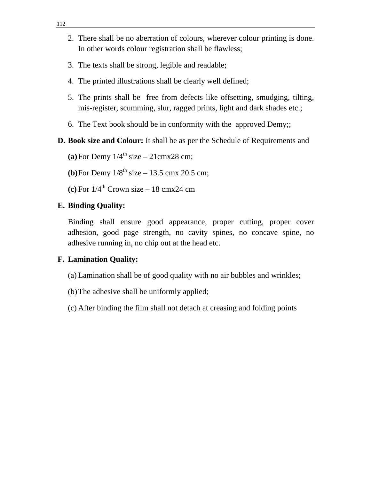- 2. There shall be no aberration of colours, wherever colour printing is done. In other words colour registration shall be flawless;
- 3. The texts shall be strong, legible and readable;
- 4. The printed illustrations shall be clearly well defined;
- 5. The prints shall be free from defects like offsetting, smudging, tilting, mis-register, scumming, slur, ragged prints, light and dark shades etc.;
- 6. The Text book should be in conformity with the approved Demy;;
- **D. Book size and Colour:** It shall be as per the Schedule of Requirements and
	- (a) For Demy  $1/4^{\text{th}}$  size 21cmx28 cm;
	- **(b)**For Demy  $1/8^{th}$  size 13.5 cmx 20.5 cm:
	- **(c)** For  $1/4$ <sup>th</sup> Crown size 18 cmx24 cm

#### **E. Binding Quality:**

Binding shall ensure good appearance, proper cutting, proper cover adhesion, good page strength, no cavity spines, no concave spine, no adhesive running in, no chip out at the head etc.

#### **F. Lamination Quality:**

- (a) Lamination shall be of good quality with no air bubbles and wrinkles;
- (b)The adhesive shall be uniformly applied;
- (c) After binding the film shall not detach at creasing and folding points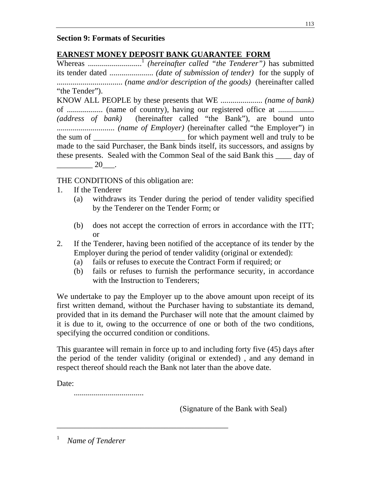## **Section 9: Formats of Securities**

## **EARNEST MONEY DEPOSIT BANK GUARANTEE FORM**

Whereas ...........................<sup>1</sup> *(hereinafter called "the Tenderer")* has submitted its tender dated ...................... *(date of submission of tender)* for the supply of ................................. *(name and/or description of the goods)* (hereinafter called "the Tender").

KNOW ALL PEOPLE by these presents that WE ..................... *(name of bank)* of .................. (name of country), having our registered office at .................. *(address of bank)* (hereinafter called "the Bank"), are bound unto ............................. *(name of Employer)* (hereinafter called "the Employer") in the sum of \_\_\_\_\_\_\_\_\_\_\_\_\_\_\_\_\_\_\_\_\_\_\_\_\_\_\_ for which payment well and truly to be made to the said Purchaser, the Bank binds itself, its successors, and assigns by these presents. Sealed with the Common Seal of the said Bank this \_\_\_\_ day of  $20$ .

THE CONDITIONS of this obligation are:

- 1. If the Tenderer
	- (a) withdraws its Tender during the period of tender validity specified by the Tenderer on the Tender Form; or
	- (b) does not accept the correction of errors in accordance with the ITT; or
- 2. If the Tenderer, having been notified of the acceptance of its tender by the Employer during the period of tender validity (original or extended):
	- (a) fails or refuses to execute the Contract Form if required; or
	- (b) fails or refuses to furnish the performance security, in accordance with the Instruction to Tenderers:

We undertake to pay the Employer up to the above amount upon receipt of its first written demand, without the Purchaser having to substantiate its demand, provided that in its demand the Purchaser will note that the amount claimed by it is due to it, owing to the occurrence of one or both of the two conditions, specifying the occurred condition or conditions.

This guarantee will remain in force up to and including forty five (45) days after the period of the tender validity (original or extended) , and any demand in respect thereof should reach the Bank not later than the above date.

Date:

...................................

\_\_\_\_\_\_\_\_\_\_\_\_\_\_\_\_\_\_\_\_\_\_\_\_\_\_\_\_\_\_\_\_\_\_\_\_\_\_\_\_\_\_\_

(Signature of the Bank with Seal)

<sup>1</sup> *Name of Tenderer*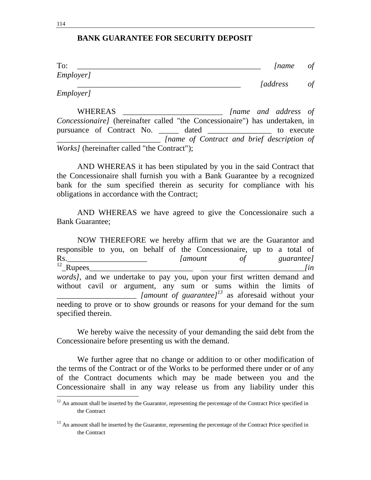#### **BANK GUARANTEE FOR SECURITY DEPOSIT**

| To.       | I name                         |            |
|-----------|--------------------------------|------------|
| Employer] |                                |            |
|           | <i><u><b>[address]</b></u></i> | $\epsilon$ |

*Employer]*

 WHEREAS \_\_\_\_\_\_\_\_\_\_\_\_\_\_\_\_\_\_\_\_\_\_\_\_\_ *[name and address of Concessionaire]* (hereinafter called "the Concessionaire") has undertaken, in pursuance of Contract No. \_\_\_\_\_ dated \_\_\_\_\_\_\_\_\_\_\_\_\_\_\_ to execute \_\_\_\_\_\_\_\_\_\_\_\_\_\_\_\_\_\_\_\_\_\_\_\_\_\_ *[name of Contract and brief description of Works]* (hereinafter called "the Contract");

 AND WHEREAS it has been stipulated by you in the said Contract that the Concessionaire shall furnish you with a Bank Guarantee by a recognized bank for the sum specified therein as security for compliance with his obligations in accordance with the Contract;

 AND WHEREAS we have agreed to give the Concessionaire such a Bank Guarantee;

 NOW THEREFORE we hereby affirm that we are the Guarantor and responsible to you, on behalf of the Concessionaire, up to a total of Rs.\_\_\_\_\_\_\_\_\_\_\_\_\_\_\_\_\_\_\_\_ *[amount of guarantee]* 12\_Rupees\_\_\_\_\_\_\_\_\_\_\_\_\_\_\_\_\_\_\_\_\_\_\_\_\_\_ \_\_\_\_\_\_\_\_\_\_\_\_\_\_\_\_\_\_\_\_\_\_\_\_\_\_*[in words]*, and we undertake to pay you, upon your first written demand and without cavil or argument, any sum or sums within the limits of \_\_\_\_\_\_\_\_\_\_\_\_\_\_\_\_\_\_\_\_ *[amount of guarantee]<sup>13</sup>* as aforesaid without your needing to prove or to show grounds or reasons for your demand for the sum specified therein.

 We hereby waive the necessity of your demanding the said debt from the Concessionaire before presenting us with the demand.

 We further agree that no change or addition to or other modification of the terms of the Contract or of the Works to be performed there under or of any of the Contract documents which may be made between you and the Concessionaire shall in any way release us from any liability under this

 $12$  An amount shall be inserted by the Guarantor, representing the percentage of the Contract Price specified in the Contract

<sup>&</sup>lt;sup>13</sup> An amount shall be inserted by the Guarantor, representing the percentage of the Contract Price specified in the Contract